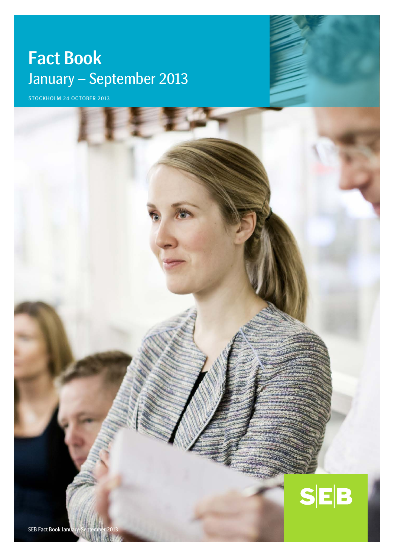# Fact Book January – September 2013

STOCKHOLM 24 OCTOBER 2013

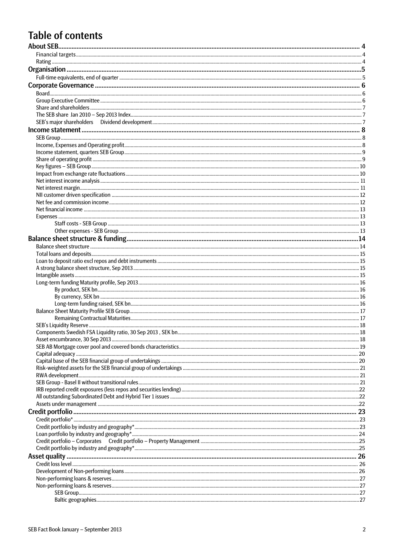# **Table of contents**

| 18 |
|----|
|    |
|    |
|    |
|    |
|    |
|    |
|    |
|    |
|    |
|    |
|    |
|    |
|    |
|    |
|    |
|    |
|    |
|    |
|    |
|    |
|    |
|    |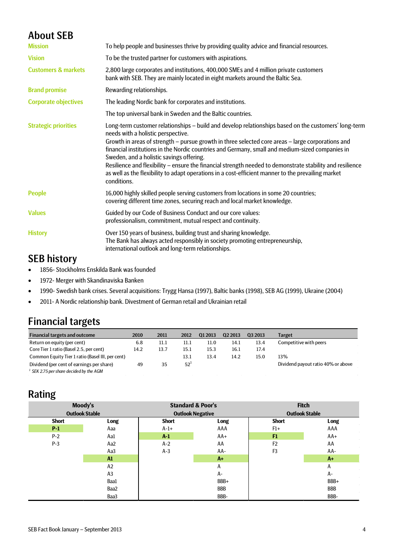# <span id="page-3-0"></span>About SEB

| <b>Mission</b>                 | To help people and businesses thrive by providing quality advice and financial resources.                                                                                                                                                                                                                                                                                                                                                                                                                                                                                                                                        |
|--------------------------------|----------------------------------------------------------------------------------------------------------------------------------------------------------------------------------------------------------------------------------------------------------------------------------------------------------------------------------------------------------------------------------------------------------------------------------------------------------------------------------------------------------------------------------------------------------------------------------------------------------------------------------|
| <b>Vision</b>                  | To be the trusted partner for customers with aspirations.                                                                                                                                                                                                                                                                                                                                                                                                                                                                                                                                                                        |
| <b>Customers &amp; markets</b> | 2,800 large corporates and institutions, 400,000 SMEs and 4 million private customers<br>bank with SEB. They are mainly located in eight markets around the Baltic Sea.                                                                                                                                                                                                                                                                                                                                                                                                                                                          |
| <b>Brand promise</b>           | Rewarding relationships.                                                                                                                                                                                                                                                                                                                                                                                                                                                                                                                                                                                                         |
| <b>Corporate objectives</b>    | The leading Nordic bank for corporates and institutions.                                                                                                                                                                                                                                                                                                                                                                                                                                                                                                                                                                         |
|                                | The top universal bank in Sweden and the Baltic countries.                                                                                                                                                                                                                                                                                                                                                                                                                                                                                                                                                                       |
| <b>Strategic priorities</b>    | Long-term customer relationships - build and develop relationships based on the customers' long-term<br>needs with a holistic perspective.<br>Growth in areas of strength – pursue growth in three selected core areas – large corporations and<br>financial institutions in the Nordic countries and Germany, small and medium-sized companies in<br>Sweden, and a holistic savings offering.<br>Resilience and flexibility – ensure the financial strength needed to demonstrate stability and resilience<br>as well as the flexibility to adapt operations in a cost-efficient manner to the prevailing market<br>conditions. |
| <b>People</b>                  | 16,000 highly skilled people serving customers from locations in some 20 countries;<br>covering different time zones, securing reach and local market knowledge.                                                                                                                                                                                                                                                                                                                                                                                                                                                                 |
| <b>Values</b>                  | Guided by our Code of Business Conduct and our core values:<br>professionalism, commitment, mutual respect and continuity.                                                                                                                                                                                                                                                                                                                                                                                                                                                                                                       |
| <b>History</b>                 | Over 150 years of business, building trust and sharing knowledge.<br>The Bank has always acted responsibly in society promoting entrepreneurship,<br>international outlook and long-term relationships.                                                                                                                                                                                                                                                                                                                                                                                                                          |

# SEB history

- 1856- Stockholms Enskilda Bank was founded
- 1972- Merger with Skandinaviska Banken
- 1990- Swedish bank crises. Several acquisitions: Trygg Hansa (1997), Baltic banks (1998), SEB AG (1999), Ukraine (2004)
- 2011- A Nordic relationship bank. Divestment of German retail and Ukrainian retail

# <span id="page-3-1"></span>Financial targets

| <b>Financial targets and outcome</b>             | 2010 | 2011 | 2012            | 01 2013 | Q <sub>2</sub> 2013 | 03 2013 | <b>Target</b>                      |
|--------------------------------------------------|------|------|-----------------|---------|---------------------|---------|------------------------------------|
| Return on equity (per cent)                      | 6.8  | 11.1 | 11.1            | 11.0    | 14.1                | 13.4    | Competitive with peers             |
| Core Tier 1 ratio (Basel 2.5, per cent)          | 14.2 | 13.7 | 15.1            | 15.3    | 16.1                | 17.4    |                                    |
| Common Equity Tier 1 ratio (Basel III, per cent) |      |      | 13.1            | 13.4    | 14.2                | 15.0    | 13%                                |
| Dividend (per cent of earnings per share)        | 49   | 35   | 52 <sup>1</sup> |         |                     |         | Dividend payout ratio 40% or above |
| SEK 2.75 per share decided by the AGM            |      |      |                 |         |                     |         |                                    |

# <span id="page-3-2"></span>Rating

|              | Moody's<br><b>Outlook Stable</b> | <b>Standard &amp; Poor's</b><br><b>Outlook Negative</b> |            | <b>Fitch</b><br><b>Outlook Stable</b> |            |  |  |
|--------------|----------------------------------|---------------------------------------------------------|------------|---------------------------------------|------------|--|--|
| <b>Short</b> | Long                             | <b>Short</b>                                            | Long       | <b>Short</b>                          | Long       |  |  |
| $P-1$        | Aaa                              | $A-1+$                                                  | AAA        | $F1+$                                 | AAA        |  |  |
| $P-2$        | Aa1                              | $A-1$                                                   | $AA+$      | F1                                    | $AA+$      |  |  |
| $P-3$        | Aa2                              | $A-2$                                                   | AA         | F <sub>2</sub>                        | AA         |  |  |
|              | Aa3                              | $A-3$                                                   | AA-        | F <sub>3</sub>                        | AA-        |  |  |
|              | $\mathbf{M}$                     |                                                         | $A+$       |                                       | $A+$       |  |  |
|              | A2                               |                                                         | Α          |                                       | А          |  |  |
|              | A3                               |                                                         | A-         |                                       | A-         |  |  |
|              | Baa1                             |                                                         | BBB+       |                                       | BBB+       |  |  |
|              | Baa2                             |                                                         | <b>BBB</b> |                                       | <b>BBB</b> |  |  |
|              | Baa3                             |                                                         | BBB-       |                                       | BBB-       |  |  |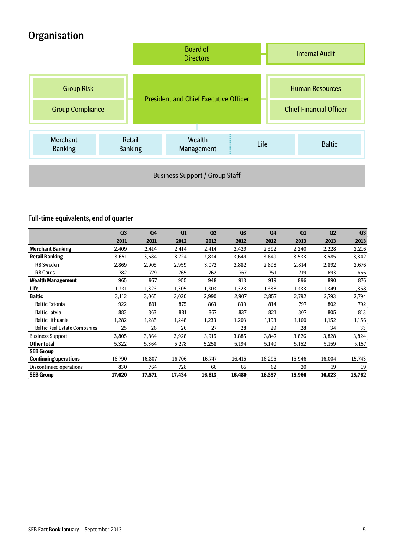# <span id="page-4-0"></span>**Organisation**



# <span id="page-4-1"></span>Full-time equivalents, end of quarter

|                                     | Q3     | Q <sub>4</sub> | Q1     | Q <sub>2</sub> | Q <sub>3</sub> | Q <sub>4</sub> | Q1     | Q <sub>2</sub> | Q <sub>3</sub> |
|-------------------------------------|--------|----------------|--------|----------------|----------------|----------------|--------|----------------|----------------|
|                                     | 2011   | 2011           | 2012   | 2012           | 2012           | 2012           | 2013   | 2013           | 2013           |
| <b>Merchant Banking</b>             | 2,409  | 2,414          | 2,414  | 2,414          | 2,429          | 2,392          | 2,240  | 2,228          | 2,216          |
| <b>Retail Banking</b>               | 3,651  | 3,684          | 3,724  | 3,834          | 3,649          | 3,649          | 3,533  | 3,585          | 3,342          |
| <b>RB</b> Sweden                    | 2,869  | 2,905          | 2,959  | 3,072          | 2,882          | 2,898          | 2,814  | 2,892          | 2,676          |
| <b>RB Cards</b>                     | 782    | 779            | 765    | 762            | 767            | 751            | 719    | 693            | 666            |
| <b>Wealth Management</b>            | 965    | 957            | 955    | 948            | 913            | 919            | 896    | 890            | 876            |
| Life                                | 1,331  | 1,323          | 1,305  | 1,303          | 1,323          | 1,338          | 1,333  | 1,349          | 1,358          |
| <b>Baltic</b>                       | 3,112  | 3,065          | 3,030  | 2,990          | 2,907          | 2,857          | 2,792  | 2,793          | 2,794          |
| <b>Baltic Estonia</b>               | 922    | 891            | 875    | 863            | 839            | 814            | 797    | 802            | 792            |
| <b>Baltic Latvia</b>                | 883    | 863            | 881    | 867            | 837            | 821            | 807    | 805            | 813            |
| <b>Baltic Lithuania</b>             | 1,282  | 1,285          | 1,248  | 1,233          | 1,203          | 1,193          | 1,160  | 1,152          | 1,156          |
| <b>Baltic Real Estate Companies</b> | 25     | 26             | 26     | 27             | 28             | 29             | 28     | 34             | 33             |
| <b>Business Support</b>             | 3,805  | 3,864          | 3,928  | 3,915          | 3,885          | 3,847          | 3,826  | 3,828          | 3,824          |
| <b>Other total</b>                  | 5,322  | 5,364          | 5,278  | 5,258          | 5,194          | 5,140          | 5,152  | 5,159          | 5,157          |
| <b>SEB Group</b>                    |        |                |        |                |                |                |        |                |                |
| <b>Continuing operations</b>        | 16,790 | 16,807         | 16,706 | 16,747         | 16,415         | 16,295         | 15,946 | 16,004         | 15,743         |
| Discontinued operations             | 830    | 764            | 728    | 66             | 65             | 62             | 20     | 19             | 19             |
| <b>SEB Group</b>                    | 17,620 | 17,571         | 17,434 | 16,813         | 16,480         | 16,357         | 15,966 | 16,023         | 15,762         |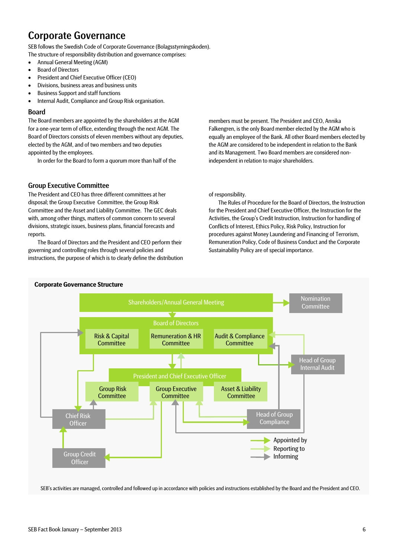# <span id="page-5-0"></span>Corporate Governance

SEB follows the Swedish Code of Corporate Governance (Bolagsstyrningskoden). The structure of responsibility distribution and governance comprises:

- Annual General Meeting (AGM)
- Board of Directors
- President and Chief Executive Officer (CEO)
- Divisions, business areas and business units
- Business Support and staff functions
- Internal Audit, Compliance and Group Risk organisation.

### <span id="page-5-1"></span>Board

The Board members are appointed by the shareholders at the AGM for a one-year term of office, extending through the next AGM. The Board of Directors consists of eleven members without any deputies, elected by the AGM, and of two members and two deputies appointed by the employees.

In order for the Board to form a quorum more than half of the

### <span id="page-5-2"></span>Group Executive Committee

The President and CEO has three different committees at her disposal; the Group Executive Committee, the Group Risk Committee and the Asset and Liability Committee. The GEC deals with, among other things, matters of common concern to several divisions, strategic issues, business plans, financial forecasts and reports.

The Board of Directors and the President and CEO perform their governing and controlling roles through several policies and instructions, the purpose of which is to clearly define the distribution

members must be present. The President and CEO, Annika Falkengren, is the only Board member elected by the AGM who is equally an employee of the Bank. All other Board members elected by the AGM are considered to be independent in relation to the Bank and its Management. Two Board members are considered nonindependent in relation to major shareholders.

of responsibility.

The Rules of Procedure for the Board of Directors, the Instruction for the President and Chief Executive Officer, the Instruction for the Activities, the Group's Credit Instruction, Instruction for handling of Conflicts of Interest, Ethics Policy, Risk Policy, Instruction for procedures against Money Laundering and Financing of Terrorism, Remuneration Policy, Code of Business Conduct and the Corporate Sustainability Policy are of special importance.



SEB's activities are managed, controlled and followed up in accordance with policies and instructions established by the Board and the President and CEO.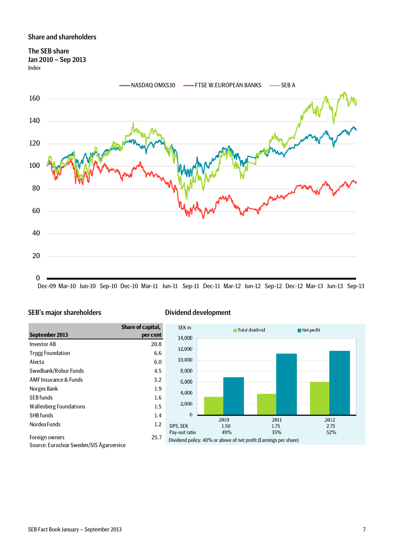### <span id="page-6-0"></span>Share and shareholders

<span id="page-6-1"></span>The SEB share Jan 2010 – Sep 2013 Index



Dec-09 Mar-10 Jun-10 Sep-10 Dec-10 Mar-11 Jun-11 Sep-11 Dec-11 Mar-12 Jun-12 Sep-12 Dec-12 Mar-13 Jun-13 Sep-13

### <span id="page-6-2"></span>SEB's major shareholders Dividend development

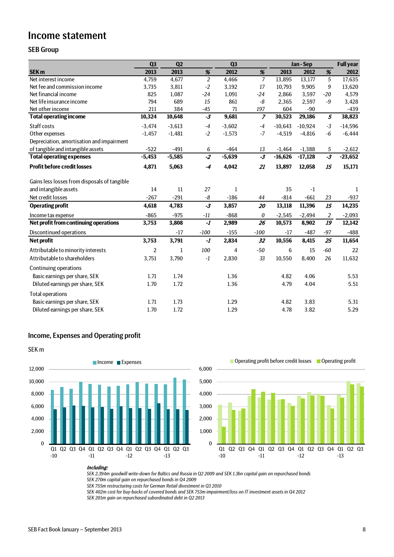# <span id="page-7-0"></span>Income statement

## <span id="page-7-1"></span>SEB Group

|                                              | Q <sub>3</sub> | Q <sub>2</sub> |                 | Q <sub>3</sub> |                |           | Jan-Sep   |                | <b>Full year</b> |
|----------------------------------------------|----------------|----------------|-----------------|----------------|----------------|-----------|-----------|----------------|------------------|
| <b>SEK m</b>                                 | 2013           | 2013           | %               | 2012           | %              | 2013      | 2012      | %              | 2012             |
| Net interest income                          | 4,759          | 4,677          | $\overline{2}$  | 4,466          | $\overline{7}$ | 13,895    | 13,177    | $\sqrt{5}$     | 17,635           |
| Net fee and commission income                | 3,735          | 3,811          | $-2$            | 3,192          | 17             | 10,793    | 9,905     | 9              | 13,620           |
| Net financial income                         | 825            | 1,087          | $-24$           | 1,091          | $-24$          | 2,866     | 3,597     | $-20$          | 4,579            |
| Net life insurance income                    | 794            | 689            | 15              | 861            | -8             | 2,365     | 2,597     | -9             | 3,428            |
| Net other income                             | 211            | 384            | $-45$           | 71             | 197            | 604       | $-90$     |                | $-439$           |
| <b>Total operating income</b>                | 10,324         | 10,648         | $-3$            | 9,681          | $\overline{z}$ | 30,523    | 29,186    | $\overline{5}$ | 38,823           |
| Staff costs                                  | $-3,474$       | $-3,613$       | $-4$            | $-3,602$       | $-4$           | $-10.643$ | $-10,924$ | $-3$           | $-14,596$        |
| Other expenses                               | $-1,457$       | $-1,481$       | $-2$            | $-1,573$       | $-7$           | $-4,519$  | $-4,816$  | $-6$           | $-6,444$         |
| Depreciation, amortisation and impairment    |                |                |                 |                |                |           |           |                |                  |
| of tangible and intangible assets            | $-522$         | $-491$         | 6               | $-464$         | 13             | $-1,464$  | $-1,388$  | 5              | $-2,612$         |
| <b>Total operating expenses</b>              | $-5,453$       | $-5,585$       | $\overline{-2}$ | $-5,639$       | $-3$           | $-16,626$ | $-17,128$ | $-3$           | $-23,652$        |
| <b>Profit before credit losses</b>           | 4,871          | 5,063          | $-4$            | 4,042          | 21             | 13,897    | 12,058    | 15             | 15,171           |
| Gains less losses from disposals of tangible |                |                |                 |                |                |           |           |                |                  |
| and intangible assets                        | 14             | 11             | 27              | 1              |                | 35        | $-1$      |                | 1                |
| Net credit losses                            | $-267$         | $-291$         | -8              | $-186$         | 44             | $-814$    | $-661$    | 23             | $-937$           |
| <b>Operating profit</b>                      | 4,618          | 4,783          | $-3$            | 3,857          | 20             | 13,118    | 11,396    | 15             | 14,235           |
| Income tax expense                           | $-865$         | $-975$         | $-11$           | $-868$         | 0              | $-2,545$  | $-2,494$  | 2              | $-2,093$         |
| Net profit from continuing operations        | 3,753          | 3,808          | $-1$            | 2,989          | 26             | 10,573    | 8,902     | 19             | 12,142           |
| Discontinued operations                      |                | $-17$          | $-100$          | $-155$         | $-100$         | $-17$     | $-487$    | $-97$          | $-488$           |
| Net profit                                   | 3,753          | 3,791          | $-1$            | 2,834          | 32             | 10,556    | 8,415     | 25             | 11,654           |
| Attributable to minority interests           | $\overline{2}$ | $\mathbf{1}$   | 100             | $\overline{4}$ | $-50$          | 6         | 15        | $-60$          | 22               |
| Attributable to shareholders                 | 3,751          | 3,790          | $-1$            | 2,830          | 33             | 10,550    | 8,400     | 26             | 11,632           |
| Continuing operations                        |                |                |                 |                |                |           |           |                |                  |
| Basic earnings per share, SEK                | 1.71           | 1.74           |                 | 1.36           |                | 4.82      | 4.06      |                | 5.53             |
| Diluted earnings per share, SEK              | 1.70           | 1.72           |                 | 1.36           |                | 4.79      | 4.04      |                | 5.51             |
| <b>Total operations</b>                      |                |                |                 |                |                |           |           |                |                  |
| Basic earnings per share, SEK                | 1.71           | 1.73           |                 | 1.29           |                | 4.82      | 3.83      |                | 5.31             |
| Diluted earnings per share, SEK              | 1.70           | 1.72           |                 | 1.29           |                | 4.78      | 3.82      |                | 5.29             |

## <span id="page-7-2"></span>Income, Expenses and Operating profit





### Including:

*SEK 2,394m goodwill write-down for Baltics and Russia in Q2 2009 and SEK 1.3bn capital gain on repurchased bonds*

*SEK 270m capital gain on repurchased bonds in Q4 2009*

*SEK 755m restructuring costs for German Retail divestment in Q3 2010*

*SEK 402m cost for buy-backs of covered bonds and SEK 753m impairment/loss on IT investment assets in Q4 2012*

*SEK 201m gain on repurchased subordinated debt in Q2 2013*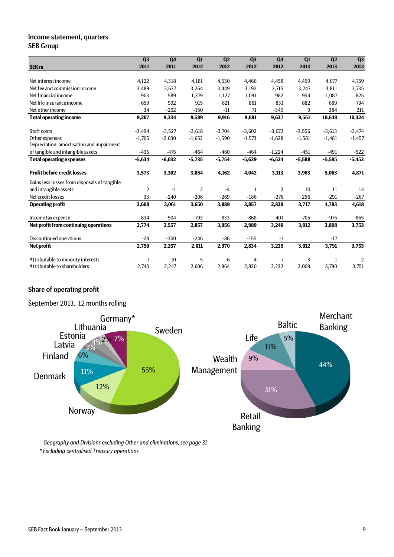### <span id="page-8-0"></span>Income statement, quarters SEB Group

|                                              | Q <sub>3</sub> | Q <sub>4</sub> | Q1       | Q <sub>2</sub> | Q <sub>3</sub> | Q <sub>4</sub> | Q1       | Q2       | Q3             |
|----------------------------------------------|----------------|----------------|----------|----------------|----------------|----------------|----------|----------|----------------|
| <b>SEK m</b>                                 | 2011           | 2011           | 2012     | 2012           | 2012           | 2012           | 2013     | 2013     | 2013           |
|                                              |                |                |          |                |                |                |          |          |                |
| Net interest income                          | 4,122          | 4,318          | 4,181    | 4,530          | 4,466          | 4,458          | 4,459    | 4,677    | 4,759          |
| Net fee and commission income                | 3,489          | 3,637          | 3,264    | 3,449          | 3,192          | 3,715          | 3,247    | 3,811    | 3,735          |
| Net financial income                         | 903            | 589            | 1,379    | 1,127          | 1,091          | 982            | 954      | 1,087    | 825            |
| Net life insurance income                    | 659            | 992            | 915      | 821            | 861            | 831            | 882      | 689      | 794            |
| Net other income                             | 34             | $-202$         | $-150$   | $-11$          | 71             | $-349$         | 9        | 384      | 211            |
| <b>Total operating income</b>                | 9,207          | 9,334          | 9,589    | 9,916          | 9,681          | 9,637          | 9,551    | 10,648   | 10,324         |
| Staff costs                                  | $-3,494$       | $-3,527$       | $-3,618$ | $-3,704$       | $-3,602$       | $-3,672$       | $-3,556$ | $-3,613$ | $-3,474$       |
| Other expenses                               | $-1,705$       | $-2,030$       | $-1,653$ | $-1,590$       | $-1,573$       | $-1,628$       | $-1,581$ | $-1,481$ | $-1,457$       |
| Depreciation, amortisation and impairment    |                |                |          |                |                |                |          |          |                |
| of tangible and intangible assets            | $-435$         | $-475$         | $-464$   | $-460$         | $-464$         | $-1,224$       | $-451$   | $-491$   | $-522$         |
| <b>Total operating expenses</b>              | $-5,634$       | $-6,032$       | $-5,735$ | $-5,754$       | $-5,639$       | $-6,524$       | $-5,588$ | $-5,585$ | $-5,453$       |
| <b>Profit before credit losses</b>           | 3,573          | 3,302          | 3,854    | 4,162          | 4,042          | 3,113          | 3,963    | 5,063    | 4,871          |
| Gains less losses from disposals of tangible |                |                |          |                |                |                |          |          |                |
| and intangible assets                        | $\overline{2}$ | $-1$           | 2        | $-4$           | $\mathbf{1}$   | 2              | 10       | 11       | 14             |
| Net credit losses                            | 33             | $-240$         | $-206$   | $-269$         | $-186$         | $-276$         | $-256$   | $-291$   | $-267$         |
| <b>Operating profit</b>                      | 3,608          | 3,061          | 3,650    | 3,889          | 3,857          | 2,839          | 3,717    | 4,783    | 4,618          |
| Income tax expense                           | $-834$         | $-504$         | $-793$   | $-833$         | $-868$         | 401            | $-705$   | $-975$   | $-865$         |
| Net profit from continuing operations        | 2,774          | 2,557          | 2,857    | 3,056          | 2,989          | 3,240          | 3,012    | 3,808    | 3,753          |
| Discontinued operations                      | $-24$          | $-300$         | $-246$   | $-86$          | $-155$         | $-1$           |          | $-17$    |                |
| <b>Net profit</b>                            | 2,750          | 2,257          | 2,611    | 2,970          | 2,834          | 3,239          | 3,012    | 3,791    | 3,753          |
| Attributable to minority interests           | 7              | 10             | 5        | 6              | 4              | $\overline{7}$ | 3        | 1        | $\overline{2}$ |
| Attributable to shareholders                 | 2,743          | 2,247          | 2,606    | 2,964          | 2,830          | 3,232          | 3,009    | 3,790    | 3,751          |

# <span id="page-8-1"></span>Share of operating profit

September 2013, 12 months rolling



*Geography and Divisions excluding Other and eliminations, see page 31*

*\* Excluding centralised Treasury operations*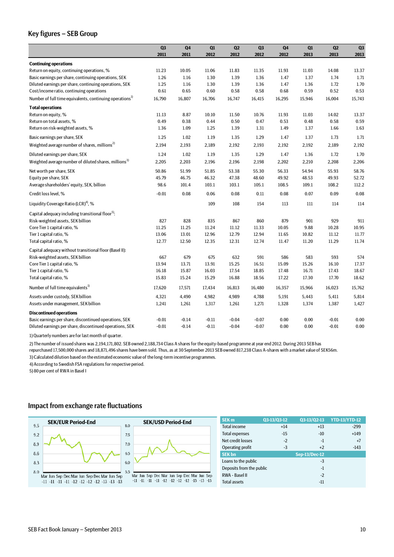### <span id="page-9-0"></span>Key figures – SEB Group

|                                                                      | Q <sub>3</sub> | Q <sub>4</sub> | Q1      | Q2      | Q3      | Q <sub>4</sub> | Q1     | Q2      | Q <sub>3</sub> |
|----------------------------------------------------------------------|----------------|----------------|---------|---------|---------|----------------|--------|---------|----------------|
|                                                                      | 2011           | 2011           | 2012    | 2012    | 2012    | 2012           | 2013   | 2013    | 2013           |
| <b>Continuing operations</b>                                         |                |                |         |         |         |                |        |         |                |
| Return on equity, continuing operations, %                           | 11.23          | 10.05          | 11.06   | 11.83   | 11.35   | 11.93          | 11.03  | 14.08   | 13.37          |
| Basic earnings per share, continuing operations, SEK                 | 1.26           | 1.16           | 1.30    | 1.39    | 1.36    | 1.47           | 1.37   | 1.74    | 1.71           |
| Diluted earnings per share, continuing operations, SEK               | 1.25           | 1.16           | 1.30    | 1.39    | 1.36    | 1.47           | 1.36   | 1.72    | 1.70           |
| Cost/income ratio, continuing operations                             | 0.61           | 0.65           | 0.60    | 0.58    | 0.58    | 0.68           | 0.59   | 0.52    | 0.53           |
| Number of full time equivalents, continuing operations <sup>1)</sup> | 16,790         | 16,807         | 16,706  | 16,747  | 16,415  | 16,295         | 15,946 | 16,004  | 15,743         |
| <b>Total operations</b>                                              |                |                |         |         |         |                |        |         |                |
| Return on equity, %                                                  | 11.13          | 8.87           | 10.10   | 11.50   | 10.76   | 11.93          | 11.03  | 14.02   | 13.37          |
| Return on total assets, %                                            | 0.49           | 0.38           | 0.44    | 0.50    | 0.47    | 0.53           | 0.48   | 0.58    | 0.59           |
| Return on risk-weighted assets, %                                    | 1.36           | 1.09           | 1.25    | 1.39    | 1.31    | 1.49           | 1.37   | 1.66    | 1.63           |
| Basic earnings per share, SEK                                        | 1.25           | 1.02           | 1.19    | 1.35    | 1.29    | 1.47           | 1.37   | 1.73    | 1.71           |
| Weighted average number of shares, millions <sup>2)</sup>            | 2,194          | 2,193          | 2,189   | 2,192   | 2,193   | 2,192          | 2,192  | 2,189   | 2,192          |
| Diluted earnings per share, SEK                                      | 1.24           | 1.02           | 1.19    | 1.35    | 1.29    | 1.47           | 1.36   | 1.72    | 1.70           |
| Weighted average number of diluted shares, millions <sup>3)</sup>    | 2,205          | 2,203          | 2,196   | 2,196   | 2,198   | 2,202          | 2,210  | 2,208   | 2,206          |
| Net worth per share, SEK                                             | 50.86          | 51.99          | 51.85   | 53.38   | 55.30   | 56.33          | 54.94  | 55.93   | 58.76          |
| Equity per share, SEK                                                | 45.79          | 46.75          | 46.32   | 47.38   | 48.60   | 49.92          | 48.53  | 49.93   | 52.72          |
| Average shareholders' equity, SEK, billion                           | 98.6           | 101.4          | 103.1   | 103.1   | 105.1   | 108.5          | 109.1  | 108.2   | 112.2          |
| Credit loss level, %                                                 | $-0.01$        | 0.08           | 0.06    | 0.08    | 0.11    | 0.08           | 0.07   | 0.09    | 0.08           |
| Liquidity Coverage Ratio (LCR) <sup>4)</sup> , %                     |                |                | 109     | 108     | 154     | 113            | 111    | 114     | 114            |
| Capital adequacy including transitional floor <sup>5)</sup> :        |                |                |         |         |         |                |        |         |                |
| Risk-weighted assets, SEK billion                                    | 827            | 828            | 835     | 867     | 860     | 879            | 901    | 929     | 911            |
| Core Tier 1 capital ratio, %                                         | 11.25          | 11.25          | 11.24   | 11.12   | 11.33   | 10.05          | 9.88   | 10.28   | 10.95          |
| Tier 1 capital ratio, %                                              | 13.06          | 13.01          | 12.96   | 12.79   | 12.94   | 11.65          | 10.82  | 11.12   | 11.77          |
| Total capital ratio, %                                               | 12.77          | 12.50          | 12.35   | 12.31   | 12.74   | 11.47          | 11.20  | 11.29   | 11.74          |
| Capital adequacy without transitional floor (Basel II):              |                |                |         |         |         |                |        |         |                |
| Risk-weighted assets, SEK billion                                    | 667            | 679            | 675     | 632     | 591     | 586            | 583    | 593     | 574            |
| Core Tier 1 capital ratio, %                                         | 13.94          | 13.71          | 13.91   | 15.25   | 16.51   | 15.09          | 15.26  | 16.10   | 17.37          |
| Tier 1 capital ratio, %                                              | 16.18          | 15.87          | 16.03   | 17.54   | 18.85   | 17.48          | 16.71  | 17.43   | 18.67          |
| Total capital ratio, %                                               | 15.83          | 15.24          | 15.29   | 16.88   | 18.56   | 17.22          | 17.30  | 17.70   | 18.62          |
| Number of full time equivalents <sup>1)</sup>                        | 17,620         | 17,571         | 17,434  | 16,813  | 16,480  | 16,357         | 15,966 | 16,023  | 15,762         |
| Assets under custody, SEK billion                                    | 4,321          | 4,490          | 4,982   | 4,989   | 4,788   | 5,191          | 5,443  | 5,411   | 5,814          |
| Assets under management, SEK billion                                 | 1,241          | 1,261          | 1,317   | 1,261   | 1,271   | 1,328          | 1,374  | 1,387   | 1,427          |
| <b>Discontinued operations</b>                                       |                |                |         |         |         |                |        |         |                |
| Basic earnings per share, discontinued operations, SEK               | $-0.01$        | $-0.14$        | $-0.11$ | $-0.04$ | $-0.07$ | 0.00           | 0.00   | $-0.01$ | 0.00           |
| Diluted earnings per share, discontinued operations, SEK             | $-0.01$        | $-0.14$        | $-0.11$ | $-0.04$ | $-0.07$ | 0.00           | 0.00   | $-0.01$ | 0.00           |

1) Quarterly numbers are for last month of quarter.

3) Calculated dilution based on the estimated economic value of the long-term incentive programmes. 2) The number of issued shares was 2,194,171,802. SEB owned 2,188,734 Class A shares for the equity-based programme at year end 2012. During 2013 SEB has repurchased 17,500,000 shares and 18,871,496 shares have been sold. Thus, as at 30 September 2013 SEB owned 817,238 Class A-shares with a market value of SEK56m.

4) According to Swedish FSA regulations for respective period.

5) 80 per cent of RWA in Basel I

### <span id="page-9-1"></span>Impact from exchange rate fluctuations



| <b>SEK m</b>             | Q3-13/Q3-12 | Q3-13/Q2-13          | <b>YTD-13/YTD-12</b> |
|--------------------------|-------------|----------------------|----------------------|
| <b>Total income</b>      | $+14$       | $+13$                | $-299$               |
| <b>Total expenses</b>    | $-15$       | $-10$                | $+149$               |
| Net credit losses        | $-2$        | $-1$                 | $+7$                 |
| Operating profit         | $-3$        | $+2$                 | $-143$               |
| <b>SEK bn</b>            |             | <b>Sep-13/Dec-12</b> |                      |
| Loans to the public      |             | -3                   |                      |
| Deposits from the public |             | $-1$                 |                      |
| RWA - Basel II           |             | $-2$                 |                      |
| <b>Total assets</b>      |             | $-11$                |                      |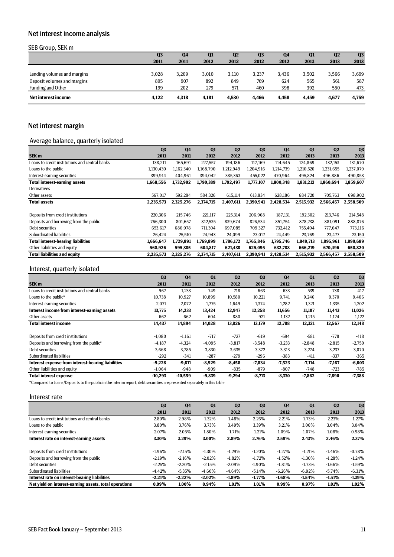# <span id="page-10-0"></span>Net interest income analysis

### SEB Group, SEK m

| $\sim$ $\sim$ $\sim$ $\sim$ | Q <sub>3</sub> | Q4    | Q1    | Q <sub>2</sub> | Q <sub>3</sub> | Q4    | Q1    | Q2    | Q <sub>3</sub> |
|-----------------------------|----------------|-------|-------|----------------|----------------|-------|-------|-------|----------------|
|                             | 2011           | 2011  | 2012  | 2012           | 2012           | 2012  | 2013  | 2013  | 2013           |
|                             |                |       |       |                |                |       |       |       |                |
| Lending volumes and margins | 3,028          | 3,209 | 3,010 | 3,110          | 3.237          | 3.436 | 3,502 | 3,566 | 3,699          |
| Deposit volumes and margins | 895            | 907   | 892   | 849            | 769            | 624   | 565   | 561   | 587            |
| Funding and Other           | 199            | 202   | 279   | 571            | 460            | 398   | 392   | 550   | 473            |
| Net interest income         | 4.122          | 4.318 | 4,181 | 4.530          | 4,466          | 4.458 | 4.459 | 4,677 | 4,759          |

# <span id="page-10-1"></span>Net interest margin

## Average balance, quarterly isolated

|                                                | Q <sub>3</sub> | Q <sub>4</sub> | Q1        | Q <sub>2</sub> | Q <sub>3</sub> | Q <sub>4</sub> | Q1        | Q <sub>2</sub> | Q <sub>3</sub> |
|------------------------------------------------|----------------|----------------|-----------|----------------|----------------|----------------|-----------|----------------|----------------|
| SEK <sub>m</sub>                               | 2011           | 2011           | 2012      | 2012           | 2012           | 2012           | 2013      | 2013           | 2013           |
| Loans to credit institutions and central banks | 138,211        | 165,691        | 227,557   | 194,186        | 117,169        | 114,645        | 124,869   | 132,153        | 131,670        |
| Loans to the public                            | 1.130.430      | 1.162.340      | 1.168.790 | 1,212,949      | 1.204.916      | 1.214.739      | 1.210.520 | 1,231,655      | 1.237.079      |
| Interest-earning securities                    | 399,914        | 404,961        | 394.042   | 385,363        | 455,022        | 470.964        | 495,824   | 496,886        | 490,858        |
| <b>Total interest-earning assets</b>           | 1,668,556      | 1,732,992      | 1,790,389 | 1,792,497      | 1,777,107      | 1,800,348      | 1,831,212 | 1.860.694      | 1,859,607      |
| <b>Derivatives</b>                             |                |                |           |                |                |                |           |                |                |
| Other assets                                   | 567.017        | 592,284        | 584.326   | 615,114        | 613,834        | 628.186        | 684.720   | 705.763        | 698,902        |
| <b>Total assets</b>                            | 2,235,573      | 2,325,276      | 2,374,715 | 2,407,611      | 2,390,941      | 2,428,534      | 2,515,932 | 2,566,457      | 2,558,509      |
|                                                |                |                |           |                |                |                |           |                |                |
| Deposits from credit institutions              | 220,306        | 215.746        | 221,117   | 225,314        | 206,968        | 187,131        | 192,302   | 213,746        | 214,548        |
| Deposits and borrowing from the public         | 766,300        | 801.657        | 812,535   | 839.674        | 826,534        | 851,754        | 878.238   | 881,091        | 888,876        |
| Debt securities                                | 653.617        | 686.978        | 711,304   | 697.085        | 709,327        | 732.412        | 755.404   | 777.647        | 773,116        |
| Subordinated liabilities                       | 26,424         | 25,510         | 24.943    | 24,099         | 23,017         | 24,449         | 23.769    | 23,477         | 23,150         |
| <b>Total interest-bearing liabilities</b>      | 1,666,647      | 1,729,891      | 1,769,899 | 1,786,172      | 1,765,846      | 1,795,746      | 1,849,713 | 1,895,961      | 1,899,689      |
| Other liabilities and equity                   | 568,926        | 595,385        | 604.817   | 621,438        | 625,095        | 632,788        | 666,219   | 670,496        | 658,820        |
| <b>Total liabilities and equity</b>            | 2,235,573      | 2,325,276      | 2,374,715 | 2,407,611      | 2,390,941      | 2,428,534      | 2,515,932 | 2,566,457      | 2,558,509      |

### Interest, quarterly isolated

|                                                    | Q <sub>3</sub> | Q <sub>4</sub> | Q1       | Q <sub>2</sub> | Q <sub>3</sub> | Q <sub>4</sub> | Q1       | Q <sub>2</sub> | Q <sub>3</sub> |
|----------------------------------------------------|----------------|----------------|----------|----------------|----------------|----------------|----------|----------------|----------------|
| SEK <sub>m</sub>                                   | 2011           | 2011           | 2012     | 2012           | 2012           | 2012           | 2013     | 2013           | 2013           |
| Loans to credit institutions and central banks     | 967            | 1,233          | 749      | 718            | 663            | 633            | 539      | 738            | 417            |
| Loans to the public*                               | 10,738         | 10,927         | 10,899   | 10,580         | 10,221         | 9,741          | 9,246    | 9,370          | 9,406          |
| Interest-earning securities                        | 2,071          | 2,072          | 1,775    | 1,649          | 1,374          | 1,282          | 1,321    | 1,335          | 1,202          |
| Interest income from interest-earning assets       | 13,775         | 14,233         | 13,424   | 12,947         | 12,258         | 11,656         | 11,107   | 11,443         | 11,026         |
| Other assets                                       | 662            | 662            | 604      | 880            | 921            | 1,132          | 1,215    | 1,124          | 1,122          |
| <b>Total interest income</b>                       | 14,437         | 14,894         | 14,028   | 13,826         | 13,179         | 12,788         | 12,321   | 12,567         | 12,148         |
| Deposits from credit institutions                  | $-1,080$       | $-1,161$       | $-717$   | $-727$         | $-619$         | -594           | $-581$   | $-778$         | $-418$         |
| Deposits and borrowing from the public*            | $-4,187$       | $-4,324$       | $-4,095$ | $-3,817$       | $-3,548$       | $-3,233$       | $-2,848$ | $-2,815$       | $-2,750$       |
| Debt securities                                    | $-3,668$       | $-3,785$       | $-3,830$ | $-3,635$       | $-3,372$       | $-3,313$       | $-3,274$ | $-3,237$       | $-3,070$       |
| Subordinated liabilities                           | $-292$         | $-341$         | $-287$   | $-279$         | $-296$         | $-383$         | $-411$   | $-337$         | $-365$         |
| Interest expense from interest-bearing liabilities | $-9,228$       | $-9,611$       | $-8,929$ | $-8,458$       | $-7,834$       | $-7,523$       | $-7,114$ | $-7,167$       | $-6,603$       |
| Other liabilities and equity                       | $-1,064$       | $-948$         | $-909$   | $-835$         | $-879$         | $-807$         | $-748$   | $-723$         | $-785$         |
| <b>Total interest expense</b>                      | $-10,293$      | $-10,559$      | $-9,839$ | $-9,294$       | $-8,713$       | $-8,330$       | $-7,862$ | $-7,890$       | $-7,388$       |

\*Compared to Loans/Deposits to the public in the interim report, debt securities are presented separately in this table

### Interest rate

|                                                        | Q <sub>3</sub> | Q <sub>4</sub> | Q1        | Q <sub>2</sub> | Q <sub>3</sub> | Q <sub>4</sub> | Q1        | Q <sub>2</sub> | Q <sub>3</sub> |
|--------------------------------------------------------|----------------|----------------|-----------|----------------|----------------|----------------|-----------|----------------|----------------|
|                                                        | 2011           | 2011           | 2012      | 2012           | 2012           | 2012           | 2013      | 2013           | 2013           |
| Loans to credit institutions and central banks         | 2.80%          | 2.98%          | 1.32%     | 1.48%          | 2.26%          | 2.21%          | 1.73%     | 2.23%          | 1.27%          |
| Loans to the public                                    | 3.80%          | 3.76%          | 3.73%     | 3.49%          | 3.39%          | 3.21%          | 3.06%     | 3.04%          | 3.04%          |
| Interest-earning securities                            | 2.07%          | 2.05%          | 1.80%     | 1.71%          | 1.21%          | 1.09%          | 1.07%     | 1.08%          | 0.98%          |
| Interest rate on interest-earning assets               | 3.30%          | 3.29%          | 3.00%     | 2.89%          | 2.76%          | 2.59%          | 2.43%     | 2.46%          | 2.37%          |
|                                                        |                |                |           |                |                |                |           |                |                |
| Deposits from credit institutions                      | $-1.96%$       | $-2.15%$       | $-1.30\%$ | $-1.29%$       | $-1.20%$       | $-1.27%$       | $-1.21%$  | $-1.46%$       | $-0.78\%$      |
| Deposits and borrowing from the public                 | $-2.19%$       | $-2.16%$       | $-2.02%$  | $-1.82%$       | $-1.72%$       | $-1.52%$       | $-1.30\%$ | $-1.28%$       | $-1.24%$       |
| Debt securities                                        | $-2.25%$       | $-2.20%$       | $-2.15%$  | $-2.09%$       | $-1.90\%$      | $-1.81%$       | $-1.73%$  | $-1.66%$       | $-1.59%$       |
| Subordinated liabilities                               | $-4.42%$       | $-5.35%$       | $-4.60%$  | $-4.64%$       | $-5.14%$       | $-6.26\%$      | $-6.92\%$ | $-5.74%$       | $-6.31%$       |
| Interest rate on interest-bearing liabilities          | $-2.21%$       | $-2.22%$       | $-2.02%$  | $-1.89%$       | $-1.77%$       | $-1.68\%$      | $-1.54%$  | $-1.51%$       | $-1.39%$       |
| Net yield on interest-earning assets, total operations | 0.99%          | 1.00%          | 0.94%     | 1.01%          | 1.01%          | 0.99%          | 0.97%     | 1.01%          | 1.02%          |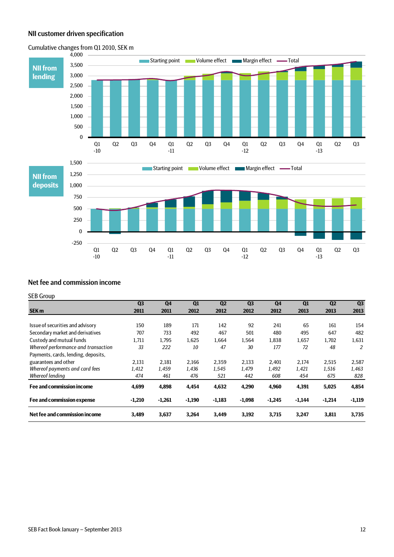## <span id="page-11-0"></span>NII customer driven specification



## Cumulative changes from Q1 2010, SEK m

### <span id="page-11-1"></span>Net fee and commission income

### SEB Group

|                                     | Q <sub>3</sub> | Q <sub>4</sub> | $\mathbf{Q}$ | $\Omega$ | Q <sub>3</sub> | Q <sub>4</sub> | $\mathbf{Q}$ | $\mathbf{Q2}$ | Q <sub>3</sub> |
|-------------------------------------|----------------|----------------|--------------|----------|----------------|----------------|--------------|---------------|----------------|
| <b>SEK m</b>                        | 2011           | 2011           | 2012         | 2012     | 2012           | 2012           | 2013         | 2013          | 2013           |
|                                     |                |                |              |          |                |                |              |               |                |
| Issue of securities and advisory    | 150            | 189            | 171          | 142      | 92             | 241            | 65           | 161           | 154            |
| Secondary market and derivatives    | 707            | 733            | 492          | 467      | 501            | 480            | 495          | 647           | 482            |
| Custody and mutual funds            | 1,711          | 1.795          | 1,625        | 1,664    | 1,564          | 1,838          | 1,657        | 1,702         | 1,631          |
| Whereof performance and transaction | 33             | 222            | 10           | 47       | 30             | 177            | 72           | 48            | 2              |
| Payments, cards, lending, deposits, |                |                |              |          |                |                |              |               |                |
| guarantees and other                | 2.131          | 2,181          | 2,166        | 2,359    | 2,133          | 2.401          | 2,174        | 2,515         | 2,587          |
| Whereof payments and card fees      | 1,412          | 1,459          | 1.436        | 1,545    | 1,479          | 1.492          | 1,421        | 1,516         | 1,463          |
| Whereof lending                     | 474            | 461            | 476          | 521      | 442            | 608            | 454          | 675           | 828            |
| <b>Fee and commission income</b>    | 4,699          | 4,898          | 4,454        | 4,632    | 4,290          | 4,960          | 4,391        | 5,025         | 4,854          |
| Fee and commission expense          | $-1,210$       | $-1,261$       | $-1,190$     | $-1,183$ | $-1,098$       | $-1,245$       | $-1,144$     | $-1,214$      | $-1,119$       |
| Net fee and commission income       | 3,489          | 3,637          | 3,264        | 3,449    | 3,192          | 3,715          | 3,247        | 3,811         | 3,735          |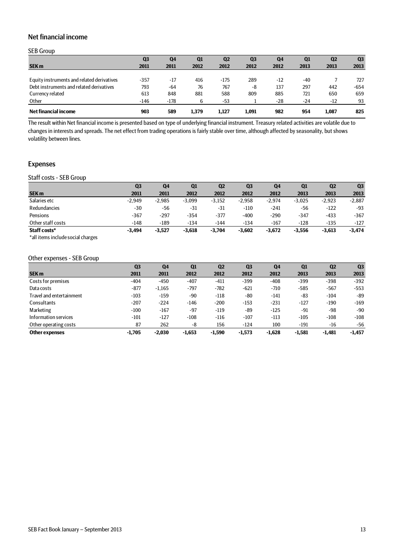# <span id="page-12-0"></span>Net financial income

### SEB Group

| <b>SEK m</b>                               | Q <sub>3</sub><br>2011 | Q4<br>2011 | Q <sub>1</sub><br>2012 | Q <sub>2</sub><br>2012 | Q <sub>3</sub><br>2012 | Q4<br>2012 | Q1<br>2013 | Q <sub>2</sub><br>2013 | Q <sub>3</sub><br>2013 |
|--------------------------------------------|------------------------|------------|------------------------|------------------------|------------------------|------------|------------|------------------------|------------------------|
|                                            |                        |            |                        |                        |                        |            |            |                        |                        |
| Equity instruments and related derivatives | $-357$                 | $-17$      | 416                    | -175                   | 289                    | $-12$      | $-40$      |                        | 727                    |
| Debt instruments and related derivatives   | 793                    | $-64$      | 76                     | 767                    | -8                     | 137        | 297        | 442                    | $-654$                 |
| Currency related                           | 613                    | 848        | 881                    | 588                    | 809                    | 885        | 721        | 650                    | 659                    |
| Other                                      | $-146$                 | $-178$     | b                      | -53                    |                        | $-28$      | $-24$      | $-12$                  | 93                     |
| Net financial income                       | 903                    | 589        | 1,379                  | 1.127                  | 1.091                  | 982        | 954        | 1.087                  | 825                    |

The result within Net financial income is presented based on type of underlying financial instrument. Treasury related activities are volatile due to changes in interests and spreads. The net effect from trading operations is fairly stable over time, although affected by seasonality, but shows volatility between lines.

### <span id="page-12-1"></span>Expenses

### <span id="page-12-2"></span>Staff costs - SEB Group

|                   | Q <sub>3</sub> | Q <sub>4</sub> | Q1       | Q <sub>2</sub> | Q <sub>3</sub> | Q4       | Q1       | Q <sub>2</sub> | Q <sub>3</sub> |
|-------------------|----------------|----------------|----------|----------------|----------------|----------|----------|----------------|----------------|
| <b>SEK m</b>      | 2011           | 2011           | 2012     | 2012           | 2012           | 2012     | 2013     | 2013           | 2013           |
| Salaries etc      | $-2.949$       | $-2.985$       | $-3,099$ | $-3,152$       | $-2.958$       | $-2.974$ | $-3,025$ | $-2,923$       | $-2,887$       |
| Redundancies      | $-30$          | -56            | $-31$    | $-31$          | $-110$         | -241     | -56      | $-122$         | $-93$          |
| Pensions          | -367           | $-297$         | $-354$   | $-377$         | $-400$         | $-290$   | $-347$   | $-433$         | $-367$         |
| Other staff costs | -148           | $-189$         | $-134$   | $-144$         | $-134$         | $-167$   | $-128$   | $-135$         | $-127$         |
| Staff costs*      | $-3.494$       | $-3,527$       | $-3,618$ | $-3.704$       | $-3,602$       | $-3,672$ | $-3,556$ | $-3,613$       | $-3,474$       |

\*all items include social charges

### <span id="page-12-3"></span>Other expenses - SEB Group

|                          | Q <sub>3</sub> | Q <sub>4</sub> | Q1       | Q <sub>2</sub> | Q <sub>3</sub> | Q <sub>4</sub> | Q1       | Q <sub>2</sub> | Q <sub>3</sub> |
|--------------------------|----------------|----------------|----------|----------------|----------------|----------------|----------|----------------|----------------|
| SEK <sub>m</sub>         | 2011           | 2011           | 2012     | 2012           | 2012           | 2012           | 2013     | 2013           | 2013           |
| Costs for premises       | $-404$         | $-450$         | $-407$   | $-411$         | $-399$         | $-408$         | $-399$   | $-398$         | $-392$         |
| Data costs               | $-877$         | $-1,165$       | $-797$   | $-782$         | $-621$         | $-710$         | $-585$   | $-567$         | $-553$         |
| Travel and entertainment | $-103$         | $-159$         | $-90$    | $-118$         | $-80$          | $-141$         | -83      | $-104$         | -89            |
| Consultants              | $-207$         | $-224$         | $-146$   | $-200$         | $-153$         | $-231$         | $-127$   | $-190$         | $-169$         |
| Marketing                | $-100$         | $-167$         | $-97$    | $-119$         | -89            | $-125$         | $-91$    | -98            | $-90$          |
| Information services     | $-101$         | $-127$         | $-108$   | $-116$         | $-107$         | $-113$         | $-105$   | $-108$         | $-108$         |
| Other operating costs    | 87             | 262            | -8       | 156            | $-124$         | 100            | $-191$   | $-16$          | $-56$          |
| Other expenses           | $-1,705$       | $-2,030$       | $-1,653$ | $-1,590$       | $-1,573$       | $-1,628$       | $-1,581$ | $-1,481$       | $-1,457$       |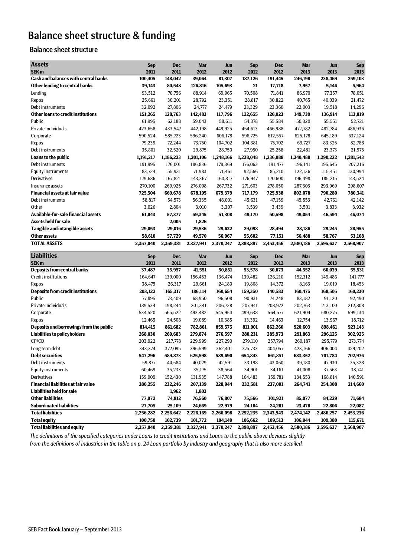# <span id="page-13-0"></span>Balance sheet structure & funding

# <span id="page-13-1"></span>Balance sheet structure

| <b>Assets</b>                                              | <b>Sep</b>           | <b>Dec</b>           | <b>Mar</b>           | Jun                  | <b>Sep</b>           | <b>Dec</b>           | <b>Mar</b>           | Jun                  | <b>Sep</b>           |
|------------------------------------------------------------|----------------------|----------------------|----------------------|----------------------|----------------------|----------------------|----------------------|----------------------|----------------------|
| SEK <sub>m</sub>                                           | 2011                 | 2011                 | 2012                 | 2012                 | 2012                 | 2012                 | 2013                 | 2013                 | 2013                 |
| Cash and balances with central banks                       | 100,405              | 148,042              | 39,064               | 81,307               | 187,126              | 191,445              | 246,198              | 238,469              | 259,103              |
| Other lending to central banks                             | 39,143               | 80,548               | 126,816              | 105,693              | 21                   | 17,718               | 7,957                | 5,146                | 5,964                |
| Lending                                                    | 93,512               | 70,756               | 88.914               | 69,965               | 70,508               | 71,841               | 86,970               | 77,357               | 78,051               |
| Repos                                                      | 25,661               | 30,201               | 28,792               | 23,351               | 28,817               | 30,822               | 40,765               | 40,039               | 21,472               |
| Debt instruments                                           | 32,092               | 27,806               | 24,777               | 24,479               | 23,329               | 23,360               | 22,003               | 19,518               | 14,296               |
| Other loans to credit institutions                         | 151,265              | 128,763              | 142,483              | 117,796              | 122,655              | 126,023              | 149,739              | 136,914              | 113,819              |
| Public                                                     | 61,995               | 62,188               | 59,043               | 58,611               | 54,378               | 55,584               | 50,320               | 55,551               | 52,721               |
| Private Individuals                                        | 423,658              | 433,547              | 442,198              | 449,925              | 454,613              | 466,988              | 472,782              | 482,784              | 486,936              |
| Corporate                                                  | 590,524              | 585,723              | 596,240              | 606,178              | 596,725              | 612,557              | 625,178              | 645,189              | 637,124              |
| Repos                                                      | 79,239               | 72,244               | 73,750               | 104,702              | 104,381              | 75,702               | 69,727               | 83,325               | 82,788               |
| Debt instruments                                           | 35,801               | 32,520               | 29,875               | 28,750               | 27,950               | 25,258               | 22,481               | 23,373               | 21,975               |
| Loans to the public                                        | 1,191,217            | 1,186,223            | 1,201,106            | 1,248,166            | 1,238,048            | 1,236,088            | 1,240,488            | 1,290,222            | 1,281,543            |
| Debt instruments                                           | 191,995              | 176,001              | 186,836              | 179,369              | 176,063              | 191,477              | 196,141              | 195,645              | 207,216              |
| <b>Equity instruments</b>                                  | 83,724               | 55,931               | 71,983               | 71,461               | 92,566               | 85,210               | 122,136              | 115,451              | 130,994              |
| Derivatives                                                | 179,686              | 167,821              | 143,367              | 160,817              | 176,947              | 170,600              | 196,498              | 185,215              | 143,524              |
| Insurance assets                                           | 270,100              | 269,925              | 276,008              | 267,732              | 271,603              | 278,650              | 287,303              | 293,969              | 298,607              |
| <b>Financial assets at fair value</b>                      | 725,504              | 669,678              | 678,195              | 679,379              | 717,179              | 725,938              | 802,078              | 790,280              | 780,341              |
| Debt instruments                                           | 58,817               | 54,573               | 56,335               | 48,001               | 45,631               | 47,159               | 45,553               | 42,761               | 42,142               |
| Other                                                      | 3,026                | 2,804                | 3,010                | 3,307                | 3,539                | 3,439                | 3,501                | 3,833                | 3,932                |
| Available-for-sale financial assets                        | 61,843               | 57,377               | 59,345               | 51,308               | 49,170               | 50,598               | 49,054               | 46,594               | 46,074               |
| <b>Assets held for sale</b>                                |                      | 2,005                | 1,826                |                      |                      |                      |                      |                      |                      |
| Tangible and intangible assets                             | 29,053               | 29,016               | 29,536               | 29,632               | 29,098               | 28,494               | 28,186               | 29,245               | 28,955               |
| <b>Other assets</b>                                        | 58,610               | 57,729               | 49,570               | 56,967               | 55,602               | 77,151               | 56,488               | 58,767               | 53,108               |
| <b>TOTAL ASSETS</b>                                        | 2,357,040            | 2,359,381            | 2,327,941            | 2,370,247            | 2,398,897            | 2,453,456            | 2,580,186            | 2,595,637            | 2,568,907            |
|                                                            |                      |                      |                      |                      |                      |                      |                      |                      |                      |
| <b>Liabilities</b>                                         |                      | <b>Dec</b>           | <b>Mar</b>           | Jun                  | Sep                  | <b>Dec</b>           | <b>Mar</b>           | Jun                  | <b>Sep</b>           |
| SEK <sub>m</sub>                                           | <b>Sep</b><br>2011   | 2011                 | 2012                 | 2012                 | 2012                 | 2012                 | 2013                 | 2013                 | 2013                 |
| <b>Deposits from central banks</b>                         | 37,487               | 35,957               | 41,551               | 50,851               | 53,578               | 30,073               | 44,552               | 60,039               | 55,531               |
| Credit institutions                                        | 164,647              | 139,000              | 156,453              | 136,474              | 139,482              | 126,210              | 152,312              | 149,486              | 141,777              |
| Repos                                                      | 38,475               | 26,317               | 29,661               | 24,180               | 19,868               | 14,372               | 8,163                | 19,019               | 18,453               |
| <b>Deposits from credit institutions</b>                   | 203,122              | 165,317              | 186,114              | 160,654              | 159,350              | 140,583              | 160,475              | 168,505              | 160,230              |
| Public                                                     | 77,895               | 73,409               | 68,950               | 96,508               | 90,931               | 74,248               | 83,182               | 91,120               | 92,490               |
| Private Individuals                                        | 189,534              | 198,244              | 201,341              | 206,728              | 207,941              | 208,972              | 202,763              | 213,100              | 212,808              |
| Corporate                                                  | 534,520              | 565,522              | 493,482              | 545,954              | 499,638              | 564,577              | 621,904              | 580,275              | 599,134              |
| Repos                                                      | 12,465               | 24,508               | 19,089               | 10,385               | 13,392               | 14,463               | 12,754               | 13,967               | 18,712               |
| Deposits and borrowings from the public                    | 814,415              | 861,682              | 782,861              | 859,575              | 811,901              | 862,260              | 920,603              | 898,461              | 923,143              |
| Liabilities to policyholders                               | 268,030              | 269,683              | 279,874              | 276,597              | 280,231              | 285,973              | 291,863              | 296,125              | 302,925              |
| CP/CD                                                      | 203,922              | 217,778              | 229,999              | 227,290              | 279,110              | 257,794              | 260,187              | 295,779              | 273,774              |
| Long term debt                                             | 343,374              | 372,095              | 395,599              | 362,401              | 375,733              | 404,057              | 423,166              | 406,004              | 429,202              |
| <b>Debt securities</b>                                     | 547,296              | 589,873              | 625,598              | 589,690              | 654,843              | 661,851              | 683,352              | 701,784              | 702,976              |
| Debt instruments                                           | 59,877               | 44,584               | 40,029               | 42,591               | 33,198               | 43,060               | 39,180               | 47,930               | 35,328               |
| <b>Equity instruments</b>                                  | 60,469               | 35,233               | 35,175               | 38,564               | 34,901               | 34,161               | 41,008               | 37,563               | 38,741               |
| Derivatives                                                | 159,909              | 152,430              | 131,935              | 147,788              | 164,483              | 159,781              | 184,553              | 168,814              | 140,591              |
| <b>Financial liabilities at fair value</b>                 | 280,255              | 232,246              | 207,139              | 228,944              | 232,581              | 237,001              | 264,741              | 254,308              | 214,660              |
| Liabilities held for sale                                  |                      | 1,962                | 1,803                |                      |                      |                      |                      |                      |                      |
| <b>Other liabilities</b>                                   | 77,972               | 74,812               | 76,560               | 76,807               | 75,566               | 101,921              | 85,077               | 84,229               | 71,684               |
| <b>Subordinated liabilities</b>                            | 27,705               | 25,109               | 24,669               | 22,979               | 24,184               | 24,281               | 23,478               | 22,806               | 22,087               |
| <b>Total liabilities</b>                                   | 2,256,282            | 2,256,642            | 2,226,169            | 2,266,098            | 2,292,235            | 2,343,943            | 2,474,142            | 2,486,257            | 2,453,236            |
| <b>Total equity</b><br><b>Total liabilities and equity</b> | 100,758<br>2,357,040 | 102,739<br>2,359,381 | 101,772<br>2,327,941 | 104,149<br>2,370,247 | 106,662<br>2,398,897 | 109,513<br>2,453,456 | 106,044<br>2,580,186 | 109,380<br>2,595,637 | 115,671<br>2,568,907 |

*The definitions of the specified categories under Loans to credit institutions and Loans to the public above deviates slightly* 

*from the definitions of industries in the table on p. 24 Loan portfolio by industry and geography that is also more detailed.*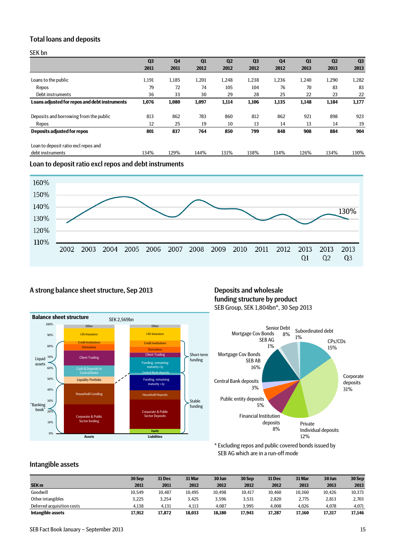## <span id="page-14-0"></span>Total loans and deposits

SEK bn

|                                               | Q <sub>3</sub> | Q <sub>4</sub> | Q1    | Q <sub>2</sub> | Q <sub>3</sub> | <b>Q4</b> | Q1    | Q <sub>2</sub> | Q <sub>3</sub> |
|-----------------------------------------------|----------------|----------------|-------|----------------|----------------|-----------|-------|----------------|----------------|
|                                               | 2011           | 2011           | 2012  | 2012           | 2012           | 2012      | 2013  | 2013           | 2013           |
| Loans to the public                           | 1,191          | 1,185          | 1,201 | 1,248          | 1,238          | 1,236     | 1,240 | 1,290          | 1,282          |
| Repos                                         | 79             | 72             | 74    | 105            | 104            | 76        | 70    | 83             | 83             |
| Debt instruments                              | 36             | 33             | 30    | 29             | 28             | 25        | 22    | 23             | 22             |
| Loans adjusted for repos and debt instruments | 1,076          | 1,080          | 1,097 | 1,114          | 1,106          | 1,135     | 1,148 | 1,184          | 1,177          |
| Deposits and borrowing from the public        | 813            | 862            | 783   | 860            | 812            | 862       | 921   | 898            | 923            |
| Repos                                         | 12             | 25             | 19    | 10             | 13             | 14        | 13    | 14             | 19             |
| Deposits adjusted for repos                   | 801            | 837            | 764   | 850            | 799            | 848       | 908   | 884            | 904            |
| Loan to deposit ratio excl repos and          |                |                |       |                |                |           |       |                |                |
| debt instruments                              | 134%           | 129%           | 144%  | 131%           | 138%           | 134%      | 126%  | 134%           | 130%           |

<span id="page-14-1"></span>Loan to deposit ratio excl repos and debt instruments



# <span id="page-14-2"></span>A strong balance sheet structure, Sep 2013 Deposits and wholesale

# funding structure by product SEB Group, SEK 1,804bn\*, 30 Sep 2013





\* Excluding repos and public covered bonds issued by SEB AG which are in a run-off mode

## <span id="page-14-3"></span>Intangible assets

|                            | 30 Sep | 31 Dec | 31 Mar | 30 Jun | 30 Sep | 31 Dec | 31 Mar | 30 Jun | 30 Sep |
|----------------------------|--------|--------|--------|--------|--------|--------|--------|--------|--------|
| <b>SEK m</b>               | 2011   | 2011   | 2012   | 2012   | 2012   | 2012   | 2013   | 2013   | 2013   |
| Goodwill                   | 10.549 | 10.487 | 10.495 | 10.498 | 10.417 | 10.460 | 10.360 | 10.426 | 10,373 |
| Other intangibles          | 3.225  | 3.254  | 3.425  | 3.596  | 3,531  | 2,820  | 2.775  | 2.813  | 2,703  |
| Deferred acquisition costs | 4.138  | 4.131  | 4,113  | 4.087  | 3.995  | 4.008  | 4.026  | 4.078  | 4,071  |
| Intangible assets          | 17,912 | 17.872 | 18.033 | 18.180 | 17.943 | 17.287 | 17,160 | 17,317 | 17,146 |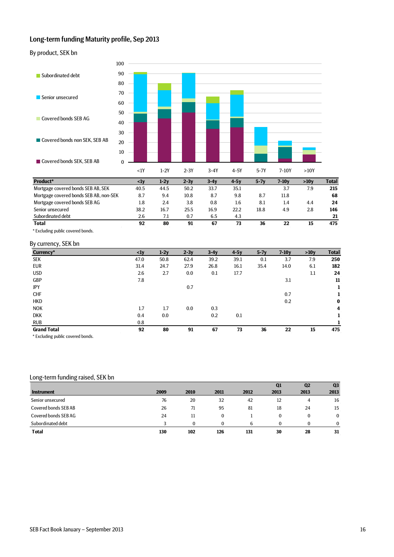# <span id="page-15-0"></span>Long-term funding Maturity profile, Sep 2013

<span id="page-15-1"></span>By product, SEK bn



| Product*                               | <1۷  | 1-2V | 2-3V | 3-4V | 4-5V | 5-7  | 7-10V | >10V | Total |
|----------------------------------------|------|------|------|------|------|------|-------|------|-------|
| Mortgage covered bonds SEB AB, SEK     | 40.5 | 44.5 | 50.2 | 33.7 | 35.1 |      | 3.7   | 7.9  | 215   |
| Mortgage covered bonds SEB AB, non-SEK | 8.7  | 9.4  | 10.8 | 8.7  | 9.8  | 8.7  | 11.8  |      | 68    |
| Mortgage covered bonds SEB AG          | 1.8  | 2.4  | 3.8  | 0.8  | 1.6  | 8.1  | 1.4   | 4.4  | 24    |
| Senior unsecured                       | 38.2 | 16.7 | 25.5 | 16.9 | 22.2 | 18.8 | 4.9   | 2.8  | 146   |
| Subordinated debt                      | 2.6  | 7.1  | 0.7  | 6.5  | 4.3  |      |       |      | 21    |
| <b>Total</b>                           | 92   | 80   | 91   | 67   | 73   | 36   | 22    | 15   | 475   |
|                                        |      |      |      |      |      |      |       |      |       |

\* Excluding public covered bonds.

### <span id="page-15-2"></span>By currency, SEK bn

| Currency*          | $\langle 1y$ | $1-2y$ | $2-3y$ | $3-4y$ | $4-5y$ | $5-7y$ | $7-10y$ | >10y | <b>Total</b> |
|--------------------|--------------|--------|--------|--------|--------|--------|---------|------|--------------|
| SEK                | 47.0         | 50.8   | 62.4   | 39.2   | 39.1   | 0.1    | 3.7     | 7.9  | 250          |
| <b>EUR</b>         | 31.4         | 24.7   | 27.9   | 26.8   | 16.1   | 35.4   | 14.0    | 6.1  | 182          |
| <b>USD</b>         | 2.6          | 2.7    | 0.0    | 0.1    | 17.7   |        |         | 1.1  | 24           |
| GBP                | 7.8          |        |        |        |        |        | 3.1     |      | 11           |
| JPY                |              |        | 0.7    |        |        |        |         |      | 1            |
| <b>CHF</b>         |              |        |        |        |        |        | 0.7     |      | 1            |
| <b>HKD</b>         |              |        |        |        |        |        | 0.2     |      | $\bf{0}$     |
| <b>NOK</b>         | 1.7          | 1.7    | 0.0    | 0.3    |        |        |         |      | 4            |
| <b>DKK</b>         | 0.4          | 0.0    |        | 0.2    | 0.1    |        |         |      | 1            |
| <b>RUB</b>         | 0.8          |        |        |        |        |        |         |      |              |
| <b>Grand Total</b> | 92           | 80     | 91     | 67     | 73     | 36     | 22      | 15   | 475          |
| .                  |              |        |        |        |        |        |         |      |              |

\* Excluding public covered bonds.

### <span id="page-15-3"></span>Long-term funding raised, SEK bn

|                      |      |      |          |      | Q1   | Q <sub>2</sub> | Q <sub>3</sub> |
|----------------------|------|------|----------|------|------|----------------|----------------|
| <b>Instrument</b>    | 2009 | 2010 | 2011     | 2012 | 2013 | 2013           | 2013           |
| Senior unsecured     | 76   | 20   | 32       | 42   | 12   | 4              | 16             |
| Covered bonds SEB AB | 26   | 71   | 95       | 81   | 18   | 24             | 15             |
| Covered bonds SEBAG  | 24   | 11   | $\bf{0}$ |      | 0    |                | $\bf{0}$       |
| Subordinated debt    |      |      |          | h    | 0    |                | $\Omega$       |
| <b>Total</b>         | 130  | 102  | 126      | 131  | 30   | 28             | 31             |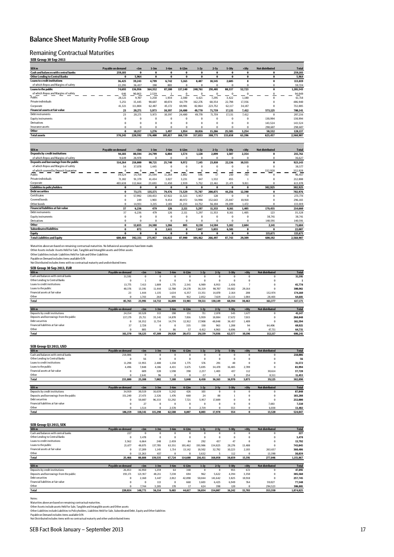## <span id="page-16-0"></span>Balance Sheet Maturity Profile SEB Group

### <span id="page-16-1"></span>Remaining Contractual Maturities

### **SEB Group 30 Sep 2013**

| <b>Cash and balances with central banks</b><br>$\bf{0}$<br>259.103<br>$\theta$<br>$\bf{0}$<br>$\bf{0}$<br>$\theta$<br>$\bf{0}$<br>$\bf{0}$<br>$\bf{0}$<br>$\mathbf{0}$<br><b>Other Lending to Central Banks</b><br>5,964<br>$\bf{0}$<br>$\bf{0}$<br>$\bf{0}$<br>$\bf{0}$<br>$\bf{0}$<br>$\bf{0}$<br>$\mathbf{0}$<br>$\bf{0}$<br>$\bf{0}$<br><b>Loans to credit institutions</b><br>39.243<br>6,742<br>5.165<br>8.487<br>8<br>$\mathbf{0}$<br>36.425<br>4.799<br>10.345<br>2,605<br>of which Repos and Margins of safety<br>22.295<br>36.437<br>190<br>803<br>$\bf{0}$<br>$\bf{0}$<br>$\bf{0}$<br>$\mathbf{0}$<br>$\bf{0}$<br>$\bf{0}$<br>Loans to the public<br>74,693<br>136,956<br>164,352<br>87,180<br>137,140<br>248,761<br>291,401<br>88,337<br>52,723<br>$\bf{0}$<br>of which Repos and Margins of safety<br>$\pmb{0}$<br>646<br>90,863<br>2,539<br>0<br>0<br>$\bf{0}$<br>$\bf{0}$<br>$\mathbf{0}$<br>ı<br>Public<br>28,121<br>9.707<br>3.258<br>7,295<br>3,422<br>1.180<br>$\mathbf{0}$<br>1.934<br>2,380<br>4,421<br>Private individuals<br>5.251<br>15,445<br>98.607<br>40.074<br>64.779<br>162.276<br>60.354<br>22,798<br>17.356<br>$\mathbf{0}$<br>Corporate<br>41.321<br>111.804<br>45.172<br>69.981<br>82.064<br>223.752<br>62.117<br>34.187<br>62.487<br>$\mathbf{0}$<br><b>Financial assets at fair value</b><br>23<br>20.271<br>24,480<br>49.770<br>71,759<br>5,973<br>10.397<br>17,131<br>7,412<br>573.125<br>Debt instruments<br>23<br>7.412<br>20.271<br>5.973<br>24,480<br>49.770<br>71.759<br>17.131<br>$\Omega$<br>10.397<br><b>Equity instruments</b><br>$\bf{0}$<br>0<br>$\bf{0}$<br>$\bf{0}$<br>$\bf{0}$<br>$\bf{0}$<br>$\bf{0}$<br>$\bf{0}$<br>$\bf{0}$<br>130.994<br>Derivatives<br>$\Omega$<br>$\bf{0}$<br>$\Omega$<br>$\bf{0}$<br>$\bf{0}$<br>$\bf{0}$<br>$\Omega$<br>$\theta$<br>$\bf{0}$<br>143.524<br>Insurance assets<br>$\bf{0}$<br>$\bf{0}$<br>298,607<br>0<br>$\bf{0}$<br>$\bf{0}$<br>0<br>$\bf{0}$<br>$\bf{0}$<br>$\bf{0}$<br>Other<br>0<br>1.276<br>1.497<br>1.954<br>10.816<br>3.254<br>50.332<br>18.157<br>15.266<br>25.585<br><b>Total assets</b><br>370.245<br>220.592<br>176,400<br>105.817<br>168.739<br>317.833<br>388,771<br>133.658<br>63.396<br>623,457<br>SEK <sub>m</sub><br>Payable on demand<br><b>Not distributed</b><br>$1-3m$<br>$3-6m$<br>$6-12m$<br>$1-2y$<br>$2-5y$<br>$5-10y$<br>>10v<br>$<$ 1m<br><b>Deposits by credit institutions</b><br>94,103<br>80,594<br>24,799<br>6,804<br>1,574<br>1,128<br>2,899<br>2,354<br>1,507<br>$\bf{0}$<br>of which Repos and Margins of safety<br>9.649<br>26.978<br>$\bf{0}$<br>$\bf{0}$<br>$\bf{0}$<br>$\bf{0}$<br>$\bf{0}$<br>$\bf{0}$<br>$\mathbf{0}$<br>$\mathbf 0$<br>Deposits and borrowings from the public<br>9,972<br>7,145<br>23,810<br>10.555<br>$\bf{0}$<br>514,264<br>218,800<br>90,721<br>25,740<br>22,136<br>of which Repos and Margins of safety<br>$\bf{0}$<br>$\bf{0}$<br>$\mathbf 0$<br>$\Omega$<br>54<br>37,078<br>1,445<br>$\bf{0}$<br>$\Omega$<br>$\Omega$<br>of which covered by Deposit Guarantee<br>$\mathbf{0}$<br>$\bf{0}$<br>$\bf{0}$<br>332,928<br>$\Omega$<br>$\bf{0}$<br>$\mathbf{0}$<br>$\mathbf 0$<br>0<br>$\mathbf{0}$<br>Public<br>3,802<br>17<br>743<br>39,524<br>25,594<br>11,264<br>546<br>210<br>14,758<br>$\Omega$<br>Private individuals<br>71.102<br>3.027<br>3.231<br>847<br>1.332<br>91.379<br>41.434<br>455<br>$\mathbf{1}$<br>$\mathbf 0$<br>Corporate<br>2,939<br>5.752<br>9.811<br>$\Omega$<br>403.638<br>112,664<br>23,693<br>11,450<br>22.461<br>21.471<br>Liabilities to policyholders<br>$\bf{0}$<br>302.925<br>$\bf{0}$<br>$\bf{0}$<br>$\bf{0}$<br>$\bf{0}$<br>$\bf{0}$<br>$\bf{0}$<br>$\bf{0}$<br>$\bf{0}$<br><b>Debt securities</b><br>73,171<br>135,571<br>73,529<br>75,707<br>208,875<br>44,256<br>12,390<br>$\bf{0}$<br>79,476<br>$\bf{0}$<br>Certificates<br>$\bf{0}$<br>$\mathbf{0}$<br>57,992<br>11,323<br>5,957<br>128<br>$\bf{0}$<br>$\mathbf{0}$<br>130,453<br>67,922<br><b>Covered bonds</b><br>0<br>9.454<br>40,972<br>54,998<br>152.643<br>10.918<br>249<br>1.903<br>25.047<br>$\mathbf 0$<br>Other bonds<br>0<br>14.931<br>3,215<br>2,101<br>21,233<br>14,752<br>56,104<br>19,209<br>1,472<br>$\mathbf 0$<br><b>Financial liabilities at fair value</b><br>37<br>479<br>126<br>2.111<br>5.297<br>179.455<br>6.236<br>11.353<br>8.161<br>1.405<br>Debt instruments<br>37<br>6.236<br>479<br>126<br>2.111<br>5.297<br>11.353<br>1.405<br>123<br>8,161<br><b>Equity instruments</b><br>$\bf{0}$<br>38.741<br>0<br>$\bf{0}$<br>$\bf{0}$<br>$\bf{0}$<br>$\mathbf 0$<br>$\bf{0}$<br>$\bf{0}$<br>$\Omega$<br>Derivatives<br>$\bf{0}$<br>$\bf{0}$<br>0<br>$\bf{0}$<br>$\mathbf 0$<br>$\mathbf 0$<br>$\bf{0}$<br>$\bf{0}$<br>$\bf{0}$<br>140.591<br>Other<br>$\bf{0}$<br>12.655<br>24.388<br>1.266<br>805<br>2,141<br>8.138<br>14,504<br>5,182<br>2,604<br><b>Subordinated liabilities</b><br>0<br>873<br>$\bf{0}$<br>2.611<br>$\bf{0}$<br>7.047<br>$\bf{0}$<br>5.055<br>6,501<br>$\bf{0}$<br>Equity<br>0<br>$\bf{0}$<br>$\bf{0}$<br>$\bf{0}$<br>$\bf{0}$<br>$\bf{0}$<br>$\bf{0}$<br>$\bf{0}$<br>$\bf{0}$<br>115,671<br><b>Total Liabilities and Equity</b><br>392,331<br>116.022<br>608.404<br>275,957<br>87,990<br>104.462<br>266.497<br>87,743<br>29.309<br>600.192 | SEK <sub>m</sub> | Payable on demand | $<$ 1m | $1-3m$ | $3-6m$ | $6-12m$ | $1-2y$ | $2-5y$ | $5-10y$ | >10y | <b>Not distributed</b> | <b>Total</b> |
|----------------------------------------------------------------------------------------------------------------------------------------------------------------------------------------------------------------------------------------------------------------------------------------------------------------------------------------------------------------------------------------------------------------------------------------------------------------------------------------------------------------------------------------------------------------------------------------------------------------------------------------------------------------------------------------------------------------------------------------------------------------------------------------------------------------------------------------------------------------------------------------------------------------------------------------------------------------------------------------------------------------------------------------------------------------------------------------------------------------------------------------------------------------------------------------------------------------------------------------------------------------------------------------------------------------------------------------------------------------------------------------------------------------------------------------------------------------------------------------------------------------------------------------------------------------------------------------------------------------------------------------------------------------------------------------------------------------------------------------------------------------------------------------------------------------------------------------------------------------------------------------------------------------------------------------------------------------------------------------------------------------------------------------------------------------------------------------------------------------------------------------------------------------------------------------------------------------------------------------------------------------------------------------------------------------------------------------------------------------------------------------------------------------------------------------------------------------------------------------------------------------------------------------------------------------------------------------------------------------------------------------------------------------------------------------------------------------------------------------------------------------------------------------------------------------------------------------------------------------------------------------------------------------------------------------------------------------------------------------------------------------------------------------------------------------------------------------------------------------------------------------------------------------------------------------------------------------------------------------------------------------------------------------------------------------------------------------------------------------------------------------------------------------------------------------------------------------------------------------------------------------------------------------------------------------------------------------------------------------------------------------------------------------------------------------------------------------------------------------------------------------------------------------------------------------------------------------------------------------------------------------------------------------------------------------------------------------------------------------------------------------------------------------------------------------------------------------------------------------------------------------------------------------------------------------------------------------------------------------------------------------------------------------------------------------------------------------------------------------------------------------------------------------------------------------------------------------------------------------------------------------------------------------------------------------------------------------------------------------------------------------------------------------------------------------------------------------------------------------------------------------------------------------------------------------------------------------------------------------------------------------------------------------------------------------------------------------------------------------------------------------------------------------------------------------------------------------------------------------------------------------------------------------------------------------------------------------------------------|------------------|-------------------|--------|--------|--------|---------|--------|--------|---------|------|------------------------|--------------|
|                                                                                                                                                                                                                                                                                                                                                                                                                                                                                                                                                                                                                                                                                                                                                                                                                                                                                                                                                                                                                                                                                                                                                                                                                                                                                                                                                                                                                                                                                                                                                                                                                                                                                                                                                                                                                                                                                                                                                                                                                                                                                                                                                                                                                                                                                                                                                                                                                                                                                                                                                                                                                                                                                                                                                                                                                                                                                                                                                                                                                                                                                                                                                                                                                                                                                                                                                                                                                                                                                                                                                                                                                                                                                                                                                                                                                                                                                                                                                                                                                                                                                                                                                                                                                                                                                                                                                                                                                                                                                                                                                                                                                                                                                                                                                                                                                                                                                                                                                                                                                                                                                                                                                                                                                                  |                  |                   |        |        |        |         |        |        |         |      |                        | 259.103      |
|                                                                                                                                                                                                                                                                                                                                                                                                                                                                                                                                                                                                                                                                                                                                                                                                                                                                                                                                                                                                                                                                                                                                                                                                                                                                                                                                                                                                                                                                                                                                                                                                                                                                                                                                                                                                                                                                                                                                                                                                                                                                                                                                                                                                                                                                                                                                                                                                                                                                                                                                                                                                                                                                                                                                                                                                                                                                                                                                                                                                                                                                                                                                                                                                                                                                                                                                                                                                                                                                                                                                                                                                                                                                                                                                                                                                                                                                                                                                                                                                                                                                                                                                                                                                                                                                                                                                                                                                                                                                                                                                                                                                                                                                                                                                                                                                                                                                                                                                                                                                                                                                                                                                                                                                                                  |                  |                   |        |        |        |         |        |        |         |      |                        | 5,964        |
|                                                                                                                                                                                                                                                                                                                                                                                                                                                                                                                                                                                                                                                                                                                                                                                                                                                                                                                                                                                                                                                                                                                                                                                                                                                                                                                                                                                                                                                                                                                                                                                                                                                                                                                                                                                                                                                                                                                                                                                                                                                                                                                                                                                                                                                                                                                                                                                                                                                                                                                                                                                                                                                                                                                                                                                                                                                                                                                                                                                                                                                                                                                                                                                                                                                                                                                                                                                                                                                                                                                                                                                                                                                                                                                                                                                                                                                                                                                                                                                                                                                                                                                                                                                                                                                                                                                                                                                                                                                                                                                                                                                                                                                                                                                                                                                                                                                                                                                                                                                                                                                                                                                                                                                                                                  |                  |                   |        |        |        |         |        |        |         |      |                        | 113,819      |
|                                                                                                                                                                                                                                                                                                                                                                                                                                                                                                                                                                                                                                                                                                                                                                                                                                                                                                                                                                                                                                                                                                                                                                                                                                                                                                                                                                                                                                                                                                                                                                                                                                                                                                                                                                                                                                                                                                                                                                                                                                                                                                                                                                                                                                                                                                                                                                                                                                                                                                                                                                                                                                                                                                                                                                                                                                                                                                                                                                                                                                                                                                                                                                                                                                                                                                                                                                                                                                                                                                                                                                                                                                                                                                                                                                                                                                                                                                                                                                                                                                                                                                                                                                                                                                                                                                                                                                                                                                                                                                                                                                                                                                                                                                                                                                                                                                                                                                                                                                                                                                                                                                                                                                                                                                  |                  |                   |        |        |        |         |        |        |         |      |                        | 59,724       |
|                                                                                                                                                                                                                                                                                                                                                                                                                                                                                                                                                                                                                                                                                                                                                                                                                                                                                                                                                                                                                                                                                                                                                                                                                                                                                                                                                                                                                                                                                                                                                                                                                                                                                                                                                                                                                                                                                                                                                                                                                                                                                                                                                                                                                                                                                                                                                                                                                                                                                                                                                                                                                                                                                                                                                                                                                                                                                                                                                                                                                                                                                                                                                                                                                                                                                                                                                                                                                                                                                                                                                                                                                                                                                                                                                                                                                                                                                                                                                                                                                                                                                                                                                                                                                                                                                                                                                                                                                                                                                                                                                                                                                                                                                                                                                                                                                                                                                                                                                                                                                                                                                                                                                                                                                                  |                  |                   |        |        |        |         |        |        |         |      |                        | 1,281,543    |
|                                                                                                                                                                                                                                                                                                                                                                                                                                                                                                                                                                                                                                                                                                                                                                                                                                                                                                                                                                                                                                                                                                                                                                                                                                                                                                                                                                                                                                                                                                                                                                                                                                                                                                                                                                                                                                                                                                                                                                                                                                                                                                                                                                                                                                                                                                                                                                                                                                                                                                                                                                                                                                                                                                                                                                                                                                                                                                                                                                                                                                                                                                                                                                                                                                                                                                                                                                                                                                                                                                                                                                                                                                                                                                                                                                                                                                                                                                                                                                                                                                                                                                                                                                                                                                                                                                                                                                                                                                                                                                                                                                                                                                                                                                                                                                                                                                                                                                                                                                                                                                                                                                                                                                                                                                  |                  |                   |        |        |        |         |        |        |         |      |                        | 94,049       |
|                                                                                                                                                                                                                                                                                                                                                                                                                                                                                                                                                                                                                                                                                                                                                                                                                                                                                                                                                                                                                                                                                                                                                                                                                                                                                                                                                                                                                                                                                                                                                                                                                                                                                                                                                                                                                                                                                                                                                                                                                                                                                                                                                                                                                                                                                                                                                                                                                                                                                                                                                                                                                                                                                                                                                                                                                                                                                                                                                                                                                                                                                                                                                                                                                                                                                                                                                                                                                                                                                                                                                                                                                                                                                                                                                                                                                                                                                                                                                                                                                                                                                                                                                                                                                                                                                                                                                                                                                                                                                                                                                                                                                                                                                                                                                                                                                                                                                                                                                                                                                                                                                                                                                                                                                                  |                  |                   |        |        |        |         |        |        |         |      |                        | 61,718       |
|                                                                                                                                                                                                                                                                                                                                                                                                                                                                                                                                                                                                                                                                                                                                                                                                                                                                                                                                                                                                                                                                                                                                                                                                                                                                                                                                                                                                                                                                                                                                                                                                                                                                                                                                                                                                                                                                                                                                                                                                                                                                                                                                                                                                                                                                                                                                                                                                                                                                                                                                                                                                                                                                                                                                                                                                                                                                                                                                                                                                                                                                                                                                                                                                                                                                                                                                                                                                                                                                                                                                                                                                                                                                                                                                                                                                                                                                                                                                                                                                                                                                                                                                                                                                                                                                                                                                                                                                                                                                                                                                                                                                                                                                                                                                                                                                                                                                                                                                                                                                                                                                                                                                                                                                                                  |                  |                   |        |        |        |         |        |        |         |      |                        | 486.940      |
|                                                                                                                                                                                                                                                                                                                                                                                                                                                                                                                                                                                                                                                                                                                                                                                                                                                                                                                                                                                                                                                                                                                                                                                                                                                                                                                                                                                                                                                                                                                                                                                                                                                                                                                                                                                                                                                                                                                                                                                                                                                                                                                                                                                                                                                                                                                                                                                                                                                                                                                                                                                                                                                                                                                                                                                                                                                                                                                                                                                                                                                                                                                                                                                                                                                                                                                                                                                                                                                                                                                                                                                                                                                                                                                                                                                                                                                                                                                                                                                                                                                                                                                                                                                                                                                                                                                                                                                                                                                                                                                                                                                                                                                                                                                                                                                                                                                                                                                                                                                                                                                                                                                                                                                                                                  |                  |                   |        |        |        |         |        |        |         |      |                        | 732.885      |
|                                                                                                                                                                                                                                                                                                                                                                                                                                                                                                                                                                                                                                                                                                                                                                                                                                                                                                                                                                                                                                                                                                                                                                                                                                                                                                                                                                                                                                                                                                                                                                                                                                                                                                                                                                                                                                                                                                                                                                                                                                                                                                                                                                                                                                                                                                                                                                                                                                                                                                                                                                                                                                                                                                                                                                                                                                                                                                                                                                                                                                                                                                                                                                                                                                                                                                                                                                                                                                                                                                                                                                                                                                                                                                                                                                                                                                                                                                                                                                                                                                                                                                                                                                                                                                                                                                                                                                                                                                                                                                                                                                                                                                                                                                                                                                                                                                                                                                                                                                                                                                                                                                                                                                                                                                  |                  |                   |        |        |        |         |        |        |         |      |                        | 780,341      |
|                                                                                                                                                                                                                                                                                                                                                                                                                                                                                                                                                                                                                                                                                                                                                                                                                                                                                                                                                                                                                                                                                                                                                                                                                                                                                                                                                                                                                                                                                                                                                                                                                                                                                                                                                                                                                                                                                                                                                                                                                                                                                                                                                                                                                                                                                                                                                                                                                                                                                                                                                                                                                                                                                                                                                                                                                                                                                                                                                                                                                                                                                                                                                                                                                                                                                                                                                                                                                                                                                                                                                                                                                                                                                                                                                                                                                                                                                                                                                                                                                                                                                                                                                                                                                                                                                                                                                                                                                                                                                                                                                                                                                                                                                                                                                                                                                                                                                                                                                                                                                                                                                                                                                                                                                                  |                  |                   |        |        |        |         |        |        |         |      |                        | 207,216      |
|                                                                                                                                                                                                                                                                                                                                                                                                                                                                                                                                                                                                                                                                                                                                                                                                                                                                                                                                                                                                                                                                                                                                                                                                                                                                                                                                                                                                                                                                                                                                                                                                                                                                                                                                                                                                                                                                                                                                                                                                                                                                                                                                                                                                                                                                                                                                                                                                                                                                                                                                                                                                                                                                                                                                                                                                                                                                                                                                                                                                                                                                                                                                                                                                                                                                                                                                                                                                                                                                                                                                                                                                                                                                                                                                                                                                                                                                                                                                                                                                                                                                                                                                                                                                                                                                                                                                                                                                                                                                                                                                                                                                                                                                                                                                                                                                                                                                                                                                                                                                                                                                                                                                                                                                                                  |                  |                   |        |        |        |         |        |        |         |      |                        | 130,994      |
|                                                                                                                                                                                                                                                                                                                                                                                                                                                                                                                                                                                                                                                                                                                                                                                                                                                                                                                                                                                                                                                                                                                                                                                                                                                                                                                                                                                                                                                                                                                                                                                                                                                                                                                                                                                                                                                                                                                                                                                                                                                                                                                                                                                                                                                                                                                                                                                                                                                                                                                                                                                                                                                                                                                                                                                                                                                                                                                                                                                                                                                                                                                                                                                                                                                                                                                                                                                                                                                                                                                                                                                                                                                                                                                                                                                                                                                                                                                                                                                                                                                                                                                                                                                                                                                                                                                                                                                                                                                                                                                                                                                                                                                                                                                                                                                                                                                                                                                                                                                                                                                                                                                                                                                                                                  |                  |                   |        |        |        |         |        |        |         |      |                        | 143.524      |
|                                                                                                                                                                                                                                                                                                                                                                                                                                                                                                                                                                                                                                                                                                                                                                                                                                                                                                                                                                                                                                                                                                                                                                                                                                                                                                                                                                                                                                                                                                                                                                                                                                                                                                                                                                                                                                                                                                                                                                                                                                                                                                                                                                                                                                                                                                                                                                                                                                                                                                                                                                                                                                                                                                                                                                                                                                                                                                                                                                                                                                                                                                                                                                                                                                                                                                                                                                                                                                                                                                                                                                                                                                                                                                                                                                                                                                                                                                                                                                                                                                                                                                                                                                                                                                                                                                                                                                                                                                                                                                                                                                                                                                                                                                                                                                                                                                                                                                                                                                                                                                                                                                                                                                                                                                  |                  |                   |        |        |        |         |        |        |         |      |                        | 298,607      |
|                                                                                                                                                                                                                                                                                                                                                                                                                                                                                                                                                                                                                                                                                                                                                                                                                                                                                                                                                                                                                                                                                                                                                                                                                                                                                                                                                                                                                                                                                                                                                                                                                                                                                                                                                                                                                                                                                                                                                                                                                                                                                                                                                                                                                                                                                                                                                                                                                                                                                                                                                                                                                                                                                                                                                                                                                                                                                                                                                                                                                                                                                                                                                                                                                                                                                                                                                                                                                                                                                                                                                                                                                                                                                                                                                                                                                                                                                                                                                                                                                                                                                                                                                                                                                                                                                                                                                                                                                                                                                                                                                                                                                                                                                                                                                                                                                                                                                                                                                                                                                                                                                                                                                                                                                                  |                  |                   |        |        |        |         |        |        |         |      |                        | 128,137      |
|                                                                                                                                                                                                                                                                                                                                                                                                                                                                                                                                                                                                                                                                                                                                                                                                                                                                                                                                                                                                                                                                                                                                                                                                                                                                                                                                                                                                                                                                                                                                                                                                                                                                                                                                                                                                                                                                                                                                                                                                                                                                                                                                                                                                                                                                                                                                                                                                                                                                                                                                                                                                                                                                                                                                                                                                                                                                                                                                                                                                                                                                                                                                                                                                                                                                                                                                                                                                                                                                                                                                                                                                                                                                                                                                                                                                                                                                                                                                                                                                                                                                                                                                                                                                                                                                                                                                                                                                                                                                                                                                                                                                                                                                                                                                                                                                                                                                                                                                                                                                                                                                                                                                                                                                                                  |                  |                   |        |        |        |         |        |        |         |      |                        | 2.568.907    |
|                                                                                                                                                                                                                                                                                                                                                                                                                                                                                                                                                                                                                                                                                                                                                                                                                                                                                                                                                                                                                                                                                                                                                                                                                                                                                                                                                                                                                                                                                                                                                                                                                                                                                                                                                                                                                                                                                                                                                                                                                                                                                                                                                                                                                                                                                                                                                                                                                                                                                                                                                                                                                                                                                                                                                                                                                                                                                                                                                                                                                                                                                                                                                                                                                                                                                                                                                                                                                                                                                                                                                                                                                                                                                                                                                                                                                                                                                                                                                                                                                                                                                                                                                                                                                                                                                                                                                                                                                                                                                                                                                                                                                                                                                                                                                                                                                                                                                                                                                                                                                                                                                                                                                                                                                                  |                  |                   |        |        |        |         |        |        |         |      |                        |              |
|                                                                                                                                                                                                                                                                                                                                                                                                                                                                                                                                                                                                                                                                                                                                                                                                                                                                                                                                                                                                                                                                                                                                                                                                                                                                                                                                                                                                                                                                                                                                                                                                                                                                                                                                                                                                                                                                                                                                                                                                                                                                                                                                                                                                                                                                                                                                                                                                                                                                                                                                                                                                                                                                                                                                                                                                                                                                                                                                                                                                                                                                                                                                                                                                                                                                                                                                                                                                                                                                                                                                                                                                                                                                                                                                                                                                                                                                                                                                                                                                                                                                                                                                                                                                                                                                                                                                                                                                                                                                                                                                                                                                                                                                                                                                                                                                                                                                                                                                                                                                                                                                                                                                                                                                                                  |                  |                   |        |        |        |         |        |        |         |      |                        |              |
|                                                                                                                                                                                                                                                                                                                                                                                                                                                                                                                                                                                                                                                                                                                                                                                                                                                                                                                                                                                                                                                                                                                                                                                                                                                                                                                                                                                                                                                                                                                                                                                                                                                                                                                                                                                                                                                                                                                                                                                                                                                                                                                                                                                                                                                                                                                                                                                                                                                                                                                                                                                                                                                                                                                                                                                                                                                                                                                                                                                                                                                                                                                                                                                                                                                                                                                                                                                                                                                                                                                                                                                                                                                                                                                                                                                                                                                                                                                                                                                                                                                                                                                                                                                                                                                                                                                                                                                                                                                                                                                                                                                                                                                                                                                                                                                                                                                                                                                                                                                                                                                                                                                                                                                                                                  |                  |                   |        |        |        |         |        |        |         |      |                        | <b>Total</b> |
|                                                                                                                                                                                                                                                                                                                                                                                                                                                                                                                                                                                                                                                                                                                                                                                                                                                                                                                                                                                                                                                                                                                                                                                                                                                                                                                                                                                                                                                                                                                                                                                                                                                                                                                                                                                                                                                                                                                                                                                                                                                                                                                                                                                                                                                                                                                                                                                                                                                                                                                                                                                                                                                                                                                                                                                                                                                                                                                                                                                                                                                                                                                                                                                                                                                                                                                                                                                                                                                                                                                                                                                                                                                                                                                                                                                                                                                                                                                                                                                                                                                                                                                                                                                                                                                                                                                                                                                                                                                                                                                                                                                                                                                                                                                                                                                                                                                                                                                                                                                                                                                                                                                                                                                                                                  |                  |                   |        |        |        |         |        |        |         |      |                        | 215,761      |
|                                                                                                                                                                                                                                                                                                                                                                                                                                                                                                                                                                                                                                                                                                                                                                                                                                                                                                                                                                                                                                                                                                                                                                                                                                                                                                                                                                                                                                                                                                                                                                                                                                                                                                                                                                                                                                                                                                                                                                                                                                                                                                                                                                                                                                                                                                                                                                                                                                                                                                                                                                                                                                                                                                                                                                                                                                                                                                                                                                                                                                                                                                                                                                                                                                                                                                                                                                                                                                                                                                                                                                                                                                                                                                                                                                                                                                                                                                                                                                                                                                                                                                                                                                                                                                                                                                                                                                                                                                                                                                                                                                                                                                                                                                                                                                                                                                                                                                                                                                                                                                                                                                                                                                                                                                  |                  |                   |        |        |        |         |        |        |         |      |                        | 36,627       |
|                                                                                                                                                                                                                                                                                                                                                                                                                                                                                                                                                                                                                                                                                                                                                                                                                                                                                                                                                                                                                                                                                                                                                                                                                                                                                                                                                                                                                                                                                                                                                                                                                                                                                                                                                                                                                                                                                                                                                                                                                                                                                                                                                                                                                                                                                                                                                                                                                                                                                                                                                                                                                                                                                                                                                                                                                                                                                                                                                                                                                                                                                                                                                                                                                                                                                                                                                                                                                                                                                                                                                                                                                                                                                                                                                                                                                                                                                                                                                                                                                                                                                                                                                                                                                                                                                                                                                                                                                                                                                                                                                                                                                                                                                                                                                                                                                                                                                                                                                                                                                                                                                                                                                                                                                                  |                  |                   |        |        |        |         |        |        |         |      |                        | 923,143      |
|                                                                                                                                                                                                                                                                                                                                                                                                                                                                                                                                                                                                                                                                                                                                                                                                                                                                                                                                                                                                                                                                                                                                                                                                                                                                                                                                                                                                                                                                                                                                                                                                                                                                                                                                                                                                                                                                                                                                                                                                                                                                                                                                                                                                                                                                                                                                                                                                                                                                                                                                                                                                                                                                                                                                                                                                                                                                                                                                                                                                                                                                                                                                                                                                                                                                                                                                                                                                                                                                                                                                                                                                                                                                                                                                                                                                                                                                                                                                                                                                                                                                                                                                                                                                                                                                                                                                                                                                                                                                                                                                                                                                                                                                                                                                                                                                                                                                                                                                                                                                                                                                                                                                                                                                                                  |                  |                   |        |        |        |         |        |        |         |      |                        | 38,577       |
|                                                                                                                                                                                                                                                                                                                                                                                                                                                                                                                                                                                                                                                                                                                                                                                                                                                                                                                                                                                                                                                                                                                                                                                                                                                                                                                                                                                                                                                                                                                                                                                                                                                                                                                                                                                                                                                                                                                                                                                                                                                                                                                                                                                                                                                                                                                                                                                                                                                                                                                                                                                                                                                                                                                                                                                                                                                                                                                                                                                                                                                                                                                                                                                                                                                                                                                                                                                                                                                                                                                                                                                                                                                                                                                                                                                                                                                                                                                                                                                                                                                                                                                                                                                                                                                                                                                                                                                                                                                                                                                                                                                                                                                                                                                                                                                                                                                                                                                                                                                                                                                                                                                                                                                                                                  |                  |                   |        |        |        |         |        |        |         |      |                        | 332,928      |
|                                                                                                                                                                                                                                                                                                                                                                                                                                                                                                                                                                                                                                                                                                                                                                                                                                                                                                                                                                                                                                                                                                                                                                                                                                                                                                                                                                                                                                                                                                                                                                                                                                                                                                                                                                                                                                                                                                                                                                                                                                                                                                                                                                                                                                                                                                                                                                                                                                                                                                                                                                                                                                                                                                                                                                                                                                                                                                                                                                                                                                                                                                                                                                                                                                                                                                                                                                                                                                                                                                                                                                                                                                                                                                                                                                                                                                                                                                                                                                                                                                                                                                                                                                                                                                                                                                                                                                                                                                                                                                                                                                                                                                                                                                                                                                                                                                                                                                                                                                                                                                                                                                                                                                                                                                  |                  |                   |        |        |        |         |        |        |         |      |                        | 96,457       |
|                                                                                                                                                                                                                                                                                                                                                                                                                                                                                                                                                                                                                                                                                                                                                                                                                                                                                                                                                                                                                                                                                                                                                                                                                                                                                                                                                                                                                                                                                                                                                                                                                                                                                                                                                                                                                                                                                                                                                                                                                                                                                                                                                                                                                                                                                                                                                                                                                                                                                                                                                                                                                                                                                                                                                                                                                                                                                                                                                                                                                                                                                                                                                                                                                                                                                                                                                                                                                                                                                                                                                                                                                                                                                                                                                                                                                                                                                                                                                                                                                                                                                                                                                                                                                                                                                                                                                                                                                                                                                                                                                                                                                                                                                                                                                                                                                                                                                                                                                                                                                                                                                                                                                                                                                                  |                  |                   |        |        |        |         |        |        |         |      |                        | 212,808      |
|                                                                                                                                                                                                                                                                                                                                                                                                                                                                                                                                                                                                                                                                                                                                                                                                                                                                                                                                                                                                                                                                                                                                                                                                                                                                                                                                                                                                                                                                                                                                                                                                                                                                                                                                                                                                                                                                                                                                                                                                                                                                                                                                                                                                                                                                                                                                                                                                                                                                                                                                                                                                                                                                                                                                                                                                                                                                                                                                                                                                                                                                                                                                                                                                                                                                                                                                                                                                                                                                                                                                                                                                                                                                                                                                                                                                                                                                                                                                                                                                                                                                                                                                                                                                                                                                                                                                                                                                                                                                                                                                                                                                                                                                                                                                                                                                                                                                                                                                                                                                                                                                                                                                                                                                                                  |                  |                   |        |        |        |         |        |        |         |      |                        | 613,878      |
|                                                                                                                                                                                                                                                                                                                                                                                                                                                                                                                                                                                                                                                                                                                                                                                                                                                                                                                                                                                                                                                                                                                                                                                                                                                                                                                                                                                                                                                                                                                                                                                                                                                                                                                                                                                                                                                                                                                                                                                                                                                                                                                                                                                                                                                                                                                                                                                                                                                                                                                                                                                                                                                                                                                                                                                                                                                                                                                                                                                                                                                                                                                                                                                                                                                                                                                                                                                                                                                                                                                                                                                                                                                                                                                                                                                                                                                                                                                                                                                                                                                                                                                                                                                                                                                                                                                                                                                                                                                                                                                                                                                                                                                                                                                                                                                                                                                                                                                                                                                                                                                                                                                                                                                                                                  |                  |                   |        |        |        |         |        |        |         |      |                        | 302.925      |
|                                                                                                                                                                                                                                                                                                                                                                                                                                                                                                                                                                                                                                                                                                                                                                                                                                                                                                                                                                                                                                                                                                                                                                                                                                                                                                                                                                                                                                                                                                                                                                                                                                                                                                                                                                                                                                                                                                                                                                                                                                                                                                                                                                                                                                                                                                                                                                                                                                                                                                                                                                                                                                                                                                                                                                                                                                                                                                                                                                                                                                                                                                                                                                                                                                                                                                                                                                                                                                                                                                                                                                                                                                                                                                                                                                                                                                                                                                                                                                                                                                                                                                                                                                                                                                                                                                                                                                                                                                                                                                                                                                                                                                                                                                                                                                                                                                                                                                                                                                                                                                                                                                                                                                                                                                  |                  |                   |        |        |        |         |        |        |         |      |                        | 702,976      |
|                                                                                                                                                                                                                                                                                                                                                                                                                                                                                                                                                                                                                                                                                                                                                                                                                                                                                                                                                                                                                                                                                                                                                                                                                                                                                                                                                                                                                                                                                                                                                                                                                                                                                                                                                                                                                                                                                                                                                                                                                                                                                                                                                                                                                                                                                                                                                                                                                                                                                                                                                                                                                                                                                                                                                                                                                                                                                                                                                                                                                                                                                                                                                                                                                                                                                                                                                                                                                                                                                                                                                                                                                                                                                                                                                                                                                                                                                                                                                                                                                                                                                                                                                                                                                                                                                                                                                                                                                                                                                                                                                                                                                                                                                                                                                                                                                                                                                                                                                                                                                                                                                                                                                                                                                                  |                  |                   |        |        |        |         |        |        |         |      |                        | 273,774      |
|                                                                                                                                                                                                                                                                                                                                                                                                                                                                                                                                                                                                                                                                                                                                                                                                                                                                                                                                                                                                                                                                                                                                                                                                                                                                                                                                                                                                                                                                                                                                                                                                                                                                                                                                                                                                                                                                                                                                                                                                                                                                                                                                                                                                                                                                                                                                                                                                                                                                                                                                                                                                                                                                                                                                                                                                                                                                                                                                                                                                                                                                                                                                                                                                                                                                                                                                                                                                                                                                                                                                                                                                                                                                                                                                                                                                                                                                                                                                                                                                                                                                                                                                                                                                                                                                                                                                                                                                                                                                                                                                                                                                                                                                                                                                                                                                                                                                                                                                                                                                                                                                                                                                                                                                                                  |                  |                   |        |        |        |         |        |        |         |      |                        | 296,183      |
|                                                                                                                                                                                                                                                                                                                                                                                                                                                                                                                                                                                                                                                                                                                                                                                                                                                                                                                                                                                                                                                                                                                                                                                                                                                                                                                                                                                                                                                                                                                                                                                                                                                                                                                                                                                                                                                                                                                                                                                                                                                                                                                                                                                                                                                                                                                                                                                                                                                                                                                                                                                                                                                                                                                                                                                                                                                                                                                                                                                                                                                                                                                                                                                                                                                                                                                                                                                                                                                                                                                                                                                                                                                                                                                                                                                                                                                                                                                                                                                                                                                                                                                                                                                                                                                                                                                                                                                                                                                                                                                                                                                                                                                                                                                                                                                                                                                                                                                                                                                                                                                                                                                                                                                                                                  |                  |                   |        |        |        |         |        |        |         |      |                        | 133,019      |
|                                                                                                                                                                                                                                                                                                                                                                                                                                                                                                                                                                                                                                                                                                                                                                                                                                                                                                                                                                                                                                                                                                                                                                                                                                                                                                                                                                                                                                                                                                                                                                                                                                                                                                                                                                                                                                                                                                                                                                                                                                                                                                                                                                                                                                                                                                                                                                                                                                                                                                                                                                                                                                                                                                                                                                                                                                                                                                                                                                                                                                                                                                                                                                                                                                                                                                                                                                                                                                                                                                                                                                                                                                                                                                                                                                                                                                                                                                                                                                                                                                                                                                                                                                                                                                                                                                                                                                                                                                                                                                                                                                                                                                                                                                                                                                                                                                                                                                                                                                                                                                                                                                                                                                                                                                  |                  |                   |        |        |        |         |        |        |         |      |                        | 214.660      |
|                                                                                                                                                                                                                                                                                                                                                                                                                                                                                                                                                                                                                                                                                                                                                                                                                                                                                                                                                                                                                                                                                                                                                                                                                                                                                                                                                                                                                                                                                                                                                                                                                                                                                                                                                                                                                                                                                                                                                                                                                                                                                                                                                                                                                                                                                                                                                                                                                                                                                                                                                                                                                                                                                                                                                                                                                                                                                                                                                                                                                                                                                                                                                                                                                                                                                                                                                                                                                                                                                                                                                                                                                                                                                                                                                                                                                                                                                                                                                                                                                                                                                                                                                                                                                                                                                                                                                                                                                                                                                                                                                                                                                                                                                                                                                                                                                                                                                                                                                                                                                                                                                                                                                                                                                                  |                  |                   |        |        |        |         |        |        |         |      |                        | 35,328       |
|                                                                                                                                                                                                                                                                                                                                                                                                                                                                                                                                                                                                                                                                                                                                                                                                                                                                                                                                                                                                                                                                                                                                                                                                                                                                                                                                                                                                                                                                                                                                                                                                                                                                                                                                                                                                                                                                                                                                                                                                                                                                                                                                                                                                                                                                                                                                                                                                                                                                                                                                                                                                                                                                                                                                                                                                                                                                                                                                                                                                                                                                                                                                                                                                                                                                                                                                                                                                                                                                                                                                                                                                                                                                                                                                                                                                                                                                                                                                                                                                                                                                                                                                                                                                                                                                                                                                                                                                                                                                                                                                                                                                                                                                                                                                                                                                                                                                                                                                                                                                                                                                                                                                                                                                                                  |                  |                   |        |        |        |         |        |        |         |      |                        | 38.741       |
|                                                                                                                                                                                                                                                                                                                                                                                                                                                                                                                                                                                                                                                                                                                                                                                                                                                                                                                                                                                                                                                                                                                                                                                                                                                                                                                                                                                                                                                                                                                                                                                                                                                                                                                                                                                                                                                                                                                                                                                                                                                                                                                                                                                                                                                                                                                                                                                                                                                                                                                                                                                                                                                                                                                                                                                                                                                                                                                                                                                                                                                                                                                                                                                                                                                                                                                                                                                                                                                                                                                                                                                                                                                                                                                                                                                                                                                                                                                                                                                                                                                                                                                                                                                                                                                                                                                                                                                                                                                                                                                                                                                                                                                                                                                                                                                                                                                                                                                                                                                                                                                                                                                                                                                                                                  |                  |                   |        |        |        |         |        |        |         |      |                        | 140,591      |
|                                                                                                                                                                                                                                                                                                                                                                                                                                                                                                                                                                                                                                                                                                                                                                                                                                                                                                                                                                                                                                                                                                                                                                                                                                                                                                                                                                                                                                                                                                                                                                                                                                                                                                                                                                                                                                                                                                                                                                                                                                                                                                                                                                                                                                                                                                                                                                                                                                                                                                                                                                                                                                                                                                                                                                                                                                                                                                                                                                                                                                                                                                                                                                                                                                                                                                                                                                                                                                                                                                                                                                                                                                                                                                                                                                                                                                                                                                                                                                                                                                                                                                                                                                                                                                                                                                                                                                                                                                                                                                                                                                                                                                                                                                                                                                                                                                                                                                                                                                                                                                                                                                                                                                                                                                  |                  |                   |        |        |        |         |        |        |         |      |                        | 71,684       |
|                                                                                                                                                                                                                                                                                                                                                                                                                                                                                                                                                                                                                                                                                                                                                                                                                                                                                                                                                                                                                                                                                                                                                                                                                                                                                                                                                                                                                                                                                                                                                                                                                                                                                                                                                                                                                                                                                                                                                                                                                                                                                                                                                                                                                                                                                                                                                                                                                                                                                                                                                                                                                                                                                                                                                                                                                                                                                                                                                                                                                                                                                                                                                                                                                                                                                                                                                                                                                                                                                                                                                                                                                                                                                                                                                                                                                                                                                                                                                                                                                                                                                                                                                                                                                                                                                                                                                                                                                                                                                                                                                                                                                                                                                                                                                                                                                                                                                                                                                                                                                                                                                                                                                                                                                                  |                  |                   |        |        |        |         |        |        |         |      |                        | 22.087       |
|                                                                                                                                                                                                                                                                                                                                                                                                                                                                                                                                                                                                                                                                                                                                                                                                                                                                                                                                                                                                                                                                                                                                                                                                                                                                                                                                                                                                                                                                                                                                                                                                                                                                                                                                                                                                                                                                                                                                                                                                                                                                                                                                                                                                                                                                                                                                                                                                                                                                                                                                                                                                                                                                                                                                                                                                                                                                                                                                                                                                                                                                                                                                                                                                                                                                                                                                                                                                                                                                                                                                                                                                                                                                                                                                                                                                                                                                                                                                                                                                                                                                                                                                                                                                                                                                                                                                                                                                                                                                                                                                                                                                                                                                                                                                                                                                                                                                                                                                                                                                                                                                                                                                                                                                                                  |                  |                   |        |        |        |         |        |        |         |      |                        | 115.671      |
|                                                                                                                                                                                                                                                                                                                                                                                                                                                                                                                                                                                                                                                                                                                                                                                                                                                                                                                                                                                                                                                                                                                                                                                                                                                                                                                                                                                                                                                                                                                                                                                                                                                                                                                                                                                                                                                                                                                                                                                                                                                                                                                                                                                                                                                                                                                                                                                                                                                                                                                                                                                                                                                                                                                                                                                                                                                                                                                                                                                                                                                                                                                                                                                                                                                                                                                                                                                                                                                                                                                                                                                                                                                                                                                                                                                                                                                                                                                                                                                                                                                                                                                                                                                                                                                                                                                                                                                                                                                                                                                                                                                                                                                                                                                                                                                                                                                                                                                                                                                                                                                                                                                                                                                                                                  |                  |                   |        |        |        |         |        |        |         |      |                        | 2,568,907    |

Maturities aboveare based on remaining contractual maturities. No behavioral assumptions have been made.<br>Other Assets include Assets Held for Sale. Tangible and Intangible assets and Other assets<br>Payable on Demand includes

| SEB Group 30 Sep 2013, EUR              |                   |              |          |          |             |          |          |          |              |                        |              |
|-----------------------------------------|-------------------|--------------|----------|----------|-------------|----------|----------|----------|--------------|------------------------|--------------|
| SEK <sub>m</sub>                        | Payable on demand | $\leq$ lm    | $1-3m$   | $3-6m$   | $6-12m$     | $1-2v$   | $2-5v$   | $5-10v$  | >10v         | <b>Not distributed</b> | <b>Total</b> |
| Cash and balances with central banks    | 31,591            | $\Omega$     | $\Omega$ | $\Omega$ | $\Omega$    | $\Omega$ | $\Omega$ | $\Omega$ | $\mathbf{0}$ |                        | 31,591       |
| Other Lending to Central Banks          | $\Omega$          |              | $\bf{0}$ | $\Omega$ | $\mathbf 0$ | $\Omega$ | $\Omega$ | $\Omega$ | $\Omega$     |                        |              |
| Loans to credit institutions            | 13.775            | 7.413        | 1.889    | 1.775    | 2.541       | 6.989    | 8.953    | 2.436    |              |                        | 45,778       |
| Loans to the public                     | 40.376            | 13.391       | 11.444   | 12.708   | 24.170      | 36.319   | 98.707   | 34.682   | 29.164       |                        | 300.961      |
| Financial assets at fair value          | 23                | 1.444        | 1.135    | 1.634    | 6.357       | 13.351   | 14.870   | 2.164    | 208          | 132.974                | 174,160      |
| Other                                   | $\Omega$          | 1.743        | 264      | 691      | 912         | 2.852    | 7.619    | 21.113   | 1.084        | 28.403                 | 64,681       |
| <b>Total</b>                            | 85.765            | 23.991       | 14.732   | 16,809   | 33,981      | 59.511   | 130.149  | 60.394   | 30.463       | 161.377                | 617,171      |
|                                         |                   |              |          |          |             |          |          |          |              |                        |              |
| SEK <sub>m</sub>                        | Pavable on demand | $\langle$ 1m | $1-3m$   | $3-6m$   | $6-12m$     | $1-2v$   | $2-5v$   | $5-10y$  | >10y         | <b>Not distributed</b> | <b>Total</b> |
| Deposits by credit institutions         | 24.154            | 10.528       | 313      | 190      | 151         | 711      | 2.878    | 545      | 1.677        |                        | 41.147       |
| Deposits and borrowings from the public | 137.179           | 25.711       | 35.341   | 14.870   | 7.016       | 5.959    | 18.084   | 17.672   | 7.015        |                        | 268,848      |
| Debt securities                         | $\Omega$          | 18.352       | 11.734   | 14.774   | 12.912      | 17.908   | 48.048   | 36.457   | 1.409        |                        | 161,594      |
| Financial liabilities at fair value     | 37                | 2.728        | $\Omega$ | $\Omega$ | 335         | 150      | 963      | 1.208    | 94           | 64.406                 | 69.921       |
| Other                                   |                   | 805          | $\Omega$ | 86       | 57          | 4.412    | 4.963    | 6.696    | $\Omega$     | 47.711                 | 64,731       |
| <b>Total</b>                            | 161.370           | 58.125       | 47.389   | 29.920   | 20.472      | 29.139   | 74.936   | 62.577   | 10.196       | 112.117                | 606.241      |

#### **SEB Group Q3 2013, USD**

| SEK <sub>m</sub>                        | Pavable on demand | $\leq$ lm | $1-3m$   | $3-6m$   | $6-12m$  | $1-2v$   | $2-5v$   | $5-10v$  | >10v     | <b>Not distributed</b> | <b>Total</b> |
|-----------------------------------------|-------------------|-----------|----------|----------|----------|----------|----------|----------|----------|------------------------|--------------|
| Cash and balances with central banks    | 218,086           | $\Omega$  | $\Omega$ | $\Omega$ | $\Omega$ |          |          |          | $\Omega$ | $\Omega$               | 218,086      |
| Other Lending to Central Banks          |                   | 56        | $\Omega$ | $\Omega$ | $\Omega$ | $\Omega$ | $\Omega$ | $\Omega$ | $\Omega$ | $\Omega$               | 56           |
| Loans to credit institutions            | 11,298            | 13.955    | 2.480    | 1.158    | 1.775    | 576      | 291      | 40       | $\Omega$ | $\Omega$               | 31,572       |
| Loans to the public                     | 4.496             | 7.848     | 4.186    | 4.431    | 3.675    | 5.695    | 34.470   | 16.485   | 2.709    | $\Omega$               | 83.994       |
| Financial assets at fair value          |                   | 609       | 320      | 1.598    | 398      | 2.237    | 1.403    | 437      | 112      | 30.614                 | 37,728       |
| Other                                   |                   | 2.641     | 96       | $\Omega$ | $\Omega$ | $-57$    | $\Omega$ | 8        | 254      | 8.511                  | 11.453       |
| Total                                   | 233.880           | 25,108    | 7.082    | 7.188    | 5.848    | 8.450    | 36.163   | 16.970   | 3.075    | 39,125                 | 382,890      |
|                                         |                   |           |          |          |          |          |          |          |          |                        |              |
| SEK <sub>m</sub>                        | Pavable on demand | $\leq$ lm | $1-3m$   | $3-6m$   | $6-12m$  | $1-2y$   | $2-5y$   | $5-10v$  | >10v     | <b>Not distributed</b> | <b>Total</b> |
| Deposits by credit institutions         | 34.919            | 30.519    | 16.639   | 5.242    | 426      | 103      | $\Omega$ | $\Omega$ | $\Omega$ | $\Omega$               | 87,848       |
| Deposits and borrowings from the public | 151.240           |           |          |          |          |          | 88       |          |          |                        | 183.288      |
|                                         |                   | 27.473    | 2.326    | 1.476    | 660      | 24       |          |          | $\Omega$ | $\Omega$               |              |
| Debt securities                         | $\Omega$          | 50.807    | 96.333   | 53.292   | 7.721    | 5.957    | 17.889   | $\Omega$ | $\Omega$ | $\Omega$               | 232.000      |
| Financial liabilities at fair value     |                   | 27        |          | $\Omega$ | $\Omega$ | $\Omega$ |          |          | $\Omega$ | 7.483                  | 7.510        |
| Other                                   |                   | 1.514     | $\Omega$ | 2.578    | $\Omega$ | 2.719    |          | 553      | $\Omega$ | 6.038                  | 13,402       |

| Pavable on demand | $\leq$ lm | $1-3m$   | $3-6m$   | $6-12m$  | $1-2v$   | $2-5v$   | $5-10v$     | >10v         | <b>Not distributed</b> | <b>Tota</b> |
|-------------------|-----------|----------|----------|----------|----------|----------|-------------|--------------|------------------------|-------------|
| 227               | $\Omega$  | $\Omega$ | $\Omega$ | 0        | $\bf{0}$ | $\Omega$ | $\mathbf 0$ | $\mathbf{0}$ | $\Omega$               | 227         |
| $\Omega$          | 3.478     | $\Omega$ | $\Omega$ | $\bf{0}$ | $\Omega$ | $\theta$ | $\bf{0}$    | $\bf{0}$     | $\Omega$               | 3.478       |
| 3.562             | 6.664     | 248      | 2.459    | 84       | 292      | 437      | 47          | $\Omega$     | $\Omega$               | 13,792      |
| 21.677            | 48.075    | 137.705  | 63.551   | 101.462  | 193.986  | 134.825  | 28.276      | 13.488       | 0                      | 743,045     |
| $\Omega$          | 17.209    | 1.145    | 1.714    | 13.142   | 18.502   | 32.792   | 10.223      | 2.103        | 263.657                | 360,486     |
| $\Omega$          | 13.263    | 437      | $\Omega$ | 0        | 3.632    | 5        | 112         | $\Omega$     | 13.390                 | 30.839      |
| 25.466            | 88,688    | 139.535  | 67.724   | 114,688  | 216.411  | 168,058  | 38.659      | 15.591       | 277.046                | 1,151,867   |
|                   |           |          |          |          |          |          |             |              |                        |             |
| Pavable on demand | < 1m      | $1-3m$   | $3-6m$   | $6-12m$  | $1-2y$   | $2-5v$   | $5-10y$     | >10y         | <b>Not distributed</b> | <b>Tota</b> |
| 26,853            | 16.950    | 1.259    | 64       | 340      | $\Omega$ | $\Omega$ | 955         | 672          | $\Omega$               | 47.091      |
| 193.171           | 121.917   | 48.211   | 7.238    | 694      | 962      | 5.622    | 4.394       | 3.350        | $\Omega$               | 385,560     |
| $\Omega$          | 2.160     | 3.447    | 2.012    | 42.898   | 50.844   | 141.642  | 3.825       | 10.918       | $\Omega$               | 257.745     |
| $\Omega$          | $\Omega$  | 113      | $\Omega$ | 668      | 3.603    | 6.425    | 6.949       | 764          | 59.027                 | 77.548      |
| $\Omega$          | 7.744     | 3.285    | 170      | 17       | 624      | 398      | 120         | $\mathbf{0}$ | 294.523                | 306.881     |
| 220.024           | 148,771   | 56.314   | 9.483    | 44.617   | 56.034   | 154.087  | 16.242      | 15,703       | 353.550                | 1.074.825   |
|                   |           |          |          |          |          |          |             |              |                        |             |

Notes:<br>Maturities above are based on remaining contractual maturities.<br>Other Assets include assets Held for Sale, Tangible and Intangible assets and Other assets<br>Other Liabilities include Liabilities to Policyholders, Liab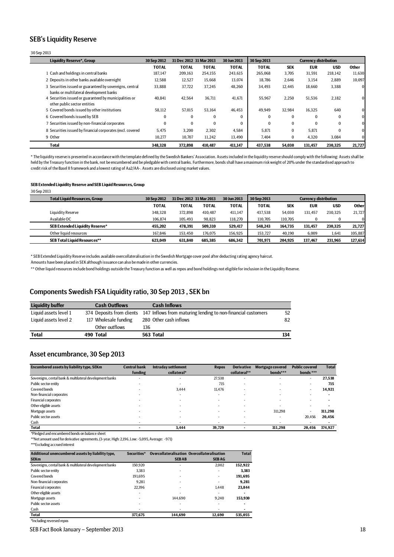### <span id="page-17-0"></span>SEB's Liquidity Reserve

### 30 Sep 2013

| <b>Liquidity Reserve*, Group</b>                                                                    | 30 Sep 2012  | 31 Dec 2012 31 Mar 2013 |              | 30 Jun 2013  | 30 Sep 2013  |            | <b>Currency distribution</b> |            |              |
|-----------------------------------------------------------------------------------------------------|--------------|-------------------------|--------------|--------------|--------------|------------|------------------------------|------------|--------------|
|                                                                                                     | <b>TOTAL</b> | <b>TOTAL</b>            | <b>TOTAL</b> | <b>TOTAL</b> | <b>TOTAL</b> | <b>SEK</b> | <b>EUR</b>                   | <b>USD</b> | <b>Other</b> |
| 1 Cash and holdings in central banks                                                                | 187.147      | 209,163                 | 254,155      | 243,615      | 265.068      | 3.705      | 31,591                       | 218,142    | 11,630       |
| 2 Deposits in other banks available overnight                                                       | 12,588       | 12,527                  | 15.668       | 13,074       | 18.786       | 2.646      | 3.154                        | 2.889      | 10,097       |
| 3 Securities issued or guaranteed by sovereigns, central<br>banks or multilateral development banks | 33,888       | 37,722                  | 37,245       | 48,260       | 34,493       | 12,445     | 18,660                       | 3,388      |              |
| 4 Securities issued or guaranteed by municipalities or<br>other public sector entities              | 40.841       | 42,564                  | 36,711       | 41,671       | 55.967       | 2,250      | 51,536                       | 2,182      | 0            |
| 5 Covered bonds issued by other institutions                                                        | 58.112       | 57.015                  | 53.164       | 46.453       | 49.949       | 32.984     | 16.325                       | 640        | 0            |
| 6 Covered bonds issued by SEB                                                                       | 0            | $\bf{0}$                | $\Omega$     | $\Omega$     | $\Omega$     | $\bf{0}$   | $\Omega$                     | $\bf{0}$   | 0            |
| 7 Securities issued by non-financial corporates                                                     | $\theta$     | $\bf{0}$                | $\Omega$     | $\theta$     | $\Omega$     | $\bf{0}$   | $\Omega$                     | $\Omega$   | 0            |
| 8 Securities issued by financial corporates (excl. covered                                          | 5.475        | 3,200                   | 2,302        | 4,584        | 5,871        | $\bf{0}$   | 5.871                        | $\Omega$   |              |
| 9 Other                                                                                             | 10,277       | 10,707                  | 11,242       | 13,490       | 7,404        | $\bf{0}$   | 4,320                        | 3,084      | o            |
| <b>Total</b>                                                                                        | 348.328      | 372.898                 | 410.487      | 411.147      | 437.538      | 54.030     | 131,457                      | 230.325    | 21,727       |

\* The liquidity reserve is presented in accordance with the template defined by the Swedish Bankers' Association. Assets included in the liquidity reserve should comply with the following: Assets shall be held by the Treasury function in the bank, not be encumbered and be pledgable with central banks. Furthermore, bonds shall have a maximum risk weight of 20% under the standardised approach to credit risk of the Basel II framework and a lowest rating of Aa2/AA-. Assets are disclosed using market values.

#### **SEB Extended Liquidity Reserve and SEB Liquid Resources, Group**

30 Sep 2013

| <b>Total Liquid Resources, Group</b>   | 30 Sep 2012  | 31 Dec 2012 31 Mar 2013 |              | 30 Jun 2013  | 30 Sep 2013  | <b>Currency distribution</b> |            |            |              |
|----------------------------------------|--------------|-------------------------|--------------|--------------|--------------|------------------------------|------------|------------|--------------|
|                                        | <b>TOTAL</b> | TOTAL                   | <b>TOTAL</b> | <b>TOTAL</b> | <b>TOTAL</b> | <b>SEK</b>                   | <b>EUR</b> | <b>USD</b> | <b>Other</b> |
| Liquidity Reserve                      | 348.328      | 372.898                 | 410.487      | 411,147      | 437.538      | 54.030                       | 131.457    | 230.325    | 21,727       |
| Available OC                           | 106,874      | 105,493                 | 98.823       | 118,270      | 110.705      | 110.705                      |            |            | $\mathbf{0}$ |
| <b>SEB Extended Liquidity Reserve*</b> | 455.202      | 478.391                 | 509.310      | 529.417      | 548.243      | 164.735                      | 131.457    | 230.325    | 21,727       |
| Other liquid resources                 | 167.846      | 153.450                 | 176.075      | 156,925      | 153.727      | 40,190                       | 6,009      | 1,641      | 105,887      |
| <b>SEB Total Liquid Resources**</b>    | 623.049      | 631.840                 | 685.385      | 686,342      | 701.971      | 204.925                      | 137.467    | 231,965    | 127,614      |

\* SEB Extended Liquidity Reserve includes available overcollateralisation in the Swedish Mortgage cover pool after deducting rating agency haircut.

Amounts have been placed in SEK although issuance can also be made in other currencies.

\*\* Other liquid resources include bond holdings outside the Treasury function as well as repos and bond holdings not eligible for inclusion in the Liquidity Reserve.

### <span id="page-17-1"></span>Components Swedish FSA Liquidity ratio, 30 Sep 2013 , SEK bn

| <b>Liquidity buffer</b> | <b>Cash Outflows</b>  | <b>Cash Inflows</b>                                                                    |     |
|-------------------------|-----------------------|----------------------------------------------------------------------------------------|-----|
| Liquid assets level 1   |                       | 374 Deposits from clients 147 Inflows from maturing lending to non-financial customers | 52  |
| Liquid assets level 2   | 117 Wholesale funding | 280 Other cash inflows                                                                 | 82  |
|                         | Other outflows        | 136                                                                                    |     |
| <b>Total</b>            | 490 Total             | 563 Total                                                                              | 134 |

### <span id="page-17-2"></span>Asset encumbrance, 30 Sep 2013

| Encumbered assets by liability type, SEKm                | <b>Central bank</b>      | Intraday settlement      | <b>Repos</b>             | <b>Derivative</b> | Mortgage covered         | <b>Public covered</b>    | <b>Total</b> |
|----------------------------------------------------------|--------------------------|--------------------------|--------------------------|-------------------|--------------------------|--------------------------|--------------|
|                                                          | funding                  | collateral*              |                          | collateral**      | bonds***                 | bonds***                 |              |
| Sovereigns, cental bank & multilateral development banks | $\overline{\phantom{a}}$ | $\overline{\phantom{a}}$ | 27,538                   | ۰                 |                          | ۰                        | 27,538       |
| Public sector entity                                     |                          | $\overline{\phantom{a}}$ | 715                      | ۰                 |                          | -                        | 715          |
| Covered bonds                                            |                          | 3,444                    | 11.476                   | -                 |                          | -                        | 14,921       |
| Non-financial corporates                                 |                          | $\overline{\phantom{a}}$ | $\overline{\phantom{0}}$ | ۰                 |                          |                          |              |
| <b>Financial corporates</b>                              |                          | $\overline{\phantom{a}}$ | -                        | ۰                 | $\overline{\phantom{a}}$ | $\overline{\phantom{a}}$ |              |
| Other eligible assets                                    | $\overline{\phantom{a}}$ | $\overline{\phantom{a}}$ | -                        | ۰                 |                          | $\overline{\phantom{a}}$ |              |
| Mortgage assets                                          |                          | $\overline{\phantom{a}}$ | -                        | ۰                 | 311.298                  | $\overline{\phantom{a}}$ | 311,298      |
| Public sector assets                                     |                          |                          |                          |                   |                          | 20.456                   | 20,456       |
| Cash                                                     |                          |                          |                          |                   |                          |                          |              |
| <b>Total</b>                                             |                          | 3.444                    | 39.729                   |                   | 311.298                  | 20,456                   | 374.927      |

\*Pledged and encumbered bonds on balance sheet

\*\*Net amount used for derivative agreements, (3-year, High: 2,196, Low: -5,095, Average: -971)

\*\*\*Excluding accrued interest

| Additional unencumbered assets by liability type,        | Securities* | <b>Overcollateralisation Overcollateralisation</b> |              | <b>Total</b> |
|----------------------------------------------------------|-------------|----------------------------------------------------|--------------|--------------|
| <b>SEKm</b>                                              |             | <b>SEBAB</b>                                       | <b>SEBAG</b> |              |
| Sovereigns, cental bank & multilateral development banks | 150.920     |                                                    | 2.002        | 152,922      |
| Public sector entity                                     | 3.383       |                                                    |              | 3.383        |
| Covered bonds                                            | 191.695     |                                                    |              | 191,695      |
| Non-financial corporates                                 | 9.281       |                                                    |              | 9.281        |
| <b>Financial corporates</b>                              | 22.396      |                                                    | 1.448        | 23,844       |
| Other eligible assets                                    |             |                                                    |              | ۰            |
| Mortgage assets                                          |             | 144.690                                            | 9.240        | 153,930      |
| Public sector assets                                     |             |                                                    |              | ٠            |
| Cash                                                     |             |                                                    |              | ٠            |
| <b>Total</b>                                             | 377.675     | 144.690                                            | 12.690       | 535.055      |
| *Including reversed repos                                |             |                                                    |              |              |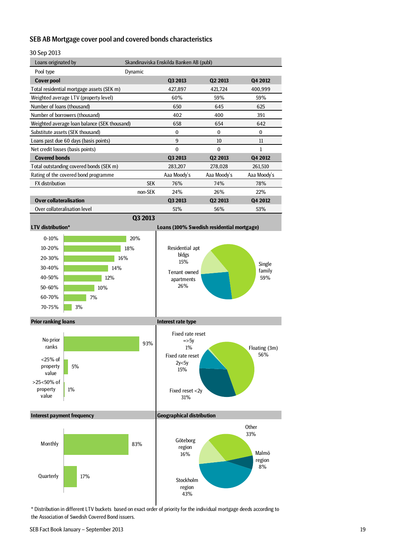## <span id="page-18-0"></span>SEB AB Mortgage cover pool and covered bonds characteristics

# 30 Sep 2013

| OU JEH ZUIJ                      |                                              |            |                                         |                                           |                      |  |  |  |  |  |
|----------------------------------|----------------------------------------------|------------|-----------------------------------------|-------------------------------------------|----------------------|--|--|--|--|--|
| Loans originated by              |                                              |            | Skandinaviska Enskilda Banken AB (publ) |                                           |                      |  |  |  |  |  |
| Pool type                        |                                              | Dynamic    |                                         |                                           |                      |  |  |  |  |  |
| <b>Cover pool</b>                |                                              |            | Q3 2013                                 | Q2 2013                                   | Q4 2012              |  |  |  |  |  |
|                                  | Total residential mortgage assets (SEK m)    |            | 427,897                                 | 421,724                                   | 400,999              |  |  |  |  |  |
|                                  | Weighted average LTV (property level)        |            | 60%                                     | 59%                                       | 59%                  |  |  |  |  |  |
| Number of loans (thousand)       |                                              |            | 650                                     | 645                                       | 625                  |  |  |  |  |  |
|                                  | Number of borrowers (thousand)               |            | 402                                     | 400                                       | 391                  |  |  |  |  |  |
|                                  | Weighted average loan balance (SEK thousand) |            | 658                                     | 654                                       | 642                  |  |  |  |  |  |
|                                  | Substitute assets (SEK thousand)             |            | $\bf{0}$                                | $\mathbf{0}$                              | 0                    |  |  |  |  |  |
|                                  | Loans past due 60 days (basis points)        |            | 9                                       | 10                                        | 11                   |  |  |  |  |  |
| Net credit losses (basis points) |                                              |            | $\mathbf{0}$                            | $\mathbf{0}$                              | $\mathbf{1}$         |  |  |  |  |  |
| <b>Covered bonds</b>             |                                              |            | Q3 2013                                 | Q2 2013                                   | Q4 2012              |  |  |  |  |  |
|                                  | Total outstanding covered bonds (SEK m)      |            | 283,207                                 | 278,028                                   | 261,510              |  |  |  |  |  |
|                                  | Rating of the covered bond programme         |            | Aaa Moody's                             | Aaa Moody's                               | Aaa Moody's          |  |  |  |  |  |
| <b>FX</b> distribution           |                                              | <b>SEK</b> | 76%                                     | 74%                                       | 78%                  |  |  |  |  |  |
|                                  |                                              | non-SEK    | 24%                                     | 26%                                       | 22%                  |  |  |  |  |  |
| <b>Over collateralisation</b>    |                                              |            | Q3 2013                                 | Q2 2013                                   | Q4 2012              |  |  |  |  |  |
| Over collateralisation level     |                                              |            | 51%                                     | 56%                                       | 53%                  |  |  |  |  |  |
|                                  |                                              | Q3 2013    |                                         |                                           |                      |  |  |  |  |  |
| <b>LTV</b> distribution*         |                                              |            |                                         | Loans (100% Swedish residential mortgage) |                      |  |  |  |  |  |
| $0 - 10%$                        |                                              | 20%        |                                         |                                           |                      |  |  |  |  |  |
| 10-20%                           |                                              | 18%        | Residential apt                         |                                           |                      |  |  |  |  |  |
| 20-30%                           |                                              | 16%        | bldgs                                   |                                           |                      |  |  |  |  |  |
|                                  |                                              |            | 15%                                     |                                           | Single               |  |  |  |  |  |
| 30-40%                           | 14%                                          |            | Tenant owned                            |                                           | family               |  |  |  |  |  |
| 40-50%                           | 12%                                          |            | apartments                              |                                           | 59%                  |  |  |  |  |  |
| 50-60%                           | 10%                                          |            | 26%                                     |                                           |                      |  |  |  |  |  |
| 60-70%                           | 7%                                           |            |                                         |                                           |                      |  |  |  |  |  |
| 70-75%                           | 3%                                           |            |                                         |                                           |                      |  |  |  |  |  |
| <b>Prior ranking loans</b>       |                                              |            | Interest rate type                      |                                           |                      |  |  |  |  |  |
|                                  |                                              |            | Fixed rate reset                        |                                           |                      |  |  |  |  |  |
| No prior<br>ranks                |                                              | 93%        | $=$ >5y                                 |                                           |                      |  |  |  |  |  |
|                                  |                                              |            | 1%                                      |                                           | Floating (3m)<br>56% |  |  |  |  |  |
| $<$ 25% of                       |                                              |            | Fixed rate reset<br>2v<5v               |                                           |                      |  |  |  |  |  |



**Other** 33%

> Malmö region 8%

\* Distribution in different LTV buckets based on exact order of priority for the individual mortgage deeds according to the Association of Swedish Covered Bond issuers.

Stockholm region 43%

17%

value

**Quarterly**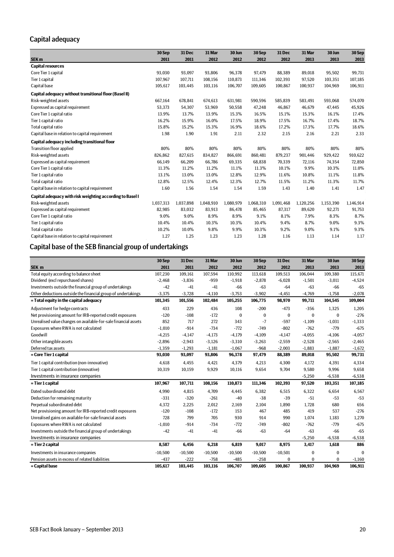# <span id="page-19-0"></span>Capital adequacy

|                                                           | 30 Sep    | 31 Dec    | 31 Mar    | 30 Jun    | 30 Sep    | 31 Dec    | 31 Mar    | 30 Jun    | 30 Sep    |
|-----------------------------------------------------------|-----------|-----------|-----------|-----------|-----------|-----------|-----------|-----------|-----------|
| SEK <sub>m</sub>                                          | 2011      | 2011      | 2012      | 2012      | 2012      | 2012      | 2013      | 2013      | 2013      |
| <b>Capital resources</b>                                  |           |           |           |           |           |           |           |           |           |
| Core Tier 1 capital                                       | 93,030    | 93,097    | 93,806    | 96,378    | 97,479    | 88,389    | 89,018    | 95,502    | 99,731    |
| Tier 1 capital                                            | 107,967   | 107,711   | 108,156   | 110.873   | 111,346   | 102,393   | 97.520    | 103,351   | 107,185   |
| Capital base                                              | 105,617   | 103,445   | 103,116   | 106,707   | 109,605   | 100,867   | 100,937   | 104,969   | 106,911   |
| Capital adequacy without transitional floor (Basel II)    |           |           |           |           |           |           |           |           |           |
| Risk-weighted assets                                      | 667,164   | 678,841   | 674,613   | 631,981   | 590,596   | 585,839   | 583,491   | 593,068   | 574,070   |
| Expressed as capital requirement                          | 53,373    | 54,307    | 53,969    | 50,558    | 47,248    | 46,867    | 46,679    | 47,445    | 45,926    |
| Core Tier 1 capital ratio                                 | 13.9%     | 13.7%     | 13.9%     | 15.3%     | 16.5%     | 15.1%     | 15.3%     | 16.1%     | 17.4%     |
| Tier 1 capital ratio                                      | 16.2%     | 15.9%     | 16.0%     | 17.5%     | 18.9%     | 17.5%     | 16.7%     | 17.4%     | 18.7%     |
| Total capital ratio                                       | 15.8%     | 15.2%     | 15.3%     | 16.9%     | 18.6%     | 17.2%     | 17.3%     | 17.7%     | 18.6%     |
| Capital base in relation to capital requirement           | 1.98      | 1.90      | 1.91      | 2.11      | 2.32      | 2.15      | 2.16      | 2.21      | 2.33      |
| Capital adequacy including transitional floor             |           |           |           |           |           |           |           |           |           |
| <b>Transition floor applied</b>                           | 80%       | 80%       | 80%       | 80%       | 80%       | 80%       | 80%       | 80%       | 80%       |
| Risk-weighted assets                                      | 826.862   | 827,615   | 834.827   | 866.691   | 860,481   | 879,237   | 901.446   | 929,422   | 910,622   |
| Expressed as capital requirement                          | 66,149    | 66,209    | 66,786    | 69,335    | 68,838    | 70,339    | 72,116    | 74,354    | 72,850    |
| Core Tier 1 capital ratio                                 | 11.3%     | 11.2%     | 11.2%     | 11.1%     | 11.3%     | 10.1%     | 9.9%      | 10.3%     | 11.0%     |
| Tier 1 capital ratio                                      | 13.1%     | 13.0%     | 13.0%     | 12.8%     | 12.9%     | 11.6%     | 10.8%     | 11.1%     | 11.8%     |
| Total capital ratio                                       | 12.8%     | 12.5%     | 12.4%     | 12.3%     | 12.7%     | 11.5%     | 11.2%     | 11.3%     | 11.7%     |
| Capital base in relation to capital requirement           | 1.60      | 1.56      | 1.54      | 1.54      | 1.59      | 1.43      | 1.40      | 1.41      | 1.47      |
| Capital adequacy with risk weighting according to Basel I |           |           |           |           |           |           |           |           |           |
| Risk-weighted assets                                      | 1,037,313 | 1,037,898 | 1,048,910 | 1.080.979 | 1,068,310 | 1.091.468 | 1,120,256 | 1,153,390 | 1,146,914 |
| Expressed as capital requirement                          | 82,985    | 83,032    | 83,913    | 86.478    | 85,465    | 87,317    | 89,620    | 92,271    | 91,753    |
| Core Tier 1 capital ratio                                 | 9.0%      | 9.0%      | 8.9%      | 8.9%      | 9.1%      | 8.1%      | 7.9%      | 8.3%      | 8.7%      |
| Tier 1 capital ratio                                      | 10.4%     | 10.4%     | 10.3%     | 10.3%     | 10.4%     | 9.4%      | 8.7%      | 9.0%      | 9.3%      |
| Total capital ratio                                       | 10.2%     | 10.0%     | 9.8%      | 9.9%      | 10.3%     | 9.2%      | 9.0%      | 9.1%      | 9.3%      |
| Capital base in relation to capital requirement           | 1.27      | 1.25      | 1.23      | 1.23      | 1.28      | 1.16      | 1.13      | 1.14      | 1.17      |

# <span id="page-19-1"></span>Capital base of the SEB financial group of undertakings

|                                                                 | 30 Sep    | 31 Dec    | 31 Mar    | 30 Jun    | 30 Sep    | 31 Dec       | 31 Mar   | 30 Jun   | 30 Sep   |
|-----------------------------------------------------------------|-----------|-----------|-----------|-----------|-----------|--------------|----------|----------|----------|
| SEK <sub>m</sub>                                                | 2011      | 2011      | 2012      | 2012      | 2012      | 2012         | 2013     | 2013     | 2013     |
| Total equity according to balance sheet                         | 107.230   | 109,161   | 107.594   | 110.992   | 113,618   | 109,513      | 106.044  | 109.380  | 115.671  |
| Dividend (excl repurchased shares)                              | $-2.468$  | $-3.836$  | $-959$    | $-1.918$  | $-2.878$  | $-6,028$     | $-1.501$ | $-3.011$ | $-4,524$ |
| Investments outside the financial group of undertakings         | $-42$     | $-41$     | $-41$     | $-66$     | $-63$     | $-64$        | $-63$    | $-66$    | $-65$    |
| Other deductions outside the financial group of undertakings    | $-3,375$  | $-3,728$  | $-4,110$  | $-3,753$  | $-3,902$  | $-4,451$     | $-4,769$ | $-1,758$ | $-2,078$ |
| = Total equity in the capital adequacy                          | 101,345   | 101,556   | 102,484   | 105,255   | 106,775   | 98,970       | 99,711   | 104,545  | 109,004  |
| Adjustment for hedge contracts                                  | 433       | 229       | 436       | 108       | $-200$    | $-473$       | $-356$   | 1,325    | 1,205    |
| Net provisioning amount for IRB-reported credit exposures       | $-120$    | $-108$    | $-172$    | $\Omega$  | $\bf{0}$  | $\bf{0}$     | $\Omega$ | $\Omega$ | $-276$   |
| Unrealised value changes on available-for-sale financial assets | 852       | 717       | 272       | 343       | $-7$      | $-597$       | $-1.109$ | $-1,031$ | $-1,333$ |
| Exposures where RWA is not calculated                           | $-1,010$  | $-914$    | $-734$    | $-772$    | $-749$    | $-802$       | $-762$   | $-779$   | $-675$   |
| Goodwill                                                        | $-4,215$  | $-4.147$  | $-4.173$  | $-4.179$  | $-4.109$  | $-4.147$     | $-4.055$ | $-4,106$ | $-4,057$ |
| Other intangible assets                                         | $-2,896$  | $-2,943$  | $-3,126$  | $-3,310$  | $-3,263$  | $-2,559$     | $-2,528$ | $-2,565$ | $-2,465$ |
| Deferred tax assets                                             | $-1,359$  | $-1,293$  | $-1,181$  | $-1,067$  | $-968$    | $-2,003$     | $-1,883$ | $-1,887$ | $-1,672$ |
| = Core Tier 1 capital                                           | 93,030    | 93,097    | 93,806    | 96,378    | 97,479    | 88,389       | 89,018   | 95,502   | 99,731   |
| Tier 1 capital contribution (non-innovative)                    | 4,618     | 4,455     | 4,421     | 4,379     | 4,213     | 4,300        | 4,172    | 4,391    | 4,334    |
| Tier 1 capital contribution (innovative)                        | 10,319    | 10,159    | 9,929     | 10,116    | 9,654     | 9,704        | 9,580    | 9,996    | 9,658    |
| Investments in insurance companies                              |           |           |           |           |           |              | $-5,250$ | $-6,538$ | $-6,538$ |
| = Tier 1 capital                                                | 107,967   | 107,711   | 108,156   | 110,873   | 111,346   | 102,393      | 97,520   | 103,351  | 107,185  |
| Dated subordinated debt                                         | 4.990     | 4.815     | 4.709     | 4,445     | 6.382     | 6,515        | 6,322    | 6.654    | 6,567    |
| Deduction for remaining maturity                                | $-331$    | $-320$    | $-261$    | $-40$     | $-38$     | $-39$        | $-51$    | $-53$    | $-53$    |
| Perpetual subordinated debt                                     | 4,372     | 2,225     | 2,012     | 2,169     | 2,104     | 1,890        | 1,728    | 680      | 656      |
| Net provisioning amount for IRB-reported credit exposures       | $-120$    | $-108$    | $-172$    | 153       | 467       | 485          | 419      | 537      | $-276$   |
| Unrealised gains on available-for-sale financial assets         | 728       | 799       | 705       | 930       | 914       | 990          | 1,074    | 1,183    | 1,270    |
| Exposures where RWA is not calculated                           | $-1.010$  | $-914$    | $-734$    | $-772$    | $-749$    | $-802$       | $-762$   | $-779$   | $-675$   |
| Investments outside the financial group of undertakings         | $-42$     | $-41$     | $-41$     | $-66$     | $-63$     | $-64$        | $-63$    | $-66$    | $-65$    |
| Investments in insurance companies                              |           |           |           |           |           |              | $-5,250$ | $-6,538$ | $-6,538$ |
| = Tier 2 capital                                                | 8,587     | 6,456     | 6,218     | 6,819     | 9,017     | 8,975        | 3,417    | 1,618    | 886      |
| Investments in insurance companies                              | $-10.500$ | $-10,500$ | $-10,500$ | $-10,500$ | $-10.500$ | $-10,501$    | 0        | $\bf{0}$ | $\Omega$ |
| Pension assets in excess of related liabilities                 | $-437$    | $-222$    | $-758$    | $-485$    | $-258$    | $\mathbf{0}$ | $\bf{0}$ | $\Omega$ | $-1,160$ |
| = Capital base                                                  | 105,617   | 103,445   | 103,116   | 106,707   | 109,605   | 100,867      | 100,937  | 104,969  | 106,911  |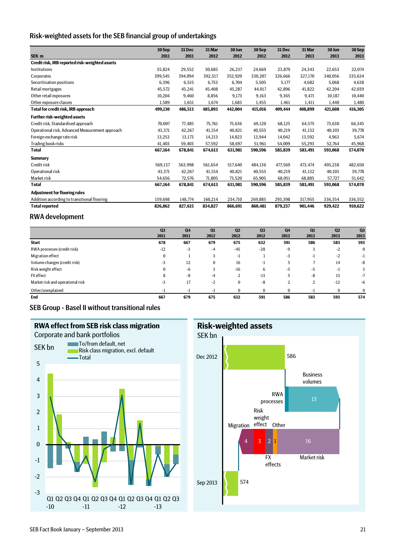### <span id="page-20-0"></span>Risk-weighted assets for the SEB financial group of undertakings

|                                                 | 30 Sep  | 31 Dec  | 31 Mar  | 30 Jun  | 30 Sep  | 31 Dec  | 31 Mar  | 30 Jun  | 30 Sep  |
|-------------------------------------------------|---------|---------|---------|---------|---------|---------|---------|---------|---------|
| SEK <sub>m</sub>                                | 2011    | 2011    | 2012    | 2012    | 2012    | 2012    | 2013    | 2013    | 2013    |
| Credit risk, IRB reported risk-weighted assets  |         |         |         |         |         |         |         |         |         |
| Institutions                                    | 35.824  | 29,552  | 30,685  | 26,237  | 24,669  | 23,879  | 24,343  | 22,653  | 22,074  |
| Corporates                                      | 399,545 | 394,094 | 392,517 | 352,920 | 330,207 | 326,666 | 327,170 | 340,056 | 335,634 |
| Securitisation positions                        | 6,396   | 6,515   | 6,753   | 6,704   | 5,505   | 5,177   | 4.682   | 5,068   | 4,638   |
| Retail mortgages                                | 45,572  | 45,241  | 45,408  | 45,287  | 44,017  | 42,896  | 41,822  | 42,204  | 42,039  |
| Other retail exposures                          | 10,204  | 9,460   | 8,856   | 9,173   | 9,163   | 9,365   | 9.471   | 10,187  | 10,440  |
| Other exposure classes                          | 1,589   | 1,651   | 1,674   | 1.683   | 1,455   | 1,461   | 1,411   | 1,440   | 1,480   |
| <b>Total for credit risk, IRB approach</b>      | 499,130 | 486,513 | 485,893 | 442,004 | 415,016 | 409,444 | 408,899 | 421,608 | 416,305 |
| <b>Further risk-weighted assets</b>             |         |         |         |         |         |         |         |         |         |
| Credit risk, Standardised approach              | 70,007  | 77,485  | 75,761  | 75,636  | 69,120  | 68,125  | 64,575  | 73,630  | 66,345  |
| Operational risk, Advanced Measurement approach | 43,371  | 42,267  | 41,154  | 40,821  | 40,555  | 40,219  | 41,132  | 40,103  | 39,778  |
| Foreign exchange rate risk                      | 13,253  | 13,173  | 14,213  | 14,823  | 13,944  | 14,042  | 13,592  | 4,963   | 5,674   |
| Trading book risks                              | 41,403  | 59,403  | 57,592  | 58,697  | 51,961  | 54,009  | 55,293  | 52,764  | 45,968  |
| <b>Total</b>                                    | 667,164 | 678,841 | 674,613 | 631,981 | 590,596 | 585,839 | 583,491 | 593,068 | 574,070 |
| <b>Summary</b>                                  |         |         |         |         |         |         |         |         |         |
| Credit risk                                     | 569,137 | 563,998 | 561,654 | 517,640 | 484,136 | 477,569 | 473,474 | 495,238 | 482,650 |
| Operational risk                                | 43,371  | 42,267  | 41,154  | 40,821  | 40,555  | 40,219  | 41,132  | 40,103  | 39,778  |
| Market risk                                     | 54,656  | 72,576  | 71,805  | 73,520  | 65,905  | 68,051  | 68,885  | 57,727  | 51,642  |
| <b>Total</b>                                    | 667,164 | 678,841 | 674,613 | 631,981 | 590,596 | 585,839 | 583,491 | 593,068 | 574,070 |
| <b>Adjustment for flooring rules</b>            |         |         |         |         |         |         |         |         |         |
| Addition according to transitional flooring     | 159,698 | 148,774 | 160,214 | 234,710 | 269,885 | 293,398 | 317,955 | 336,354 | 336,552 |
| <b>Total reported</b>                           | 826,862 | 827,615 | 834,827 | 866,691 | 860,481 | 879,237 | 901.446 | 929,422 | 910,622 |

## <span id="page-20-1"></span>RWA development

|                                  | Q <sub>3</sub> | Q <sub>4</sub> | Q1       | Q <sub>2</sub> | Q <sub>3</sub> | Q <sub>4</sub>    | Q1             | Q <sub>2</sub> | Q <sub>3</sub> |
|----------------------------------|----------------|----------------|----------|----------------|----------------|-------------------|----------------|----------------|----------------|
|                                  | 2011           | 2011           | 2012     | 2012           | 2012           | 2012              | 2013           | 2013           | 2013           |
| <b>Start</b>                     | 678            | 667            | 679      | 675            | 632            | 591               | 586            | 583            | 593            |
| RWA processes (credit risk)      | $-12$          | $-3$           | $-4$     | $-45$          | $-28$          | -9                | 3              | $-2$           | $\bf{0}$       |
| Migration effect                 | 0              |                | 3        | $-1$           |                | $-3$              | -1             | $-2$           | $-1$           |
| Volume changes (credit risk)     | $-3$           | 12             | $\bf{0}$ | 16             | -1             | 5                 |                | 14             | -8             |
| Risk weight effect               | $\Omega$       | $-6$           | 3        | $-16$          | 6              | -5                | -5             | $-1$           | 3              |
| <b>FX</b> effect                 |                | -8             | $-4$     | $\overline{2}$ | $-13$          | 5                 | -8             | 13             | $-7$           |
| Market risk and operational risk | -3             | 17             | $-2$     | 0              | -8             | $\mathbf{\Omega}$ | $\overline{2}$ | $-12$          | -6             |
| Other/unexplained                | - 1            | ÷.             | - 1      | $\Omega$       | $\Omega$       | $\Omega$          | ÷.             | $\Omega$       | $\bf{0}$       |
| End                              | 667            | 679            | 675      | 632            | 591            | 586               | 583            | 593            | 574            |

<span id="page-20-2"></span>SEB Group - Basel II without transitional rules



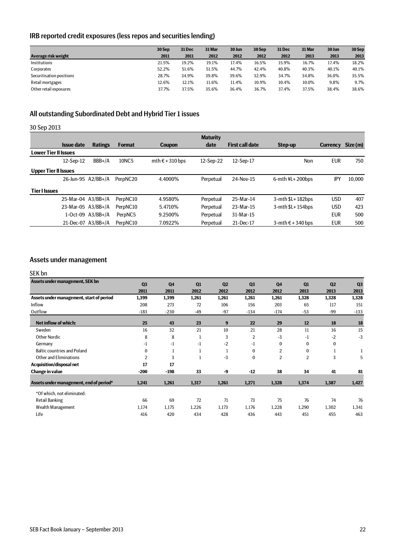# <span id="page-21-0"></span>IRB reported credit exposures (less repos and securities lending)

|                          | 30 Sep | 31 Dec | 31 Mar | 30 Jun | 30 Sep | 31 Dec | 31 Mar | 30 Jun | 30 Sep |
|--------------------------|--------|--------|--------|--------|--------|--------|--------|--------|--------|
| Average risk weight      | 2011   | 2011   | 2012   | 2012   | 2012   | 2012   | 2013   | 2013   | 2013   |
| <b>Institutions</b>      | 21.5%  | 19.2%  | 19.1%  | 17.4%  | 16.5%  | 15.9%  | 16.7%  | 17.4%  | 18.2%  |
| Corporates               | 52.2%  | 51.6%  | 51.5%  | 44.7%  | 42.4%  | 40.8%  | 40.3%  | 40.1%  | 40.1%  |
| Securitisation positions | 28.7%  | 34.9%  | 39.8%  | 39.6%  | 32.9%  | 34.7%  | 34.8%  | 36.0%  | 35.5%  |
| Retail mortgages         | 12.6%  | 12.1%  | 11.6%  | 11.4%  | 10.9%  | 10.4%  | 10.0%  | 9.8%   | 9.7%   |
| Other retail exposures   | 37.7%  | 37.5%  | 35.6%  | 36.4%  | 36.7%  | 37.4%  | 37.5%  | 38.4%  | 38.6%  |

# <span id="page-21-1"></span>All outstanding Subordinated Debt and Hybrid Tier 1 issues

# 30 Sep 2013

|                             |                    |                       |                      |                                     | <b>Maturity</b> |                        |                         |                 |          |
|-----------------------------|--------------------|-----------------------|----------------------|-------------------------------------|-----------------|------------------------|-------------------------|-----------------|----------|
|                             | <b>Issue date</b>  | <b>Ratings</b>        | <b>Format</b>        | <b>Coupon</b>                       | date            | <b>First call date</b> | Step-up                 | <b>Currency</b> | Size (m) |
| <b>Lower Tier II Issues</b> |                    |                       |                      |                                     |                 |                        |                         |                 |          |
|                             | $12-Sep-12$        | $BBB+/A$              | 10NC5                | $mth \text{ } \in +310 \text{ bps}$ | 12-Sep-22       | 12-Sep-17              | Non                     | <b>EUR</b>      | 750      |
| <b>Upper Tier II Issues</b> |                    |                       |                      |                                     |                 |                        |                         |                 |          |
|                             | 26-Jun-95 A2/BB+/A |                       | PerpNC <sub>20</sub> | 4.4000%                             | Perpetual       | 24-Nov-15              | $6$ -mth $4L + 200b$ ps | JPY             | 10.000   |
| <b>Tier I Issues</b>        |                    |                       |                      |                                     |                 |                        |                         |                 |          |
|                             | 25-Mar-04 A3/BB+/A |                       | PerpNC10             | 4.9580%                             | Perpetual       | 25-Mar-14              | $3-$ mth $$L+182bps$    | <b>USD</b>      | 407      |
|                             | 23-Mar-05 A3/BB+/A |                       | PerpNC10             | 5.4710%                             | Perpetual       | 23-Mar-15              | $3$ -mth $L+154$ bps    | <b>USD</b>      | 423      |
|                             |                    | $1-Oct-09$ $A3/BB+/A$ | PerpNC5              | 9.2500%                             | Perpetual       | 31-Mar-15              |                         | <b>EUR</b>      | 500      |
|                             | 21-Dec-07 A3/BB+/A |                       | PerpNC10             | 7.0922%                             | Perpetual       | 21-Dec-17              | $3-$ mth $6+340$ bps    | <b>EUR</b>      | 500      |

# <span id="page-21-2"></span>Assets under management

| SEK bn                                   |                |                        |            |                        |                        |                |                |                        |                        |
|------------------------------------------|----------------|------------------------|------------|------------------------|------------------------|----------------|----------------|------------------------|------------------------|
| Assets under management, SEK bn          | Q3<br>2011     | Q <sub>4</sub><br>2011 | Q1<br>2012 | Q <sub>2</sub><br>2012 | Q <sub>3</sub><br>2012 | Q4<br>2012     | Q1<br>2013     | Q <sub>2</sub><br>2013 | Q <sub>3</sub><br>2013 |
| Assets under management, start of period | 1,399          | 1,399                  | 1,261      | 1,261                  | 1,261                  | 1,261          | 1,328          | 1,328                  | 1,328                  |
| Inflow                                   | 208            | 273                    | 72         | 106                    | 156                    | 203            | 65             | 117                    | 151                    |
| Outflow                                  | $-183$         | $-230$                 | $-49$      | $-97$                  | $-134$                 | $-174$         | $-53$          | -99                    | $-133$                 |
| Net inflow of which:                     | 25             | 43                     | 23         | 9                      | 22                     | 29             | 12             | 18                     | 18                     |
| Sweden                                   | 16             | 32                     | 21         | 10                     | 21                     | 28             | 11             | 16                     | 15                     |
| <b>Other Nordic</b>                      | 8              | 8                      |            | 3                      | $\overline{2}$         | $-3$           | -1             | $-2$                   | $-3$                   |
| Germany                                  | -1             | -1                     | -1         | $-2$                   | -1                     | $\bf{0}$       | $\bf{0}$       | $\bf{0}$               |                        |
| <b>Baltic countries and Poland</b>       | $\Omega$       |                        |            |                        | $\Omega$               | $\overline{2}$ | $\Omega$       |                        |                        |
| <b>Other and Eliminations</b>            | $\overline{2}$ | 3                      |            | $-3$                   | $\Omega$               | $\overline{2}$ | $\overline{2}$ | 3                      | 5                      |
| <b>Acquisition/disposal net</b>          | 17             | 17                     |            |                        |                        |                |                |                        |                        |
| Change in value                          | $-200$         | $-198$                 | 33         | -9                     | $-12$                  | 38             | 34             | 41                     | 81                     |
| Assets under management, end of period*  | 1,241          | 1,261                  | 1,317      | 1,261                  | 1,271                  | 1,328          | 1,374          | 1,387                  | 1,427                  |
| *Of which, not eliminated:               |                |                        |            |                        |                        |                |                |                        |                        |
| <b>Retail Banking</b>                    | 66             | 69                     | 72         | 71                     | 73                     | 75             | 76             | 74                     | 76                     |
| Wealth Management                        | 1,174          | 1,175                  | 1,226      | 1,173                  | 1,176                  | 1,228          | 1,290          | 1,302                  | 1,341                  |
| Life                                     | 416            | 420                    | 434        | 428                    | 436                    | 443            | 451            | 455                    | 463                    |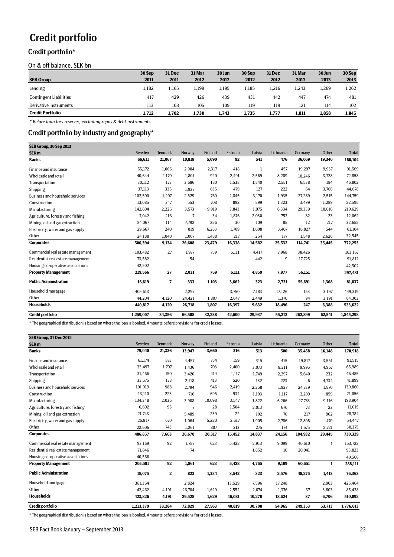# <span id="page-22-0"></span>Credit portfolio

## <span id="page-22-1"></span>Credit portfolio\*

On & off balance, SEK bn

|                               | 30 Sep | <b>31 Dec</b> | 31 Mar | 30 Jun | 30 Sep | <b>31 Dec</b> | 31 Mar | 30 Jun | 30 Sep |
|-------------------------------|--------|---------------|--------|--------|--------|---------------|--------|--------|--------|
| <b>SEB Group</b>              | 2011   | 2011          | 2012   | 2012   | 2012   | 2012          | 2013   | 2013   | 2013   |
| Lending                       | 1,182  | 1.165         | 1,199  | 1,195  | 1,185  | 1,216         | 1,243  | 1,269  | 1,262  |
| <b>Contingent Liabilities</b> | 417    | 429           | 426    | 439    | 431    | 442           | 447    | 474    | 481    |
| Derivative Instruments        | 113    | 108           | 105    | 109    | 119    | 119           | 121    | 114    | 102    |
| <b>Credit Portfolio</b>       | 1.712  | 1.702         | 1.730  | 1.743  | 1,735  | 1,777         | 1,811  | 1,858  | 1,845  |

*\* Before loan loss reserves, excluding repos & debt instruments.*

### <span id="page-22-2"></span>Credit portfolio by industry and geography\*

| SEB Group, 30 Sep 2013             |           |         |                |         |         |        |           |         |        |              |
|------------------------------------|-----------|---------|----------------|---------|---------|--------|-----------|---------|--------|--------------|
| <b>SEK m</b>                       | Sweden    | Denmark | Norway         | Finland | Estonia | Latvia | Lithuania | Germany | Other  | <b>Total</b> |
| <b>Banks</b>                       | 66,611    | 21,067  | 10,818         | 5,090   | 92      | 541    | 476       | 36,069  | 19,340 | 160,104      |
| Finance and insurance              | 55,172    | 1,066   | 2,904          | 2,317   | 418     | 1      | 457       | 19,297  | 9,937  | 91,569       |
| Wholesale and retail               | 40,644    | 2,170   | 1,801          | 920     | 2,491   | 2,569  | 8,289     | 10.246  | 3,728  | 72,858       |
| Transportation                     | 30,112    | 173     | 3,686          | 180     | 1,538   | 1,840  | 2,551     | 6,538   | 184    | 46,802       |
| Shipping                           | 37,113    | 335     | 1,937          | 635     | 479     | 127    | 222       | 64      | 3,766  | 44,678       |
| Business and household services    | 102,500   | 1,207   | 2,529          | 769     | 2,845   | 3,170  | 1,935     | 27,289  | 2,515  | 144,759      |
| Construction                       | 13,085    | 347     | 553            | 708     | 892     | 899    | 1,323     | 3,499   | 1,289  | 22,595       |
| Manufacturing                      | 142,804   | 2,226   | 3,573          | 9,919   | 3,843   | 1,975  | 6,334     | 29,339  | 10,616 | 210,629      |
| Agriculture, forestry and fishing  | 7,042     | 216     | $\overline{7}$ | 34      | 1,876   | 2,030  | 752       | 82      | 23     | 12,062       |
| Mining, oil and gas extraction     | 24,067    | 114     | 7,792          | 226     | 30      | 109    | 85        | 12      | 217    | 32,652       |
| Electricity, water and gas supply  | 29,667    | 240     | 819            | 6,283   | 1,709   | 1,608  | 3,407     | 16,827  | 544    | 61,104       |
| Other                              | 24,188    | 1,040   | 1.007          | 1,488   | 217     | 254    | 177       | 1.548   | 2,626  | 32,545       |
| <b>Corporates</b>                  | 506,394   | 9,134   | 26,608         | 23,479  | 16,338  | 14,582 | 25,532    | 114.741 | 35,445 | 772,253      |
| Commercial real estate management  | 103,482   | 27      | 1,977          | 759     | 6,111   | 4.417  | 7.968     | 38.426  |        | 163,167      |
| Residential real estate management | 73,582    |         | 54             |         |         | 442    | 9         | 17,725  |        | 91,812       |
| Housing co-operative associations  | 42,502    |         |                |         |         |        |           |         |        | 42,502       |
| <b>Property Management</b>         | 219,566   | 27      | 2,031          | 759     | 6,111   | 4,859  | 7,977     | 56,151  |        | 297,481      |
| <b>Public Administration</b>       | 16,619    | 7       | 333            | 1,103   | 3,662   | 323    | 2,731     | 55,691  | 1,368  | 81,837       |
| Household mortgage                 | 405,613   |         | 2,297          |         | 13,750  | 7,183  | 17,126    | 153     | 3,197  | 449,319      |
| Other                              | 44.204    | 4,120   | 24,421         | 1,807   | 2,647   | 2,449  | 1,370     | 94      | 3,191  | 84,303       |
| <b>Households</b>                  | 449,817   | 4,120   | 26,718         | 1,807   | 16,397  | 9,632  | 18,496    | 247     | 6,388  | 533,622      |
| Credit portfolio                   | 1,259,007 | 34,356  | 66,508         | 32,238  | 42,600  | 29,937 | 55,212    | 262,899 | 62,541 | 1,845,298    |

\* The geographical distribution is based on where the loan is booked. Amounts before provisions for credit losses.

| SEB Group, 31 Dec 2012             |           |                |        |         |         |        |           |         |              |              |
|------------------------------------|-----------|----------------|--------|---------|---------|--------|-----------|---------|--------------|--------------|
| SEK <sub>m</sub>                   | Sweden    | <b>Denmark</b> | Norway | Finland | Estonia | Latvia | Lithuania | Germany | Other        | <b>Total</b> |
| <b>Banks</b>                       | 79,040    | 21,336         | 13,947 | 3,660   | 316     | 513    | 500       | 35,458  | 16,148       | 170,918      |
| Finance and insurance              | 61,174    | 873            | 4,457  | 754     | 159     | 315    | 415       | 19,817  | 3,551        | 91,515       |
| Wholesale and retail               | 33,497    | 1,707          | 1,436  | 703     | 2,400   | 3,073  | 8,211     | 9,995   | 4,967        | 65,989       |
| Transportation                     | 31,466    | 150            | 3,420  | 414     | 1,117   | 1,749  | 2,297     | 5,640   | 232          | 46,485       |
| Shipping                           | 33,575    | 178            | 2,118  | 413     | 520     | 132    | 223       | 6       | 4,734        | 41,899       |
| Business and household services    | 101,919   | 988            | 2,794  | 946     | 2,419   | 2,258  | 1,927     | 24,739  | 1,870        | 139,860      |
| Construction                       | 13,110    | 223            | 716    | 695     | 934     | 1,193  | 1,117     | 2,209   | 859          | 21,056       |
| Manufacturing                      | 134,348   | 2,036          | 3,908  | 10,098  | 3,547   | 1,822  | 6,266     | 27,763  | 9,116        | 198,904      |
| Agriculture, forestry and fishing  | 6,602     | 95             | 7      | 28      | 1,504   | 2,013  | 670       | 73      | 23           | 11,015       |
| Mining, oil and gas extraction     | 21,743    |                | 5.489  | 239     | 22      | 102    | 70        | 217     | 902          | 28,784       |
| Electricity, water and gas supply  | 26,817    | 670            | 1,064  | 5,220   | 2,617   | 1,905  | 2,786     | 12,898  | 470          | 54,447       |
| Other                              | 22,606    | 743            | 1,261  | 807     | 213     | 275    | 174       | 1,575   | 2,721        | 30,375       |
| <b>Corporates</b>                  | 486,857   | 7,663          | 26,670 | 20,317  | 15,452  | 14,837 | 24,156    | 104,932 | 29,445       | 730,329      |
| Commercial real estate management  | 93,169    | 92             | 1,787  | 623     | 5,428   | 2,913  | 9,099     | 40,610  | $\mathbf{1}$ | 153,722      |
| Residential real estate management | 71,846    |                | 74     |         |         | 1,852  | 10        | 20,041  |              | 93,823       |
| Housing co-operative associations  | 40,566    |                |        |         |         |        |           |         |              | 40,566       |
| <b>Property Management</b>         | 205,581   | 92             | 1,861  | 623     | 5,428   | 4,765  | 9,109     | 60,651  | 1            | 288,111      |
| <b>Public Administration</b>       | 18,075    | $\mathbf{2}$   | 823    | 1,334   | 3,542   | 323    | 2,576     | 48,275  | 1,413        | 76,363       |
| Household mortgage                 | 381,364   |                | 2,824  |         | 13,529  | 7,596  | 17,248    |         | 2,903        | 425,464      |
| Other                              | 42.462    | 4,191          | 26.704 | 1,629   | 2,552   | 2,674  | 1,376     | 37      | 3,803        | 85,428       |
| <b>Households</b>                  | 423,826   | 4,191          | 29,528 | 1,629   | 16,081  | 10,270 | 18,624    | 37      | 6,706        | 510,892      |
| <b>Credit portfolio</b>            | 1,213,379 | 33,284         | 72,829 | 27,563  | 40,819  | 30,708 | 54,965    | 249,353 | 53,713       | 1,776,613    |

\* The geographical distribution is based on where the loan is booked. Amounts before provisions for credit losses.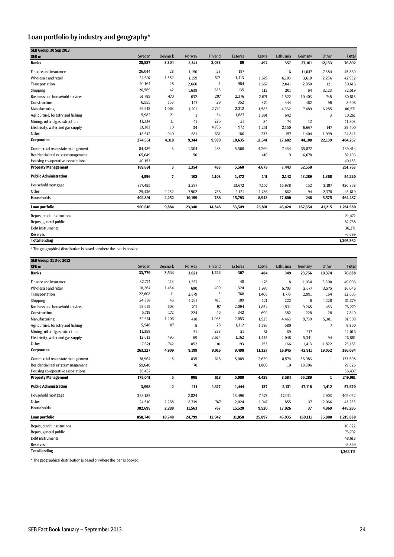# <span id="page-23-0"></span>Loan portfolio by industry and geography\*

| SEB Group, 30 Sep 2013             |         |         |        |         |         |        |           |         |        |              |
|------------------------------------|---------|---------|--------|---------|---------|--------|-----------|---------|--------|--------------|
| SEK <sub>m</sub>                   | Sweden  | Denmark | Norway | Finland | Estonia | Latvia | Lithuania | Germany | Other  | <b>Total</b> |
| <b>Banks</b>                       | 28,887  | 3,304   | 2,341  | 2,033   | 89      | 497    | 357       | 27,161  | 12,133 | 76,802       |
| Finance and insurance              | 26,044  | 28      | 1,150  | 23      | 197     |        | 16        | 11,047  | 7,384  | 45,889       |
| Wholesale and retail               | 24,607  | 1,552   | 1,159  | 573     | 1,413   | 1,679  | 6,103     | 3,610   | 2,236  | 42,932       |
| Transportation                     | 20,164  | 28      | 2.660  | 1       | 984     | 1.667  | 2,041     | 2,950   | 121    | 30,616       |
| Shipping                           | 26,569  | 42      | 1.638  | 635     | 135     | 112    | 201       | 64      | 3,123  | 32,519       |
| Business and household services    | 61,789  | 470     | 632    | 207     | 2,376   | 2,671  | 1,522     | 10,403  | 745    | 80,815       |
| Construction                       | 6,555   | 153     | 147    | 29      | 352     | 370    | 444       | 462     | 96     | 8,608        |
| Manufacturing                      | 59,512  | 1,063   | 1,201  | 2,794   | 2,312   | 1,583  | 4,332     | 7,489   | 6,285  | 86,571       |
| Agriculture, forestry and fishing  | 5,982   | 21      | 1      | 34      | 1,687   | 1.891  | 642       |         | 3      | 10,261       |
| Mining, oil and gas extraction     | 11,334  | 11      | 41     | 226     | 21      | 84     | 74        | 12      |        | 11,803       |
| Electricity, water and gas supply  | 13,383  | 10      | 34     | 4,786   | 972     | 1,251  | 2,150     | 6,667   | 147    | 29,400       |
| Other                              | 18,612  | 940     | 681    | 631     | 186     | 233    | 157       | 1,404   | 1,999  | 24,843       |
| <b>Corporates</b>                  | 274,551 | 4,318   | 9,344  | 9,939   | 10.635  | 11,541 | 17,682    | 44,108  | 22,139 | 404,257      |
| Commercial real estate management  | 84,489  | 3       | 1,304  | 483     | 5,560   | 4,269  | 7,434     | 35,872  |        | 139,414      |
| Residential real estate management | 65,049  |         | 50     |         |         | 410    | 9         | 16,678  |        | 82,196       |
| Housing co-operative associations  | 40.153  |         |        |         |         |        |           |         |        | 40,153       |
| <b>Property Management</b>         | 189,691 | 3       | 1,354  | 483     | 5,560   | 4,679  | 7,443     | 52,550  |        | 261,763      |
| <b>Public Administration</b>       | 4,596   | 7       | 102    | 1,103   | 1,472   | 141    | 2,142     | 43,289  | 1,368  | 54,220       |
| Household mortgage                 | 377,455 |         | 2,297  |         | 13,672  | 7,157  | 16,938    | 152     | 3,197  | 420,868      |
| Other                              | 25.436  | 2,252   | 7,902  | 788     | 2,121   | 1,786  | 862       | 94      | 2,378  | 43,619       |
| <b>Households</b>                  | 402,891 | 2,252   | 10,199 | 788     | 15,793  | 8,943  | 17,800    | 246     | 5,575  | 464,487      |
| Loan portfolio                     | 900.616 | 9,884   | 23,340 | 14,346  | 33,549  | 25,801 | 45,424    | 167,354 | 41,215 | 1,261,530    |
| Repos, credit institutions         |         |         |        |         |         |        |           |         |        | 21,472       |
| Repos, general public              |         |         |        |         |         |        |           |         |        | 82,788       |
| Debt instruments                   |         |         |        |         |         |        |           |         |        | 36,271       |
| <b>Reserves</b>                    |         |         |        |         |         |        |           |         |        | $-6,699$     |
| <b>Total lending</b>               |         |         |        |         |         |        |           |         |        | 1,395,362    |
|                                    |         |         |        |         |         |        |           |         |        |              |

\* The geographical distribution is based on where the loan is booked.

| SEB Group, 31 Dec 2012                 |         |              |        |                |         |        |           |         |                |              |
|----------------------------------------|---------|--------------|--------|----------------|---------|--------|-----------|---------|----------------|--------------|
| SEK <sub>m</sub>                       | Sweden  | Denmark      | Norway | Finland        | Estonia | Latvia | Lithuania | Germany | Other          | <b>Total</b> |
| <b>Banks</b>                           | 33,779  | 3,544        | 3,021  | 1,224          | 307     | 484    | 349       | 23,756  | 10,374         | 76,838       |
| Finance and insurance                  | 32,774  | 113          | 1,557  | $\overline{4}$ | 40      | 176    | 8         | 11,034  | 3,300          | 49,006       |
| Wholesale and retail                   | 18,264  | 1,434        | 690    | 409            | 1,324   | 1.970  | 5.703     | 2.677   | 3,575          | 36,046       |
| Transportation                         | 22,608  | 11           | 2,879  | 3              | 768     | 1,408  | 1,773     | 2,991   | 164            | 32,605       |
| Shipping                               | 24,387  | 46           | 1,767  | 413            | 189     | 121    | 222       | 6       | 4,228          | 31,379       |
| <b>Business and household services</b> | 59,675  | 603          | 707    | 97             | 2,094   | 1.854  | 1,531     | 9,265   | 453            | 76,279       |
| Construction                           | 5,719   | 172          | 224    | 46             | 342     | 699    | 382       | 228     | 28             | 7,840        |
| Manufacturing                          | 52,661  | 1,206        | 418    | 4,063          | 2,053   | 1,525  | 4,463     | 9,739   | 5,381          | 81,509       |
| Agriculture, forestry and fishing      | 5,546   | 87           | 5      | 28             | 1,312   | 1,795  | 580       |         | $\overline{7}$ | 9,360        |
| Mining, oil and gas extraction         | 11,359  |              | 31     | 238            | 21      | 81     | 69        | 217     |                | 12,016       |
| Electricity, water and gas supply      | 12,613  | 495          | 69     | 3,614          | 1,162   | 1,445  | 2,048     | 5,341   | 94             | 26,881       |
| Other                                  | 17,621  | 742          | 852    | 101            | 193     | 253    | 166       | 1,413   | 1,822          | 23,163       |
| <b>Corporates</b>                      | 263,227 | 4,909        | 9,199  | 9,016          | 9,498   | 11,327 | 16,945    | 42,911  | 19,052         | 386,084      |
| Commercial real estate management      | 78,964  | 5            | 835    | 618            | 5,089   | 2,629  | 8,574     | 36,983  | 1              | 133,698      |
| Residential real estate management     | 59,640  |              | 70     |                |         | 1,800  | 10        | 18,306  |                | 79,826       |
| Housing co-operative associations      | 36,437  |              |        |                |         |        |           |         |                | 36,437       |
| <b>Property Management</b>             | 175,041 | 5            | 905    | 618            | 5.089   | 4,429  | 8,584     | 55,289  | $\mathbf{1}$   | 249,961      |
| <b>Public Administration</b>           | 3,998   | $\mathbf{2}$ | 111    | 1,317          | 1,444   | 137    | 2,131     | 47,118  | 1,412          | 57,670       |
| Household mortgage                     | 358,185 |              | 2,824  |                | 13,496  | 7,573  | 17,071    |         | 2,903          | 402,052      |
| Other                                  | 24,510  | 2,288        | 8,739  | 767            | 2,024   | 1,947  | 855       | 37      | 2,066          | 43,233       |
| <b>Households</b>                      | 382,695 | 2,288        | 11,563 | 767            | 15,520  | 9,520  | 17,926    | 37      | 4,969          | 445,285      |
| Loan portfolio                         | 858,740 | 10,748       | 24,799 | 12,942         | 31,858  | 25,897 | 45,935    | 169,111 | 35,808         | 1,215,838    |
| Repos, credit institutions             |         |              |        |                |         |        |           |         |                | 30.822       |
| Repos, general public                  |         |              |        |                |         |        |           |         |                | 75,702       |
| Debt instruments                       |         |              |        |                |         |        |           |         |                | 48,618       |
| Reserves                               |         |              |        |                |         |        |           |         |                | $-8,869$     |
| <b>Total lending</b>                   |         |              |        |                |         |        |           |         |                | 1,362,111    |

\* The geographical distribution is based on where the loan is booked.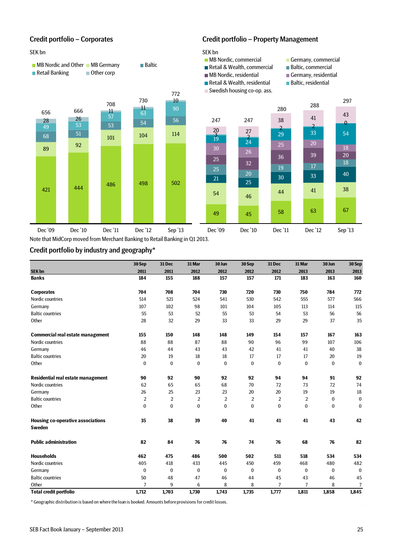#### SEK bn SEK bn SEK bn SEK bn SEK bn SEK bn SEK bn SEK bn SEK bn SEK bn SEK bn SEK bn SEK bn SEK bn SEK bn SEK bn



### <span id="page-24-0"></span>Credit portfolio – Corporates Credit portfolio – Property Management



772



- Retail & Wealth, commercial Baltic, commercial<br>
MB Nordic, residential Germany, resident
- 
- Retail & Wealth, residential Baltic, residential
- Swedish housing co-op. ass.
- 

297

- 
- $\blacksquare$  Germany, residential
- 





Note that MidCorp moved from Merchant Banking to Retail Banking in Q1 2013.

### <span id="page-24-1"></span>Credit portfolio by industry and geography\*

|                                                           | 30 Sep         | 31 Dec       | 31 Mar         | 30 Jun         | 30 Sep   | 31 Dec           | 31 Mar       | 30 Jun       | 30 Sep       |
|-----------------------------------------------------------|----------------|--------------|----------------|----------------|----------|------------------|--------------|--------------|--------------|
| SEK bn                                                    | 2011           | 2011         | 2012           | 2012           | 2012     | 2012             | 2013         | 2013         | 2013         |
| <b>Banks</b>                                              | 184            | 155          | 188            | 157            | 157      | 171              | 183          | 163          | 160          |
| <b>Corporates</b>                                         | 704            | 708          | 704            | 730            | 720      | 730              | 750          | 784          | 772          |
| Nordic countries                                          | 514            | 521          | 524            | 541            | 530      | 542              | 555          | 577          | 566          |
| Germany                                                   | 107            | 102          | 98             | 101            | 104      | 105              | 113          | 114          | 115          |
| <b>Baltic countries</b>                                   | 55             | 53           | 52             | 55             | 53       | 54               | 53           | 56           | 56           |
| Other                                                     | 28             | 32           | 29             | 33             | 33       | 29               | 29           | 37           | 35           |
| <b>Commercial real estate management</b>                  | 155            | 150          | 148            | 148            | 149      | 154              | 157          | 167          | 163          |
| Nordic countries                                          | 88             | 88           | 87             | 88             | 90       | 96               | 99           | 107          | 106          |
| Germany                                                   | 46             | 44           | 43             | 43             | 42       | 41               | 41           | 40           | 38           |
| <b>Baltic countries</b>                                   | 20             | 19           | 18             | 18             | 17       | 17               | 17           | 20           | 19           |
| Other                                                     | $\bf{0}$       | 0            | 0              | $\bf{0}$       | $\bf{0}$ | $\boldsymbol{0}$ | 0            | 0            | $\bf{0}$     |
| Residential real estate management                        | 90             | 92           | 90             | 92             | 92       | 94               | 94           | 91           | 92           |
| Nordic countries                                          | 62             | 65           | 65             | 68             | 70       | 72               | 73           | 72           | 74           |
| Germany                                                   | 26             | 25           | 23             | 23             | 20       | 20               | 19           | 19           | 18           |
| <b>Baltic countries</b>                                   | $\overline{2}$ | 2            | $\overline{2}$ | $\overline{2}$ | 2        | 2                | 2            | $\bf{0}$     | $\bf{0}$     |
| Other                                                     | 0              | $\bf{0}$     | 0              | 0              | 0        | $\bf{0}$         | 0            | $\bf{0}$     | $\bf{0}$     |
| <b>Housing co-operative associations</b><br><b>Sweden</b> | 35             | 38           | 39             | 40             | 41       | 41               | 41           | 43           | 42           |
| <b>Public administration</b>                              | 82             | 84           | 76             | 76             | 74       | 76               | 68           | 76           | 82           |
| <b>Households</b>                                         | 462            | 475          | 486            | 500            | 502      | 511              | 518          | 534          | 534          |
| Nordic countries                                          | 405            | 418          | 433            | 445            | 450      | 459              | 468          | 480          | 482          |
| Germany                                                   | $\mathbf{0}$   | $\mathbf{0}$ | $\bf{0}$       | $\bf{0}$       | $\bf{0}$ | $\mathbf{0}$     | $\mathbf{0}$ | $\mathbf{0}$ | $\mathbf{0}$ |
| <b>Baltic countries</b>                                   | 50             | 48           | 47             | 46             | 44       | 45               | 43           | 46           | 45           |
| Other                                                     | 7              | 9            | 6              | 8              | 8        | 7                | 7            | 8            | 7            |
| <b>Total credit portfolio</b>                             | 1,712          | 1,703        | 1,730          | 1,743          | 1,735    | 1,777            | 1,811        | 1,858        | 1,845        |

\* Geographic distribution is based on where the loan is booked. Amounts before provisions for credit losses.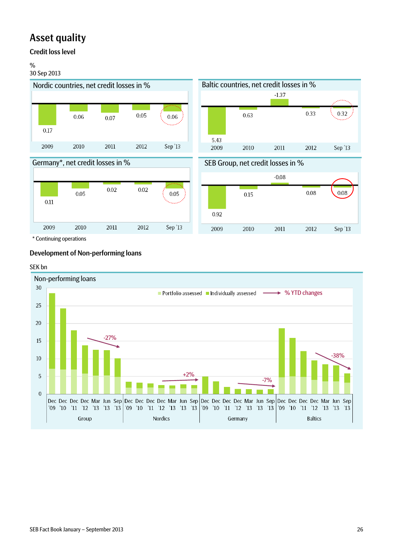# <span id="page-25-0"></span>Asset quality

# <span id="page-25-1"></span>Credit loss level

## %

### 30 Sep 2013











\* Continuing operations

# <span id="page-25-2"></span>Development of Non-performing loans

### SEK bn

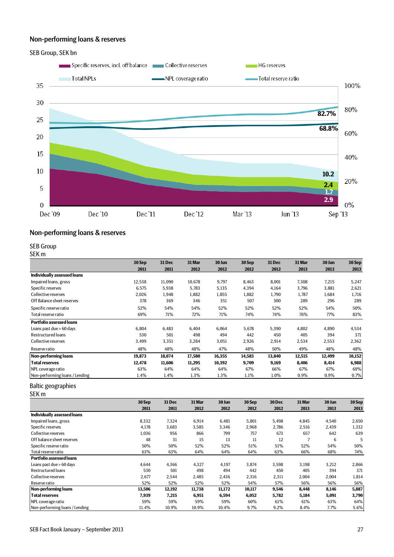## <span id="page-26-0"></span>Non-performing loans & reserves





### <span id="page-26-1"></span>Non-performing loans & reserves

### <span id="page-26-2"></span>SEB Group

SEK m

|                                 | 30 Sep | 31 Dec | 31 Mar | 30 Jun | 30 Sep | 31 Dec | 31 Mar | 30 Jun | 30 Sep |
|---------------------------------|--------|--------|--------|--------|--------|--------|--------|--------|--------|
|                                 | 2011   | 2011   | 2012   | 2012   | 2012   | 2012   | 2013   | 2013   | 2013   |
| Individually assessed loans     |        |        |        |        |        |        |        |        |        |
| Impaired loans, gross           | 12,538 | 11,090 | 10,678 | 9,797  | 8,463  | 8,001  | 7,308  | 7,215  | 5,247  |
| Specific reserves               | 6,575  | 5,938  | 5,783  | 5,135  | 4,394  | 4,164  | 3,796  | 3,881  | 2,621  |
| Collective reserves             | 2,026  | 1,948  | 1,882  | 1,855  | 1,882  | 1,790  | 1,787  | 1,684  | 1,716  |
| Off Balance sheet reserves      | 378    | 369    | 346    | 351    | 507    | 300    | 289    | 296    | 289    |
| Specific reserve ratio          | 52%    | 54%    | 54%    | 52%    | 52%    | 52%    | 52%    | 54%    | 50%    |
| Total reserve ratio             | 69%    | 71%    | 72%    | 71%    | 74%    | 74%    | 76%    | 77%    | 83%    |
| <b>Portfolio assessed loans</b> |        |        |        |        |        |        |        |        |        |
| Loans past due > 60 days        | 6,804  | 6,483  | 6,404  | 6,064  | 5,678  | 5,390  | 4,802  | 4,890  | 4,534  |
| <b>Restructured loans</b>       | 530    | 501    | 498    | 494    | 442    | 450    | 405    | 394    | 371    |
| Collective reserves             | 3,499  | 3,351  | 3,284  | 3,051  | 2,926  | 2,914  | 2,534  | 2,553  | 2,362  |
| Reserve ratio                   | 48%    | 48%    | 48%    | 47%    | 48%    | 50%    | 49%    | 48%    | 48%    |
| <b>Non-performing loans</b>     | 19,873 | 18,074 | 17,580 | 16,355 | 14,583 | 13,840 | 12,515 | 12,499 | 10,152 |
| <b>Total reserves</b>           | 12,478 | 11,606 | 11,295 | 10,392 | 9,709  | 9,169  | 8,406  | 8,414  | 6,988  |
| NPL coverage ratio              | 63%    | 64%    | 64%    | 64%    | 67%    | 66%    | 67%    | 67%    | 69%    |
| Non-performing loans / Lending  | 1.4%   | 1.4%   | 1.3%   | 1.3%   | 1.1%   | 1.0%   | 0.9%   | 0.9%   | 0.7%   |

## <span id="page-26-3"></span>Baltic geographies

SEK m

|                                 | 30 Sep | 31 Dec | 31 Mar | 30 Jun | 30 Sep | 30 Dec | 31 Mar | 30 Jun | 30 Sep |
|---------------------------------|--------|--------|--------|--------|--------|--------|--------|--------|--------|
|                                 | 2011   | 2011   | 2012   | 2012   | 2012   | 2012   | 2013   | 2013   | 2013   |
| Individually assessed loans     |        |        |        |        |        |        |        |        |        |
| Impaired loans, gross           | 8,332  | 7,324  | 6,914  | 6,481  | 5,801  | 5,498  | 4,845  | 4,540  | 2,650  |
| Specific reserves               | 4,178  | 3,683  | 3,585  | 3,346  | 2,968  | 2,786  | 2,516  | 2,439  | 1,332  |
| Collective reserves             | 1,036  | 956    | 866    | 799    | 757    | 673    | 657    | 642    | 639    |
| Off balance sheet reserves      | 48     | 31     | 15     | 13     | 11     | 12     | ∍      | 6      | 5      |
| Specific reserve ratio          | 50%    | 50%    | 52%    | 52%    | 51%    | 51%    | 52%    | 54%    | 50%    |
| Total reserve ratio             | 63%    | 63%    | 64%    | 64%    | 64%    | 63%    | 66%    | 68%    | 74%    |
| <b>Portfolio assessed loans</b> |        |        |        |        |        |        |        |        |        |
| Loans past due > 60 days        | 4,644  | 4,366  | 4,327  | 4,197  | 3,874  | 3,598  | 3,198  | 3,212  | 2,866  |
| Restructured loans              | 530    | 501    | 498    | 494    | 442    | 450    | 405    | 394    | 371    |
| Collective reserves             | 2,677  | 2,544  | 2,485  | 2,436  | 2,316  | 2,311  | 2,004  | 2,004  | 1,814  |
| Reserve ratio                   | 52%    | 52%    | 52%    | 52%    | 54%    | 57%    | 56%    | 56%    | 56%    |
| Non-performing loans            | 13,506 | 12,192 | 11,738 | 11,172 | 10,117 | 9,546  | 8,448  | 8,146  | 5,887  |
| <b>Total reserves</b>           | 7,939  | 7,215  | 6,951  | 6,594  | 6,052  | 5,782  | 5,184  | 5,091  | 3,790  |
| NPL coverage ratio              | 59%    | 59%    | 59%    | 59%    | 60%    | 61%    | 61%    | 63%    | 64%    |
| Non-performing loans / Lending  | 11.4%  | 10.9%  | 10.9%  | 10.4%  | 9.7%   | 9.2%   | 8.4%   | 7.7%   | 5.6%   |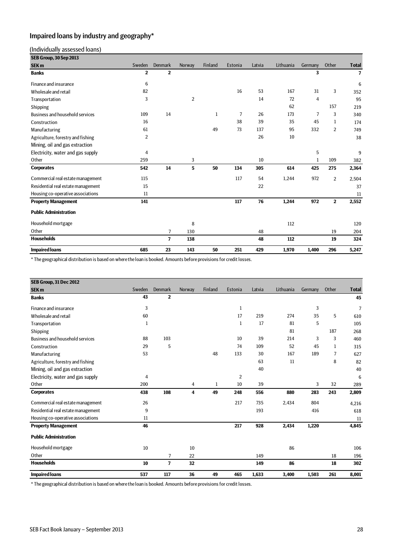# <span id="page-27-0"></span>Impaired loans by industry and geography\*

### (Individually assessed loans)

| SEB Group, 30 Sep 2013             |                |                |                |         |         |        |           |                |                |                |
|------------------------------------|----------------|----------------|----------------|---------|---------|--------|-----------|----------------|----------------|----------------|
| SEK <sub>m</sub>                   | Sweden         | Denmark        | Norway         | Finland | Estonia | Latvia | Lithuania | Germany        | Other          | <b>Total</b>   |
| <b>Banks</b>                       | $\overline{2}$ | $\overline{2}$ |                |         |         |        |           | 3              |                | $\overline{7}$ |
| Finance and insurance              | 6              |                |                |         |         |        |           |                |                | 6              |
| Wholesale and retail               | 82             |                |                |         | 16      | 53     | 167       | 31             | 3              | 352            |
| Transportation                     | 3              |                | $\overline{2}$ |         |         | 14     | 72        | 4              |                | 95             |
| Shipping                           |                |                |                |         |         |        | 62        |                | 157            | 219            |
| Business and household services    | 109            | 14             |                | 1       | 7       | 26     | 173       | $\overline{7}$ | 3              | 340            |
| Construction                       | 16             |                |                |         | 38      | 39     | 35        | 45             | $\mathbf{1}$   | 174            |
| Manufacturing                      | 61             |                |                | 49      | 73      | 137    | 95        | 332            | $\overline{2}$ | 749            |
| Agriculture, forestry and fishing  | $\overline{2}$ |                |                |         |         | 26     | 10        |                |                | 38             |
| Mining, oil and gas extraction     |                |                |                |         |         |        |           |                |                |                |
| Electricity, water and gas supply  | 4              |                |                |         |         |        |           | 5              |                | 9              |
| Other                              | 259            |                | 3              |         |         | 10     |           | 1              | 109            | 382            |
| <b>Corporates</b>                  | 542            | 14             | 5              | 50      | 134     | 305    | 614       | 425            | 275            | 2,364          |
| Commercial real estate management  | 115            |                |                |         | 117     | 54     | 1,244     | 972            | $\overline{2}$ | 2,504          |
| Residential real estate management | 15             |                |                |         |         | 22     |           |                |                | 37             |
| Housing co-operative associations  | 11             |                |                |         |         |        |           |                |                | 11             |
| <b>Property Management</b>         | 141            |                |                |         | 117     | 76     | 1,244     | 972            | $\overline{2}$ | 2,552          |
| <b>Public Administration</b>       |                |                |                |         |         |        |           |                |                |                |
| Household mortgage                 |                |                | 8              |         |         |        | 112       |                |                | 120            |
| Other                              |                | $\overline{7}$ | 130            |         |         | 48     |           |                | 19             | 204            |
| <b>Households</b>                  |                | $\overline{7}$ | 138            |         |         | 48     | 112       |                | 19             | 324            |
| <b>Impaired loans</b>              | 685            | 23             | 143            | 50      | 251     | 429    | 1,970     | 1,400          | 296            | 5,247          |

\* The geographical distribution is based on where the loan is booked. Amounts before provisions for credit losses.

| SEB Group, 31 Dec 2012             |        |                |        |                |                |        |           |         |       |              |
|------------------------------------|--------|----------------|--------|----------------|----------------|--------|-----------|---------|-------|--------------|
| SEK <sub>m</sub>                   | Sweden | <b>Denmark</b> | Norway | <b>Finland</b> | Estonia        | Latvia | Lithuania | Germany | Other | <b>Total</b> |
| <b>Banks</b>                       | 43     | $\mathbf{2}$   |        |                |                |        |           |         |       | 45           |
| Finance and insurance              | 3      |                |        |                | $\mathbf{1}$   |        |           | 3       |       | 7            |
| Wholesale and retail               | 60     |                |        |                | 17             | 219    | 274       | 35      | 5     | 610          |
| Transportation                     | 1      |                |        |                | $\mathbf{1}$   | 17     | 81        | 5       |       | 105          |
| Shipping                           |        |                |        |                |                |        | 81        |         | 187   | 268          |
| Business and household services    | 88     | 103            |        |                | 10             | 39     | 214       | 3       | 3     | 460          |
| Construction                       | 29     | 5              |        |                | 74             | 109    | 52        | 45      | 1     | 315          |
| Manufacturing                      | 53     |                |        | 48             | 133            | 30     | 167       | 189     | 7     | 627          |
| Agriculture, forestry and fishing  |        |                |        |                |                | 63     | 11        |         | 8     | 82           |
| Mining, oil and gas extraction     |        |                |        |                |                | 40     |           |         |       | 40           |
| Electricity, water and gas supply  | 4      |                |        |                | $\overline{2}$ |        |           |         |       | 6            |
| Other                              | 200    |                | 4      | $\mathbf{1}$   | 10             | 39     |           | 3       | 32    | 289          |
| <b>Corporates</b>                  | 438    | 108            | 4      | 49             | 248            | 556    | 880       | 283     | 243   | 2,809        |
| Commercial real estate management  | 26     |                |        |                | 217            | 735    | 2,434     | 804     |       | 4,216        |
| Residential real estate management | 9      |                |        |                |                | 193    |           | 416     |       | 618          |
| Housing co-operative associations  | 11     |                |        |                |                |        |           |         |       | 11           |
| <b>Property Management</b>         | 46     |                |        |                | 217            | 928    | 2,434     | 1,220   |       | 4,845        |
| <b>Public Administration</b>       |        |                |        |                |                |        |           |         |       |              |
| Household mortgage                 | 10     |                | 10     |                |                |        | 86        |         |       | 106          |
| Other                              |        | $\overline{7}$ | 22     |                |                | 149    |           |         | 18    | 196          |
| <b>Households</b>                  | 10     | 7              | 32     |                |                | 149    | 86        |         | 18    | 302          |
| <b>Impaired loans</b>              | 537    | 117            | 36     | 49             | 465            | 1,633  | 3,400     | 1,503   | 261   | 8,001        |

\* The geographical distribution is based on where the loan is booked. Amounts before provisions for credit losses.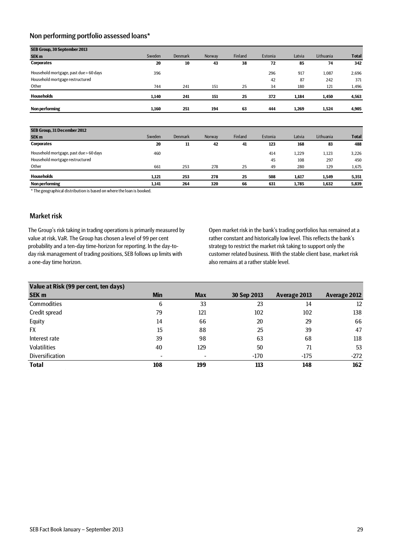## <span id="page-28-0"></span>Non performing portfolio assessed loans\*

| SEB Group, 30 September 2013           |        |                |        |         |         |        |           |              |
|----------------------------------------|--------|----------------|--------|---------|---------|--------|-----------|--------------|
| SEK <sub>m</sub>                       | Sweden | <b>Denmark</b> | Norway | Finland | Estonia | Latvia | Lithuania | <b>Total</b> |
| <b>Corporates</b>                      | 20     | 10             | 43     | 38      | 72      | 85     | 74        | 342          |
| Household mortgage, past due > 60 days | 396    |                |        |         | 296     | 917    | 1,087     | 2,696        |
| Household mortgage restructured        |        |                |        |         | 42      | 87     | 242       | 371          |
| Other                                  | 744    | 241            | 151    | 25      | 34      | 180    | 121       | 1,496        |
| <b>Households</b>                      | 1,140  | 241            | 151    | 25      | 372     | 1,184  | 1,450     | 4,563        |
| Non performing                         | 1,160  | 251            | 194    | 63      | 444     | 1,269  | 1,524     | 4,905        |

| SEB Group, 31 December 2012            |        |         |        |         |         |        |           |              |
|----------------------------------------|--------|---------|--------|---------|---------|--------|-----------|--------------|
| <b>SEK m</b>                           | Sweden | Denmark | Norway | Finland | Estonia | Latvia | Lithuania | <b>Total</b> |
| <b>Corporates</b>                      | 20     | 11      | 42     | 41      | 123     | 168    | 83        | 488          |
| Household mortgage, past due > 60 days | 460    |         |        |         | 414     | 1,229  | 1.123     | 3,226        |
| Household mortgage restructured        |        |         |        |         | 45      | 108    | 297       | 450          |
| Other                                  | 661    | 253     | 278    | 25      | 49      | 280    | 129       | 1,675        |
| <b>Households</b>                      | 1.121  | 253     | 278    | 25      | 508     | 1,617  | 1,549     | 5,351        |
| Non performing                         | 1.141  | 264     | 320    | 66      | 631     | 1.785  | 1.632     | 5,839        |

\* The geographical distribution is based on where the loan is booked.

### <span id="page-28-1"></span>Market risk

The Group's risk taking in trading operations is primarily measured by value at risk, VaR. The Group has chosen a level of 99 per cent probability and a ten-day time-horizon for reporting. In the day-today risk management of trading positions, SEB follows up limits with a one-day time horizon.

Open market risk in the bank's trading portfolios has remained at a rather constant and historically low level. This reflects the bank's strategy to restrict the market risk taking to support only the customer related business. With the stable client base, market risk also remains at a rather stable level.

| Value at Risk (99 per cent, ten days) |            |            |             |              |                     |
|---------------------------------------|------------|------------|-------------|--------------|---------------------|
| <b>SEK m</b>                          | <b>Min</b> | <b>Max</b> | 30 Sep 2013 | Average 2013 | <b>Average 2012</b> |
| Commodities                           | 6          | 33         | 23          | 14           | 12                  |
| Credit spread                         | 79         | 121        | 102         | 102          | 138                 |
| Equity                                | 14         | 66         | 20          | 29           | 66                  |
| FX                                    | 15         | 88         | 25          | 39           | 47                  |
| Interest rate                         | 39         | 98         | 63          | 68           | 118                 |
| <b>Volatilities</b>                   | 40         | 129        | 50          | 71           | 53                  |
| Diversification                       |            |            | $-170$      | $-175$       | $-272$              |
| <b>Total</b>                          | 108        | 199        | 113         | 148          | 162                 |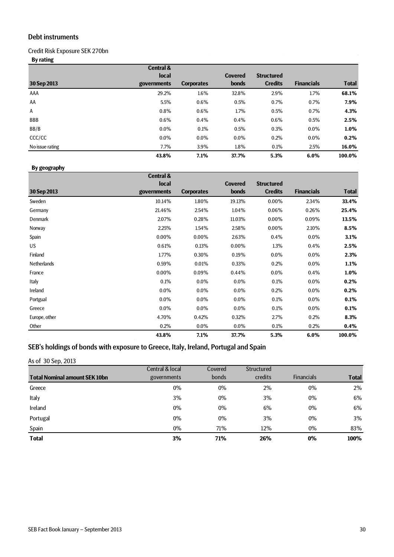## <span id="page-29-0"></span>Debt instruments

Credit Risk Exposure SEK 270bn

**By rating**

|                 | <b>Central &amp;</b> |                   |                |                   |                   |              |
|-----------------|----------------------|-------------------|----------------|-------------------|-------------------|--------------|
|                 | <b>local</b>         |                   | <b>Covered</b> | <b>Structured</b> |                   |              |
| 30 Sep 2013     | governments          | <b>Corporates</b> | <b>bonds</b>   | <b>Credits</b>    | <b>Financials</b> | <b>Total</b> |
| AAA             | 29.2%                | 1.6%              | 32.8%          | 2.9%              | 1.7%              | 68.1%        |
| AA              | 5.5%                 | 0.6%              | 0.5%           | 0.7%              | 0.7%              | 7.9%         |
| A               | 0.8%                 | 0.6%              | 1.7%           | 0.5%              | 0.7%              | 4.3%         |
| <b>BBB</b>      | 0.6%                 | 0.4%              | 0.4%           | 0.6%              | 0.5%              | 2.5%         |
| BB/B            | 0.0%                 | 0.1%              | 0.5%           | 0.3%              | $0.0\%$           | 1.0%         |
| CCC/CC          | 0.0%                 | $0.0\%$           | $0.0\%$        | 0.2%              | $0.0\%$           | 0.2%         |
| No issue rating | 7.7%                 | 3.9%              | 1.8%           | 0.1%              | 2.5%              | 16.0%        |
|                 | 43.8%                | 7.1%              | 37.7%          | 5.3%              | 6.0%              | 100.0%       |

### **By geography**

|                    | <b>Central &amp;</b> |                   |                |                   |                   |              |
|--------------------|----------------------|-------------------|----------------|-------------------|-------------------|--------------|
|                    | <b>local</b>         |                   | <b>Covered</b> | <b>Structured</b> |                   |              |
| 30 Sep 2013        | governments          | <b>Corporates</b> | <b>bonds</b>   | <b>Credits</b>    | <b>Financials</b> | <b>Total</b> |
| Sweden             | 10.14%               | 1.80%             | 19.13%         | 0.00%             | 2.34%             | 33.4%        |
| Germany            | 21.46%               | 2.54%             | 1.04%          | 0.06%             | 0.26%             | 25.4%        |
| Denmark            | 2.07%                | 0.28%             | 11.03%         | 0.00%             | 0.09%             | 13.5%        |
| Norway             | 2.25%                | 1.54%             | 2.58%          | 0.00%             | 2.10%             | 8.5%         |
| Spain              | 0.00%                | 0.00%             | 2.63%          | 0.4%              | $0.0\%$           | 3.1%         |
| US.                | 0.61%                | 0.13%             | 0.00%          | 1.3%              | 0.4%              | 2.5%         |
| Finland            | 1.77%                | 0.30%             | 0.19%          | $0.0\%$           | $0.0\%$           | 2.3%         |
| <b>Netherlands</b> | 0.59%                | 0.01%             | 0.33%          | 0.2%              | $0.0\%$           | 1.1%         |
| France             | 0.00%                | 0.09%             | 0.44%          | $0.0\%$           | 0.4%              | 1.0%         |
| Italy              | 0.1%                 | 0.0%              | 0.0%           | 0.1%              | $0.0\%$           | 0.2%         |
| Ireland            | 0.0%                 | 0.0%              | 0.0%           | 0.2%              | $0.0\%$           | 0.2%         |
| Portgual           | $0.0\%$              | 0.0%              | $0.0\%$        | 0.1%              | $0.0\%$           | 0.1%         |
| Greece             | $0.0\%$              | 0.0%              | $0.0\%$        | 0.1%              | $0.0\%$           | 0.1%         |
| Europe, other      | 4.70%                | 0.42%             | 0.32%          | 2.7%              | 0.2%              | 8.3%         |
| Other              | 0.2%                 | $0.0\%$           | $0.0\%$        | 0.1%              | 0.2%              | $0.4\%$      |
|                    | 43.8%                | 7.1%              | 37.7%          | 5.3%              | 6.0%              | 100.0%       |

# <span id="page-29-1"></span>SEB's holdings of bonds with exposure to Greece, Italy, Ireland, Portugal and Spain

### As of 30 Sep, 2013

|                                      | Central & local | Covered | Structured |                   |              |
|--------------------------------------|-----------------|---------|------------|-------------------|--------------|
| <b>Total Nominal amount SEK 10bn</b> | governments     | bonds   | credits    | <b>Financials</b> | <b>Total</b> |
| Greece                               | 0%              | $0\%$   | 2%         | $0\%$             | 2%           |
| Italy                                | 3%              | $0\%$   | 3%         | $0\%$             | 6%           |
| Ireland                              | $0\%$           | $0\%$   | 6%         | $0\%$             | 6%           |
| Portugal                             | $0\%$           | $0\%$   | 3%         | $0\%$             | 3%           |
| Spain                                | 0%              | 71%     | 12%        | $0\%$             | 83%          |
| <b>Total</b>                         | 3%              | 71%     | 26%        | 0%                | 100%         |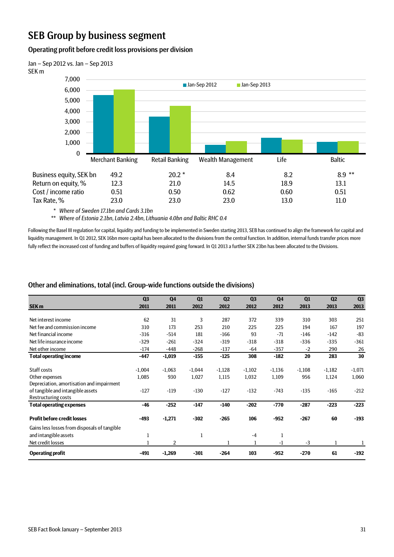# <span id="page-30-0"></span>SEB Group by business segment

### <span id="page-30-1"></span>Operating profit before credit loss provisions per division



*\* Where of Sweden 17.1bn and Cards 3.1bn*

*\*\* Where of Estonia 2.1bn, Latvia 2.4bn, Lithuania 4.0bn and Baltic RHC 0.4*

Following the Basel III regulation for capital, liquidity and funding to be implemented in Sweden starting 2013, SEB has continued to align the framework for capital and liquidity management. In Q1 2012, SEK 16bn more capital has been allocated to the divisions from the central function. In addition, internal funds transfer prices more fully reflect the increased cost of funding and buffers of liquidity required going forward. In Q1 2013 a further SEK 23bn has been allocated to the Divisions.

## <span id="page-30-2"></span>Other and eliminations, total (incl. Group-wide functions outside the divisions)

|                                              | Q <sub>3</sub> | Q <sub>4</sub> | Q1       | Q <sub>2</sub> | Q <sub>3</sub> | Q <sub>4</sub> | Q1       | Q <sub>2</sub> | Q <sub>3</sub> |
|----------------------------------------------|----------------|----------------|----------|----------------|----------------|----------------|----------|----------------|----------------|
|                                              |                |                |          |                |                |                |          |                |                |
| <b>SEK m</b>                                 | 2011           | 2011           | 2012     | 2012           | 2012           | 2012           | 2013     | 2013           | 2013           |
| Net interest income                          | 62             | 31             | 3        | 287            | 372            | 339            | 310      | 303            | 251            |
| Net fee and commission income                | 310            | 173            | 253      | 210            | 225            | 225            | 194      | 167            | 197            |
| Net financial income                         | $-316$         | $-514$         | 181      | $-166$         | 93             | $-71$          | $-146$   | $-142$         | $-83$          |
| Net life insurance income                    | $-329$         | $-261$         | $-324$   | $-319$         | $-318$         | $-318$         | $-336$   | $-335$         | $-361$         |
| Net other income                             | $-174$         | $-448$         | $-268$   | $-137$         | $-64$          | $-357$         | $-2$     | 290            | 26             |
| <b>Total operating income</b>                | $-447$         | $-1,019$       | $-155$   | $-125$         | 308            | $-182$         | 20       | 283            | 30             |
|                                              |                |                |          |                |                |                |          |                |                |
| Staff costs                                  | $-1,004$       | $-1,063$       | $-1,044$ | $-1,128$       | $-1,102$       | $-1,136$       | $-1,108$ | $-1,182$       | $-1,071$       |
| Other expenses                               | 1,085          | 930            | 1,027    | 1,115          | 1,032          | 1,109          | 956      | 1,124          | 1,060          |
| Depreciation, amortisation and impairment    |                |                |          |                |                |                |          |                |                |
| of tangible and intangible assets            | $-127$         | $-119$         | $-130$   | $-127$         | $-132$         | $-743$         | $-135$   | $-165$         | $-212$         |
| Restructuring costs                          |                |                |          |                |                |                |          |                |                |
| <b>Total operating expenses</b>              | $-46$          | $-252$         | $-147$   | $-140$         | $-202$         | $-770$         | $-287$   | $-223$         | $-223$         |
| <b>Profit before credit losses</b>           | $-493$         | $-1,271$       | $-302$   | $-265$         | 106            | $-952$         | $-267$   | 60             | $-193$         |
| Gains less losses from disposals of tangible |                |                |          |                |                |                |          |                |                |
| and intangible assets                        | $\mathbf{1}$   |                | 1        |                | $-4$           | $\mathbf{1}$   |          |                |                |
| Net credit losses                            | $\mathbf 1$    | 2              |          |                | $\mathbf{1}$   | $-1$           | $-3$     | 1              |                |
| <b>Operating profit</b>                      | $-491$         | $-1,269$       | $-301$   | $-264$         | 103            | $-952$         | $-270$   | 61             | $-192$         |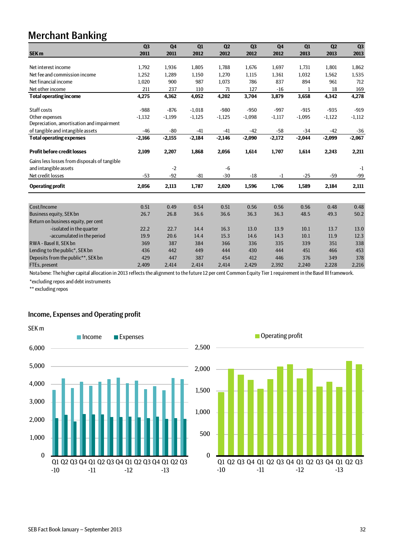# <span id="page-31-0"></span>Merchant Banking

|                                              | Q <sub>3</sub> | Q <sub>4</sub> | Q1       | Q2       | Q <sub>3</sub> | Q <sub>4</sub> | Q1       | Q <sub>2</sub> | Q <sub>3</sub> |
|----------------------------------------------|----------------|----------------|----------|----------|----------------|----------------|----------|----------------|----------------|
| <b>SEK m</b>                                 | 2011           | 2011           | 2012     | 2012     | 2012           | 2012           | 2013     | 2013           | 2013           |
|                                              |                |                |          |          |                |                |          |                |                |
| Net interest income                          | 1,792          | 1,936          | 1,805    | 1,788    | 1,676          | 1,697          | 1,731    | 1,801          | 1,862          |
| Net fee and commission income                | 1,252          | 1,289          | 1,150    | 1,270    | 1,115          | 1,361          | 1,032    | 1,562          | 1,535          |
| Net financial income                         | 1,020          | 900            | 987      | 1,073    | 786            | 837            | 894      | 961            | 712            |
| Net other income                             | 211            | 237            | 110      | 71       | 127            | $-16$          | 1        | 18             | 169            |
| <b>Total operating income</b>                | 4,275          | 4,362          | 4,052    | 4,202    | 3,704          | 3,879          | 3,658    | 4,342          | 4,278          |
| Staff costs                                  | $-988$         | $-876$         | $-1,018$ | $-980$   | $-950$         | $-997$         | $-915$   | $-935$         | $-919$         |
| Other expenses                               | $-1,132$       | $-1,199$       | $-1,125$ | $-1,125$ | $-1,098$       | $-1,117$       | $-1,095$ | $-1,122$       | $-1,112$       |
| Depreciation, amortisation and impairment    |                |                |          |          |                |                |          |                |                |
| of tangible and intangible assets            | $-46$          | $-80$          | $-41$    | $-41$    | $-42$          | $-58$          | $-34$    | $-42$          | $-36$          |
| <b>Total operating expenses</b>              | $-2,166$       | $-2,155$       | $-2,184$ | $-2,146$ | $-2,090$       | $-2,172$       | $-2,044$ | $-2,099$       | $-2,067$       |
| <b>Profit before credit losses</b>           | 2,109          | 2,207          | 1,868    | 2,056    | 1,614          | 1,707          | 1,614    | 2,243          | 2,211          |
| Gains less losses from disposals of tangible |                |                |          |          |                |                |          |                |                |
| and intangible assets                        |                | $-2$           |          | -6       |                |                |          |                | $-1$           |
| Net credit losses                            | $-53$          | $-92$          | $-81$    | $-30$    | $-18$          | $-1$           | $-25$    | $-59$          | $-99$          |
| <b>Operating profit</b>                      | 2,056          | 2,113          | 1,787    | 2,020    | 1,596          | 1,706          | 1,589    | 2,184          | 2,111          |
|                                              |                |                |          |          |                |                |          |                |                |
| Cost/Income                                  | 0.51           | 0.49           | 0.54     | 0.51     | 0.56           | 0.56           | 0.56     | 0.48           | 0.48           |
| Business equity, SEK bn                      | 26.7           | 26.8           | 36.6     | 36.6     | 36.3           | 36.3           | 48.5     | 49.3           | 50.2           |
| Return on business equity, per cent          |                |                |          |          |                |                |          |                |                |
| -isolated in the quarter                     | 22.2           | 22.7           | 14.4     | 16.3     | 13.0           | 13.9           | 10.1     | 13.7           | 13.0           |
| -accumulated in the period                   | 19.9           | 20.6           | 14.4     | 15.3     | 14.6           | 14.3           | 10.1     | 11.9           | 12.3           |
| RWA - Basel II, SEK bn                       | 369            | 387            | 384      | 366      | 336            | 335            | 339      | 351            | 338            |
| Lending to the public*, SEK bn               | 436            | 442            | 449      | 444      | 430            | 444            | 451      | 466            | 453            |
| Deposits from the public**, SEK bn           | 429            | 447            | 387      | 454      | 412            | 446            | 376      | 349            | 378            |
| FTEs, present                                | 2.409          | 2.414          | 2.414    | 2.414    | 2.429          | 2.392          | 2.240    | 2,228          | 2,216          |

Nota bene: The higher capital allocation in 2013 reflects the alignment to the future 12 per cent Common Equity Tier 1 requirement in the Basel III framework.

\*excluding repos and debt instruments

\*\* excluding repos

### <span id="page-31-1"></span>Income, Expenses and Operating profit



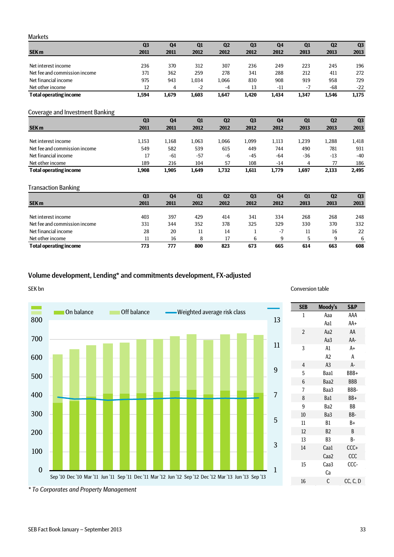### <span id="page-32-0"></span>Markets

**Total operating income 773 777 800 823 673 665 614 663 608**

<span id="page-32-1"></span>

|                                 | Q <sub>3</sub> | Q4             | Q1    | Q <sub>2</sub> | Q <sub>3</sub> | Q <sub>4</sub> | Q1    | Q <sub>2</sub> | Q3    |
|---------------------------------|----------------|----------------|-------|----------------|----------------|----------------|-------|----------------|-------|
| <b>SEK m</b>                    | 2011           | 2011           | 2012  | 2012           | 2012           | 2012           | 2013  | 2013           | 2013  |
| Net interest income             | 236            | 370            | 312   | 307            | 236            |                |       |                |       |
|                                 |                |                |       |                |                | 249            | 223   | 245            | 196   |
| Net fee and commission income   | 371            | 362            | 259   | 278            | 341            | 288            | 212   | 411            | 272   |
| Net financial income            | 975            | 943            | 1,034 | 1,066          | 830            | 908            | 919   | 958            | 729   |
| Net other income                | 12             | 4              | $-2$  | $-4$           | 13             | $-11$          | $-7$  | -68            | $-22$ |
| <b>Total operating income</b>   | 1,594          | 1,679          | 1,603 | 1,647          | 1,420          | 1,434          | 1,347 | 1,546          | 1,175 |
| Coverage and Investment Banking |                |                |       |                |                |                |       |                |       |
|                                 | Q <sub>3</sub> | Q <sub>4</sub> | Q1    | Q <sub>2</sub> | Q <sub>3</sub> | Q <sub>4</sub> | Q1    | Q <sub>2</sub> | Q3    |
| <b>SEK m</b>                    | 2011           | 2011           | 2012  | 2012           | 2012           | 2012           | 2013  | 2013           | 2013  |
| Net interest income             | 1,153          | 1,168          | 1,063 | 1,066          | 1,099          | 1,113          | 1,239 | 1,288          | 1,418 |
| Net fee and commission income   |                |                | 539   |                |                |                |       |                | 931   |
|                                 | 549            | 582            |       | 615            | 449            | 744            | 490   | 781            |       |
| Net financial income            | 17             | $-61$          | $-57$ | $-6$           | $-45$          | $-64$          | $-36$ | $-13$          | $-40$ |
| Net other income                | 189            | 216            | 104   | 57             | 108            | $-14$          | 4     | 77             | 186   |
| <b>Total operating income</b>   | 1,908          | 1,905          | 1,649 | 1,732          | 1,611          | 1,779          | 1,697 | 2,133          | 2,495 |
| <b>Transaction Banking</b>      |                |                |       |                |                |                |       |                |       |
|                                 | Q <sub>3</sub> | Q <sub>4</sub> | Q1    | Q <sub>2</sub> | Q <sub>3</sub> | Q <sub>4</sub> | Q1    | Q <sub>2</sub> | Q3    |
| <b>SEK m</b>                    | 2011           | 2011           | 2012  | 2012           | 2012           | 2012           | 2013  | 2013           | 2013  |

<span id="page-32-2"></span>Net interest income 403 397 429 414 341 334 268 268 248 Net fee and commission income 331 344 352 378 325 329 330 370 332 Net financial income 28 20 11 14 1 -7 11 16 22 Net other income<br>
Net other income<br>
Net other income<br>
Total operating income<br>
Total operating income<br>
273 277 800 823 673 665 614 663 608

## <span id="page-32-3"></span>Volume development, Lending\* and commitments development, FX-adjusted



*\* To Corporates and Property Management*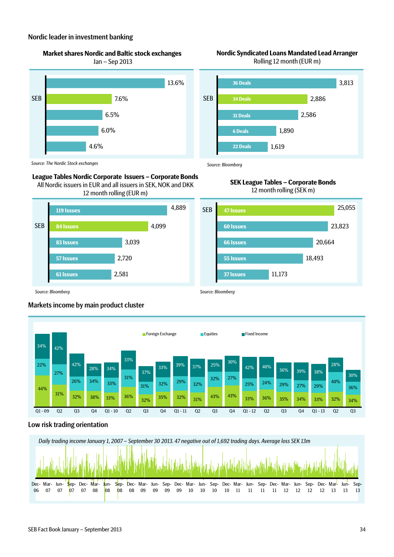### <span id="page-33-0"></span>Nordic leader in investment banking

**Market shares Nordic and Baltic stock exchanges** 

Jan – Sep 2013



### **Nordic Syndicated Loans Mandated Lead Arranger** Rolling 12 month (EUR m)



*Source: The Nordic Stock exchanges*

### **League Tables Nordic Corporate Issuers – Corporate Bonds**

All Nordic issuers in EUR and all issuers in SEK, NOK and DKK 12 month rolling (EUR m)



### **SEK League Tables – Corporate Bonds** 12 month rolling (SEK m)

*Source: Bloomberg*

*Source: Bloomberg*



*Source: Bloomberg*

# <span id="page-33-1"></span>Markets income by main product cluster



## <span id="page-33-2"></span>Low risk trading orientation

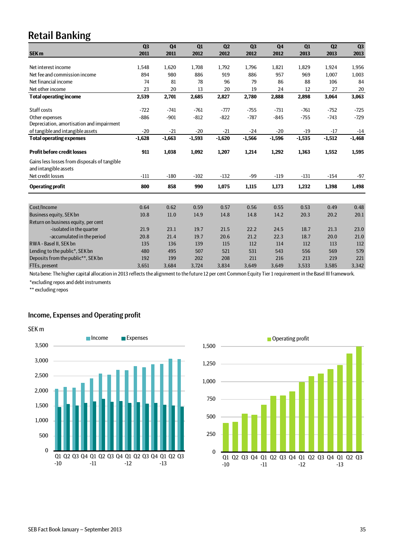# <span id="page-34-0"></span>Retail Banking

|                                                                       | Q <sub>3</sub> | Q <sub>4</sub> | Q1       | Q <sub>2</sub> | Q <sub>3</sub> | Q <sub>4</sub> | Q1       | Q <sub>2</sub> | Q <sub>3</sub> |
|-----------------------------------------------------------------------|----------------|----------------|----------|----------------|----------------|----------------|----------|----------------|----------------|
| <b>SEK m</b>                                                          | 2011           | 2011           | 2012     | 2012           | 2012           | 2012           | 2013     | 2013           | 2013           |
|                                                                       |                |                |          |                |                |                |          |                |                |
| Net interest income                                                   | 1,548          | 1,620          | 1,708    | 1,792          | 1,796          | 1,821          | 1,829    | 1,924          | 1,956          |
| Net fee and commission income                                         | 894            | 980            | 886      | 919            | 886            | 957            | 969      | 1,007          | 1,003          |
| Net financial income                                                  | 74             | 81             | 78       | 96             | 79             | 86             | 88       | 106            | 84             |
| Net other income                                                      | 23             | 20             | 13       | 20             | 19             | 24             | 12       | 27             | 20             |
| <b>Total operating income</b>                                         | 2,539          | 2,701          | 2,685    | 2,827          | 2,780          | 2,888          | 2,898    | 3,064          | 3,063          |
| Staff costs                                                           | $-722$         | $-741$         | $-761$   | $-777$         | $-755$         | $-731$         | $-761$   | $-752$         | $-725$         |
| Other expenses                                                        | $-886$         | $-901$         | $-812$   | $-822$         | $-787$         | $-845$         | $-755$   | $-743$         | $-729$         |
| Depreciation, amortisation and impairment                             |                |                |          |                |                |                |          |                |                |
| of tangible and intangible assets                                     | $-20$          | $-21$          | $-20$    | $-21$          | $-24$          | $-20$          | $-19$    | $-17$          | $-14$          |
| <b>Total operating expenses</b>                                       | $-1,628$       | $-1,663$       | $-1,593$ | $-1,620$       | $-1,566$       | $-1,596$       | $-1,535$ | $-1,512$       | $-1,468$       |
| <b>Profit before credit losses</b>                                    | 911            | 1,038          | 1,092    | 1,207          | 1,214          | 1,292          | 1,363    | 1,552          | 1,595          |
| Gains less losses from disposals of tangible<br>and intangible assets |                |                |          |                |                |                |          |                |                |
| Net credit losses                                                     | $-111$         | $-180$         | $-102$   | $-132$         | $-99$          | $-119$         | $-131$   | $-154$         | $-97$          |
| <b>Operating profit</b>                                               | 800            | 858            | 990      | 1,075          | 1,115          | 1,173          | 1,232    | 1,398          | 1,498          |
|                                                                       |                |                |          |                |                |                |          |                |                |
| Cost/Income                                                           | 0.64           | 0.62           | 0.59     | 0.57           | 0.56           | 0.55           | 0.53     | 0.49           | 0.48           |
| Business equity, SEK bn                                               | 10.8           | 11.0           | 14.9     | 14.8           | 14.8           | 14.2           | 20.3     | 20.2           | 20.1           |
| Return on business equity, per cent                                   |                |                |          |                |                |                |          |                |                |
| -isolated in the quarter                                              | 21.9           | 23.1           | 19.7     | 21.5           | 22.2           | 24.5           | 18.7     | 21.3           | 23.0           |
| -accumulated in the period                                            | 20.8           | 21.4           | 19.7     | 20.6           | 21.2           | 22.3           | 18.7     | 20.0           | 21.0           |
| RWA - Basel II, SEK bn                                                | 135            | 136            | 139      | 115            | 112            | 114            | 112      | 113            | 112            |
| Lending to the public*, SEK bn                                        | 480            | 495            | 507      | 521            | 531            | 543            | 556      | 569            | 579            |
| Deposits from the public**, SEK bn                                    | 192            | 199            | 202      | 208            | 211            | 216            | 213      | 219            | 221            |
| FTEs, present                                                         | 3,651          | 3,684          | 3,724    | 3,834          | 3,649          | 3,649          | 3,533    | 3,585          | 3,342          |

Nota bene: The higher capital allocation in 2013 reflects the alignment to the future 12 per cent Common Equity Tier 1 requirement in the Basel III framework.

\*excluding repos and debt instruments

\*\* excluding repos

### <span id="page-34-1"></span>Income, Expenses and Operating profit



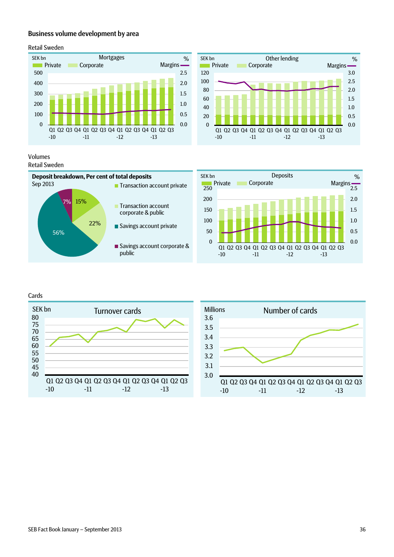### <span id="page-35-0"></span>Business volume development by area

### <span id="page-35-1"></span>Retail Sweden



0.0 0.5 1.0 1.5 2.0 2.5 3.0 0 20 40 60 80 100 120 Q1 Q2 Q3 Q4 Q1 Q2 Q3 Q4 Q1 Q2 Q3 Q4 Q1 Q2 Q3 -10 -11 -12 -13 Other lending SEK bn % Private Corporate Margins

### Volumes Retail Sweden



<span id="page-35-2"></span>Cards



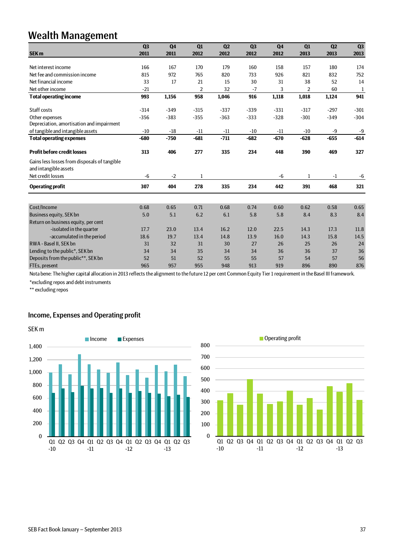# <span id="page-36-0"></span>Wealth Management

|                                                                       | Q <sub>3</sub> | Q <sub>4</sub> | Q1     | Q2     | Q <sub>3</sub> | Q <sub>4</sub> | Q1     | Q <sub>2</sub> | Q <sub>3</sub> |
|-----------------------------------------------------------------------|----------------|----------------|--------|--------|----------------|----------------|--------|----------------|----------------|
| SEK <sub>m</sub>                                                      | 2011           | 2011           | 2012   | 2012   | 2012           | 2012           | 2013   | 2013           | 2013           |
|                                                                       |                |                |        |        |                |                |        |                |                |
| Net interest income                                                   | 166            | 167            | 170    | 179    | 160            | 158            | 157    | 180            | 174            |
| Net fee and commission income                                         | 815            | 972            | 765    | 820    | 733            | 926            | 821    | 832            | 752            |
| Net financial income                                                  | 33             | 17             | 21     | 15     | 30             | 31             | 38     | 52             | 14             |
| Net other income                                                      | $-21$          |                | 2      | 32     | $-7$           | 3              | 2      | 60             | $\mathbf{1}$   |
| <b>Total operating income</b>                                         | 993            | 1,156          | 958    | 1,046  | 916            | 1,118          | 1,018  | 1,124          | 941            |
| Staff costs                                                           | $-314$         | $-349$         | $-315$ | $-337$ | $-339$         | $-331$         | $-317$ | $-297$         | $-301$         |
| Other expenses                                                        | $-356$         | $-383$         | $-355$ | $-363$ | $-333$         | $-328$         | $-301$ | $-349$         | $-304$         |
| Depreciation, amortisation and impairment                             |                |                |        |        |                |                |        |                |                |
| of tangible and intangible assets                                     | $-10$          | $-18$          | $-11$  | $-11$  | $-10$          | $-11$          | $-10$  | -9             | $-9$           |
| <b>Total operating expenses</b>                                       | $-680$         | $-750$         | $-681$ | $-711$ | $-682$         | $-670$         | $-628$ | $-655$         | $-614$         |
| <b>Profit before credit losses</b>                                    | 313            | 406            | 277    | 335    | 234            | 448            | 390    | 469            | 327            |
| Gains less losses from disposals of tangible<br>and intangible assets |                |                |        |        |                |                |        |                |                |
| Net credit losses                                                     | -6             | $-2$           | 1      |        |                | $-6$           | 1      | $-1$           | $-6$           |
| <b>Operating profit</b>                                               | 307            | 404            | 278    | 335    | 234            | 442            | 391    | 468            | 321            |
|                                                                       |                |                |        |        |                |                |        |                |                |
| Cost/Income                                                           | 0.68           | 0.65           | 0.71   | 0.68   | 0.74           | 0.60           | 0.62   | 0.58           | 0.65           |
| Business equity, SEK bn                                               | 5.0            | 5.1            | 6.2    | 6.1    | 5.8            | 5.8            | 8.4    | 8.3            | 8.4            |
| Return on business equity, per cent                                   |                |                |        |        |                |                |        |                |                |
| -isolated in the quarter                                              | 17.7           | 23.0           | 13.4   | 16.2   | 12.0           | 22.5           | 14.3   | 17.3           | 11.8           |
| -accumulated in the period                                            | 18.6           | 19.7           | 13.4   | 14.8   | 13.9           | 16.0           | 14.3   | 15.8           | 14.5           |
| RWA - Basel II, SEK bn                                                | 31             | 32             | 31     | 30     | 27             | 26             | 25     | 26             | 24             |
| Lending to the public*, SEK bn                                        | 34             | 34             | 35     | 34     | 34             | 36             | 36     | 37             | 36             |
| Deposits from the public**, SEK bn                                    | 52             | 51             | 52     | 55     | 55             | 57             | 54     | 57             | 56             |
| FTEs, present                                                         | 965            | 957            | 955    | 948    | 913            | 919            | 896    | 890            | 876            |

Nota bene: The higher capital allocation in 2013 reflects the alignment to the future 12 per cent Common Equity Tier 1 requirement in the Basel III framework.

\*excluding repos and debt instruments

\*\* excluding repos

## <span id="page-36-1"></span>Income, Expenses and Operating profit



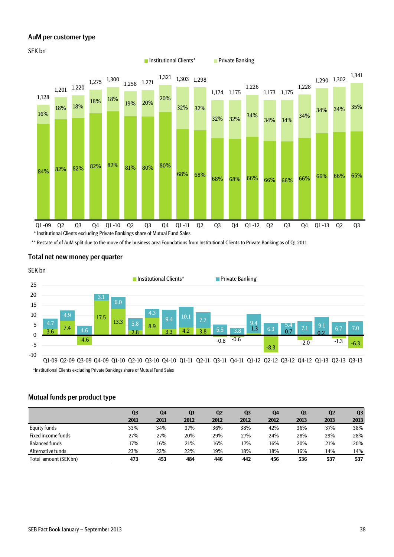### <span id="page-37-0"></span>AuM per customer type



\*\* Restate of of AuM split due to the move of the business area Foundations from Institutional Clients to Private Banking as of Q1 2011

### <span id="page-37-1"></span>Total net new money per quarter



\*Institutional Clients excluding Private Bankings share of Mutual Fund Sales

### <span id="page-37-2"></span>Mutual funds per product type

|                       | Q <sub>3</sub> | Q <sub>4</sub> | Q1   | Q <sub>2</sub> | Q <sub>3</sub> | Q <sub>4</sub> | Q1   | Q <sub>2</sub> | Q <sub>3</sub> |
|-----------------------|----------------|----------------|------|----------------|----------------|----------------|------|----------------|----------------|
|                       | 2011           | 2011           | 2012 | 2012           | 2012           | 2012           | 2013 | 2013           | 2013           |
| Equity funds          | 33%            | 34%            | 37%  | 36%            | 38%            | 42%            | 36%  | 37%            | 38%            |
| Fixed income funds    | 27%            | 27%            | 20%  | 29%            | 27%            | 24%            | 28%  | 29%            | 28%            |
| Balanced funds        | 17%            | 16%            | 21%  | 16%            | 17%            | 16%            | 20%  | 21%            | 20%            |
| Alternative funds     | 23%            | 23%            | 22%  | 19%            | 18%            | 18%            | 16%  | 14%            | 14%            |
| Total amount (SEK bn) | 473            | 453            | 484  | 446            | 442            | 456            | 536  | 537            | 537            |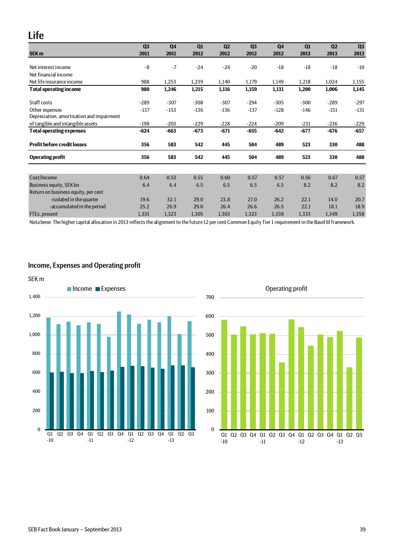# <span id="page-38-0"></span>Life

|                                           | Q3     | <b>Q4</b> | Q1     | Q2     | Q <sub>3</sub> | Q <sub>4</sub> | Q1     | Q <sub>2</sub> | Q3     |
|-------------------------------------------|--------|-----------|--------|--------|----------------|----------------|--------|----------------|--------|
| <b>SEK m</b>                              | 2011   | 2011      | 2012   | 2012   | 2012           | 2012           | 2013   | 2013           | 2013   |
| Net interest income                       | $-8$   | $-7$      | $-24$  | $-24$  | $-20$          | $-18$          | $-18$  | $-18$          | $-10$  |
| Net financial income                      |        |           |        |        |                |                |        |                |        |
| Net life insurance income                 | 988    | 1,253     | 1,239  | 1,140  | 1,179          | 1,149          | 1,218  | 1,024          | 1,155  |
| <b>Total operating income</b>             | 980    | 1,246     | 1,215  | 1,116  | 1,159          | 1,131          | 1,200  | 1,006          | 1,145  |
| Staff costs                               | $-289$ | $-307$    | $-308$ | $-307$ | $-294$         | $-305$         | $-300$ | $-289$         | $-297$ |
| Other expenses                            | $-137$ | $-153$    | $-136$ | $-136$ | $-137$         | $-128$         | $-146$ | $-151$         | $-131$ |
| Depreciation, amortisation and impairment |        |           |        |        |                |                |        |                |        |
| of tangible and intangible assets         | $-198$ | $-203$    | $-229$ | $-228$ | $-224$         | $-209$         | $-231$ | $-236$         | $-229$ |
| <b>Total operating expenses</b>           | $-624$ | $-663$    | $-673$ | $-671$ | -655           | $-642$         | $-677$ | $-676$         | $-657$ |
| <b>Profit before credit losses</b>        | 356    | 583       | 542    | 445    | 504            | 489            | 523    | 330            | 488    |
| <b>Operating profit</b>                   | 356    | 583       | 542    | 445    | 504            | 489            | 523    | 330            | 488    |
|                                           |        |           |        |        |                |                |        |                |        |
| Cost/Income                               | 0.64   | 0.53      | 0.55   | 0.60   | 0.57           | 0.57           | 0.56   | 0.67           | 0.57   |
| Business equity, SEK bn                   | 6.4    | 6.4       | 6.5    | 6.5    | 6.5            | 6.5            | 8.2    | 8.2            | 8.2    |
| Return on business equity, per cent       |        |           |        |        |                |                |        |                |        |
| -isolated in the quarter                  | 19.6   | 32.1      | 29.0   | 23.8   | 27.0           | 26.2           | 22.1   | 14.0           | 20.7   |
| -accumulated in the period                | 25.2   | 26.9      | 29.0   | 26.4   | 26.6           | 26.5           | 22.1   | 18.1           | 18.9   |
| FTEs, present                             | 1,331  | 1,323     | 1,305  | 1,303  | 1,323          | 1,338          | 1,333  | 1,349          | 1,358  |

Nota bene: The higher capital allocation in 2013 reflects the alignment to the future 12 per cent Common Equity Tier 1 requirement in the Basel III framework.

# <span id="page-38-1"></span>Income, Expenses and Operating profit



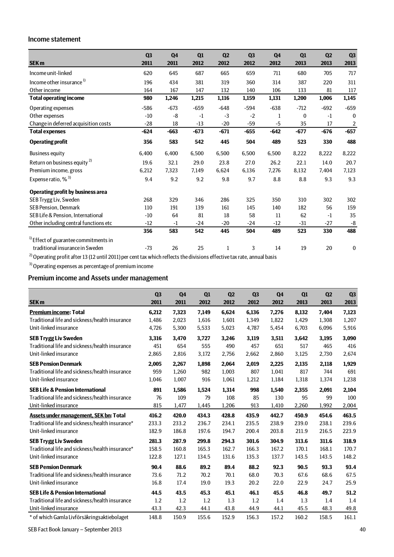### <span id="page-39-0"></span>Income statement

|                                                  | Q <sub>3</sub> | Q <sub>4</sub> | Q1     | Q <sub>2</sub> | Q <sub>3</sub> | Q <sub>4</sub> | Q1           | Q2     | Q3                      |
|--------------------------------------------------|----------------|----------------|--------|----------------|----------------|----------------|--------------|--------|-------------------------|
| <b>SEK m</b>                                     | 2011           | 2011           | 2012   | 2012           | 2012           | 2012           | 2013         | 2013   | 2013                    |
| Income unit-linked                               | 620            | 645            | 687    | 665            | 659            | 711            | 680          | 705    | 717                     |
| Income other insurance <sup>1)</sup>             | 196            | 434            | 381    | 319            | 360            | 314            | 387          | 220    | 311                     |
| Other income                                     | 164            | 167            | 147    | 132            | 140            | 106            | 133          | 81     | 117                     |
| <b>Total operating income</b>                    | 980            | 1,246          | 1,215  | 1,116          | 1,159          | 1,131          | 1,200        | 1,006  | 1,145                   |
| Operating expenses                               | $-586$         | $-673$         | $-659$ | $-648$         | $-594$         | $-638$         | $-712$       | $-692$ | $-659$                  |
| Other expenses                                   | $-10$          | $-8$           | $-1$   | $-3$           | $-2$           | 1              | $\mathbf{0}$ | $-1$   | $\mathbf{0}$            |
| Change in deferred acquisition costs             | $-28$          | 18             | $-13$  | $-20$          | $-59$          | $-5$           | 35           | 17     | $\overline{\mathbf{c}}$ |
| <b>Total expenses</b>                            | $-624$         | $-663$         | $-673$ | $-671$         | $-655$         | $-642$         | $-677$       | $-676$ | $-657$                  |
| <b>Operating profit</b>                          | 356            | 583            | 542    | 445            | 504            | 489            | 523          | 330    | 488                     |
| <b>Business equity</b>                           | 6.400          | 6,400          | 6,500  | 6,500          | 6,500          | 6,500          | 8,222        | 8,222  | 8,222                   |
| Return on business equity <sup>2)</sup>          | 19.6           | 32.1           | 29.0   | 23.8           | 27.0           | 26.2           | 22.1         | 14.0   | 20.7                    |
| Premium income, gross                            | 6,212          | 7,323          | 7,149  | 6,624          | 6,136          | 7,276          | 8,132        | 7,404  | 7,123                   |
| Expense ratio, % <sup>3)</sup>                   | 9.4            | 9.2            | 9.2    | 9.8            | 9.7            | 8.8            | 8.8          | 9.3    | 9.3                     |
| <b>Operating profit by business area</b>         |                |                |        |                |                |                |              |        |                         |
| SEB Trygg Liv, Sweden                            | 268            | 329            | 346    | 286            | 325            | 350            | 310          | 302    | 302                     |
| <b>SEB Pension. Denmark</b>                      | 110            | 191            | 139    | 161            | 145            | 140            | 182          | 56     | 159                     |
| SEB Life & Pension, International                | $-10$          | 64             | 81     | 18             | 58             | 11             | 62           | $-1$   | 35                      |
| Other including central functions etc            | $-12$          | $-1$           | $-24$  | $-20$          | $-24$          | $-12$          | $-31$        | $-27$  | $-8$                    |
|                                                  | 356            | 583            | 542    | 445            | 504            | 489            | 523          | 330    | 488                     |
| <sup>1)</sup> Effect of guarantee commitments in |                |                |        |                |                |                |              |        |                         |
| traditional insurance in Sweden                  | $-73$          | 26             | 25     | 1              | 3              | 14             | 19           | 20     | $\boldsymbol{0}$        |

 $^{2)}$  Operating profit after 13 (12 until 2011) per cent tax which reflects the divisions effective tax rate, annual basis

3) Operating expenses as percentage of premium income

# <span id="page-39-1"></span>Premium income and Assets under management

| <b>SEK m</b>                                    | Q <sub>3</sub><br>2011 | Q <sub>4</sub><br>2011 | Q1<br>2012 | Q <sub>2</sub><br>2012 | Q <sub>3</sub><br>2012 | Q4<br>2012 | Q1<br>2013 | Q <sub>2</sub><br>2013 | Q <sub>3</sub><br>2013 |
|-------------------------------------------------|------------------------|------------------------|------------|------------------------|------------------------|------------|------------|------------------------|------------------------|
| <b>Premium income: Total</b>                    | 6,212                  | 7,323                  | 7,149      | 6,624                  | 6,136                  | 7,276      | 8,132      | 7,404                  | 7,123                  |
| Traditional life and sickness/health insurance  | 1,486                  | 2.023                  | 1,616      | 1,601                  | 1,349                  | 1,822      | 1,429      | 1,308                  | 1,207                  |
| Unit-linked insurance                           | 4,726                  | 5,300                  | 5,533      | 5,023                  | 4,787                  | 5,454      | 6,703      | 6,096                  | 5,916                  |
| <b>SEB Trygg Liv Sweden</b>                     | 3,316                  | 3,470                  | 3,727      | 3,246                  | 3,119                  | 3,511      | 3,642      | 3,195                  | 3,090                  |
| Traditional life and sickness/health insurance  | 451                    | 654                    | 555        | 490                    | 457                    | 651        | 517        | 465                    | 416                    |
| Unit-linked insurance                           | 2,865                  | 2,816                  | 3,172      | 2,756                  | 2,662                  | 2,860      | 3,125      | 2,730                  | 2,674                  |
| <b>SEB Pension Denmark</b>                      | 2.005                  | 2,267                  | 1,898      | 2,064                  | 2,019                  | 2,225      | 2,135      | 2,118                  | 1,929                  |
| Traditional life and sickness/health insurance  | 959                    | 1,260                  | 982        | 1,003                  | 807                    | 1,041      | 817        | 744                    | 691                    |
| Unit-linked insurance                           | 1,046                  | 1,007                  | 916        | 1,061                  | 1,212                  | 1,184      | 1,318      | 1,374                  | 1,238                  |
| <b>SEB Life &amp; Pension International</b>     | 891                    | 1,586                  | 1,524      | 1,314                  | 998                    | 1,540      | 2,355      | 2,091                  | 2,104                  |
| Traditional life and sickness/health insurance  | 76                     | 109                    | 79         | 108                    | 85                     | 130        | 95         | 99                     | 100                    |
| Unit-linked insurance                           | 815                    | 1,477                  | 1,445      | 1,206                  | 913                    | 1,410      | 2,260      | 1,992                  | 2,004                  |
| Assets under management, SEK bn: Total          | 416.2                  | 420.0                  | 434.3      | 428.8                  | 435.9                  | 442.7      | 450.9      | 454.6                  | 463.5                  |
| Traditional life and sickness/health insurance* | 233.3                  | 233.2                  | 236.7      | 234.1                  | 235.5                  | 238.9      | 239.0      | 238.1                  | 239.6                  |
| Unit-linked insurance                           | 182.9                  | 186.8                  | 197.6      | 194.7                  | 200.4                  | 203.8      | 211.9      | 216.5                  | 223.9                  |
| <b>SEB Trygg Liv Sweden</b>                     | 281.3                  | 287.9                  | 299.8      | 294.3                  | 301.6                  | 304.9      | 313.6      | 311.6                  | 318.9                  |
| Traditional life and sickness/health insurance* | 158.5                  | 160.8                  | 165.3      | 162.7                  | 166.3                  | 167.2      | 170.1      | 168.1                  | 170.7                  |
| Unit-linked insurance                           | 122.8                  | 127.1                  | 134.5      | 131.6                  | 135.3                  | 137.7      | 143.5      | 143.5                  | 148.2                  |
| <b>SEB Pension Denmark</b>                      | 90.4                   | 88.6                   | 89.2       | 89.4                   | 88.2                   | 92.3       | 90.5       | 93.3                   | 93.4                   |
| Traditional life and sickness/health insurance  | 73.6                   | 71.2                   | 70.2       | 70.1                   | 68.0                   | 70.3       | 67.6       | 68.6                   | 67.5                   |
| Unit-linked insurance                           | 16.8                   | 17.4                   | 19.0       | 19.3                   | 20.2                   | 22.0       | 22.9       | 24.7                   | 25.9                   |
| <b>SEB Life &amp; Pension International</b>     | 44.5                   | 43.5                   | 45.3       | 45.1                   | 46.1                   | 45.5       | 46.8       | 49.7                   | 51.2                   |
| Traditional life and sickness/health insurance  | 1.2                    | 1.2                    | 1.2        | 1.3                    | 1.2                    | 1.4        | 1.3        | 1.4                    | 1.4                    |
| Unit-linked insurance                           | 43.3                   | 42.3                   | 44.1       | 43.8                   | 44.9                   | 44.1       | 45.5       | 48.3                   | 49.8                   |
| * of which Gamla Livförsäkringsaktiebolaget     | 148.8                  | 150.9                  | 155.6      | 152.9                  | 156.3                  | 157.2      | 160.2      | 158.5                  | 161.1                  |

SEB Fact Book January – September 2013 40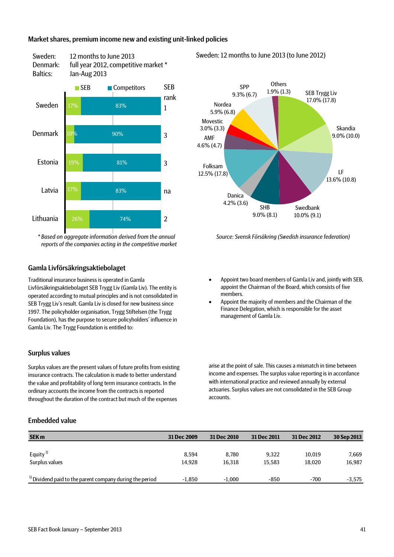### <span id="page-40-0"></span>Market shares, premium income new and existing unit-linked policies



Sweden: 12 months to June 2013

*\* Based on aggregate information derived from the annual reports of the companies acting in the competitive market*

### <span id="page-40-1"></span>Gamla Livförsäkringsaktiebolaget

Traditional insurance business is operated in Gamla Livförsäkringsaktiebolaget SEB Trygg Liv (Gamla Liv). The entity is operated according to mutual principles and is not consolidated in SEB Trygg Liv's result. Gamla Liv is closed for new business since 1997. The policyholder organisation, Trygg Stiftelsen (the Trygg Foundation), has the purpose to secure policyholders' influence in Gamla Liv. The Trygg Foundation is entitled to:

### <span id="page-40-2"></span>Surplus values

Surplus values are the present values of future profits from existing insurance contracts. The calculation is made to better understand the value and profitability of long term insurance contracts. In the ordinary accounts the income from the contracts is reported throughout the duration of the contract but much of the expenses

### <span id="page-40-3"></span>Embedded value





*Source: Svensk Försäkring (Swedish insurance federation)*

- Appoint two board members of Gamla Liv and, jointly with SEB, appoint the Chairman of the Board, which consists of five members.
- Appoint the majority of members and the Chairman of the Finance Delegation, which is responsible for the asset management of Gamla Liv.

arise at the point of sale. This causes a mismatch in time between income and expenses. The surplus value reporting is in accordance with international practice and reviewed annually by external actuaries. Surplus values are not consolidated in the SEB Group accounts.

| <b>SEK m</b>                                                        | 31 Dec 2009 | 31 Dec 2010 | 31 Dec 2011 | 31 Dec 2012 | 30 Sep 2013 |
|---------------------------------------------------------------------|-------------|-------------|-------------|-------------|-------------|
|                                                                     |             |             |             |             |             |
| Equity $^{1}$                                                       | 8.594       | 8.780       | 9.322       | 10,019      | 7,669       |
| Surplus values                                                      | 14.928      | 16.318      | 15.583      | 18.020      | 16,987      |
|                                                                     |             |             |             |             |             |
| <sup>1)</sup> Dividend paid to the parent company during the period | $-1.850$    | $-1.000$    | -850        | $-700$      | $-3.575$    |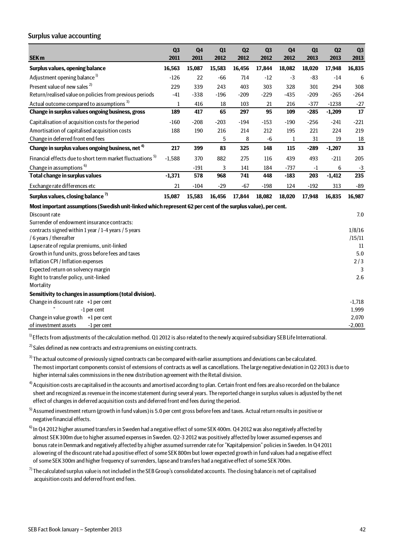### <span id="page-41-0"></span>Surplus value accounting

| SEK <sub>m</sub>                                                                                             | Q <sub>3</sub><br>2011 | Q <sub>4</sub><br>2011 | Q1<br>2012 | Q2<br>2012 | Q <sub>3</sub><br>2012 | Q <sub>4</sub><br>2012 | Q1<br>2013 | Q <sub>2</sub><br>2013 | Q <sub>3</sub><br>2013 |
|--------------------------------------------------------------------------------------------------------------|------------------------|------------------------|------------|------------|------------------------|------------------------|------------|------------------------|------------------------|
| Surplus values, opening balance                                                                              | 16,563                 | 15,087                 | 15,583     | 16,456     | 17,844                 | 18,082                 | 18,020     | 17,948                 | 16,835                 |
| Adjustment opening balance <sup>1)</sup>                                                                     | $-126$                 | 22                     | $-66$      | 714        | $-12$                  | $-3$                   | $-83$      | $-14$                  | 6                      |
|                                                                                                              |                        |                        |            |            |                        |                        |            |                        |                        |
| Present value of new sales <sup>2)</sup>                                                                     | 229                    | 339                    | 243        | 403        | 303                    | 328                    | 301        | 294                    | 308                    |
| Return/realised value on policies from previous periods                                                      | $-41$                  | $-338$                 | $-196$     | $-209$     | $-229$                 | $-435$                 | $-209$     | $-265$                 | $-264$                 |
| Actual outcome compared to assumptions <sup>3)</sup>                                                         | $\mathbf 1$            | 416                    | 18         | 103        | 21                     | 216                    | $-377$     | $-1238$                | $-27$                  |
| Change in surplus values ongoing business, gross                                                             | 189                    | 417                    | 65         | 297        | 95                     | 109                    | $-285$     | $-1,209$               | 17                     |
| Capitalisation of acquisition costs for the period                                                           | $-160$                 | $-208$                 | $-203$     | $-194$     | $-153$                 | $-190$                 | $-256$     | $-241$                 | $-221$                 |
| Amortisation of capitalised acquisition costs                                                                | 188                    | 190                    | 216        | 214        | 212                    | 195                    | 221        | 224                    | 219                    |
| Change in deferred front end fees                                                                            |                        |                        | 5          | 8          | $-6$                   | $\mathbf 1$            | 31         | 19                     | 18                     |
| Change in surplus values ongoing business, net <sup>4)</sup>                                                 | 217                    | 399                    | 83         | 325        | 148                    | 115                    | $-289$     | $-1,207$               | 33                     |
| Financial effects due to short term market fluctuations <sup>5)</sup>                                        | $-1,588$               | 370                    | 882        | 275        | 116                    | 439                    | 493        | $-211$                 | 205                    |
| Change in assumptions <sup>6)</sup>                                                                          |                        | $-191$                 | 3          | 141        | 184                    | $-737$                 | $-1$       | 6                      | $-3$                   |
| Total change in surplus values                                                                               | $-1,371$               | 578                    | 968        | 741        | 448                    | $-183$                 | 203        | $-1,412$               | 235                    |
| Exchange rate differences etc                                                                                | 21                     | $-104$                 | $-29$      | $-67$      | $-198$                 | 124                    | $-192$     | 313                    | $-89$                  |
| Surplus values, closing balance <sup>7)</sup>                                                                | 15,087                 | 15,583                 | 16,456     | 17,844     | 18,082                 | 18,020                 | 17,948     | 16,835                 | 16,987                 |
| Most important assumptions (Swedish unit-linked which represent 62 per cent of the surplus value), per cent. |                        |                        |            |            |                        |                        |            |                        |                        |
| Discount rate                                                                                                |                        |                        |            |            |                        |                        |            |                        | 7.0                    |
| Surrender of endowment insurance contracts:                                                                  |                        |                        |            |            |                        |                        |            |                        |                        |
| contracts signed within 1 year / 1-4 years / 5 years                                                         |                        |                        |            |            |                        |                        |            |                        | 1/8/16                 |
| /6 years / thereafter                                                                                        |                        |                        |            |            |                        |                        |            |                        | /15/11                 |
| Lapse rate of regular premiums, unit-linked                                                                  |                        |                        |            |            |                        |                        |            |                        | 11                     |
| Growth in fund units, gross before fees and taxes                                                            |                        |                        |            |            |                        |                        |            |                        | 5.0                    |
| Inflation CPI / Inflation expenses                                                                           |                        |                        |            |            |                        |                        |            |                        | 2/3                    |
| Expected return on solvency margin                                                                           |                        |                        |            |            |                        |                        |            |                        | 3                      |
| Right to transfer policy, unit-linked                                                                        |                        |                        |            |            |                        |                        |            |                        | 2.6                    |
| Mortality                                                                                                    |                        |                        |            |            |                        |                        |            |                        |                        |
| Sensitivity to changes in assumptions (total division).                                                      |                        |                        |            |            |                        |                        |            |                        |                        |
| Change in discount rate +1 per cent                                                                          |                        |                        |            |            |                        |                        |            |                        | $-1,718$               |
| -1 per cent                                                                                                  |                        |                        |            |            |                        |                        |            |                        | 1,999                  |
| Change in value growth $+1$ per cent                                                                         |                        |                        |            |            |                        |                        |            |                        | 2,070                  |
| of investment assets<br>-1 per cent                                                                          |                        |                        |            |            |                        |                        |            |                        | $-2,003$               |

<sup>1)</sup> Effects from adjustments of the calculation method. Q1 2012 is also related to the newly acquired subsidiary SEB Life International.

 $^{2)}$  Sales defined as new contracts and extra premiums on existing contracts.

 $3$ ) The actual outcome of previously signed contracts can be compared with earlier assumptions and deviations can be calculated. The most important components consist of extensions of contracts as well as cancellations. The large negative deviation in Q2 2013 is due to higher internal sales commissions in the new distribution agreement with the Retail division.

 $4)$  Acquisition costs are capitalised in the accounts and amortised according to plan. Certain front end fees are also recorded on the balance sheet and recognized as revenue in the income statement during several years. The reported change in surplus values is adjusted by the net effect of changes in deferred acquisition costs and deferred front end fees during the period.

5) Assumed investment return (growth in fund values) is 5.0 per cent gross before fees and taxes. Actual return results in positive or negative financial effects.

- <sup>6)</sup> In Q4 2012 higher assumed transfers in Sweden had a negative effect of some SEK 400m. Q4 2012 was also negatively affected by almost SEK 300m due to higher assumed expenses in Sweden. Q2-3 2012 was positively affected by lower assumed expenses and bonus rate in Denmark and negatively affected by a higher assumed surrender rate for "Kapitalpension" policies in Sweden. In Q4 2011 a lowering of the discount rate had a positive effect of some SEK 800m but lower expected growth in fund values had a negative effect of some SEK 300m and higher frequency of surrenders, lapse and transfers had a negative effect of some SEK 700m.
- $^{7)}$ The calculated surplus value is not included in the SEB Group's consolidated accounts. The closing balance is net of capitalised acquisition costs and deferred front end fees.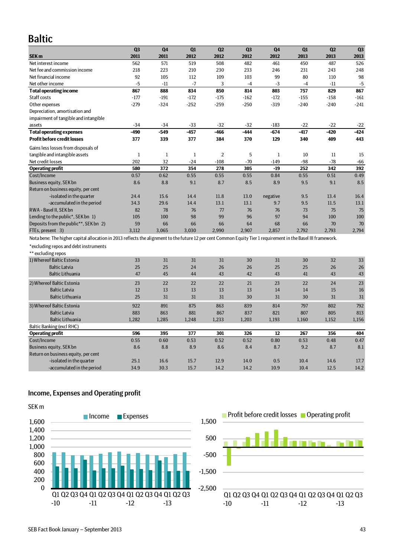# <span id="page-42-0"></span>Baltic

|                                                                                                                                                                | Q <sub>3</sub> | Q <sub>4</sub> | Q1           | Q2             | Q <sub>3</sub> | Q4           | Q1     | Q <sub>2</sub> | Q <sub>3</sub> |
|----------------------------------------------------------------------------------------------------------------------------------------------------------------|----------------|----------------|--------------|----------------|----------------|--------------|--------|----------------|----------------|
| SEK <sub>m</sub>                                                                                                                                               | 2011           | 2011           | 2012         | 2012           | 2012           | 2012         | 2013   | 2013           | 2013           |
| Net interest income                                                                                                                                            | 562            | 571            | 519          | 508            | 482            | 461          | 450    | 487            | 526            |
| Net fee and commission income                                                                                                                                  | 218            | 223            | 210          | 230            | 233            | 246          | 231    | 243            | 248            |
| Net financial income                                                                                                                                           | 92             | 105            | 112          | 109            | 103            | 99           | 80     | 110            | 98             |
| Net other income                                                                                                                                               | $-5$           | $-11$          | $-7$         | 3              | $-4$           | $-3$         | $-4$   | $-11$          | $-5$           |
| <b>Total operating income</b>                                                                                                                                  | 867            | 888            | 834          | 850            | 814            | 803          | 757    | 829            | 867            |
| Staff costs                                                                                                                                                    | $-177$         | $-191$         | $-172$       | $-175$         | $-162$         | $-172$       | $-155$ | $-158$         | $-161$         |
| Other expenses                                                                                                                                                 | $-279$         | $-324$         | $-252$       | $-259$         | $-250$         | $-319$       | $-240$ | $-240$         | $-241$         |
| Depreciation, amortisation and                                                                                                                                 |                |                |              |                |                |              |        |                |                |
| impairment of tangible and intangible                                                                                                                          |                |                |              |                |                |              |        |                |                |
| assets                                                                                                                                                         | $-34$          | $-34$          | $-33$        | $-32$          | $-32$          | $-183$       | $-22$  | $-22$          | $-22$          |
| <b>Total operating expenses</b>                                                                                                                                | $-490$         | $-549$         | $-457$       | -466           | $-444$         | -674         | $-417$ | -420           | $-424$         |
| <b>Profit before credit losses</b>                                                                                                                             | 377            | 339            | 377          | 384            | 370            | 129          | 340    | 409            | 443            |
| Gains less losses from disposals of                                                                                                                            |                |                |              |                |                |              |        |                |                |
| tangible and intangible assets                                                                                                                                 | $\mathbf{1}$   | $\mathbf{1}$   | $\mathbf{1}$ | $\overline{2}$ | 5              | $\mathbf{1}$ | 10     | 11             | 15             |
| Net credit losses                                                                                                                                              | 202            | 32             | $-24$        | $-108$         | $-70$          | $-149$       | $-98$  | $-78$          | $-66$          |
| <b>Operating profit</b>                                                                                                                                        | 580            | 372            | 354          | 278            | 305            | $-19$        | 252    | 342            | 392            |
| Cost/Income                                                                                                                                                    | 0.57           | 0.62           | 0.55         | 0.55           | 0.55           | 0.84         | 0.55   | 0.51           | 0.49           |
| Business equity, SEK bn                                                                                                                                        | 8.6            | 8.8            | 9.1          | 8.7            | 8.5            | 8.9          | 9.5    | 9.1            | 8.5            |
| Return on business equity, per cent                                                                                                                            |                |                |              |                |                |              |        |                |                |
| -isolated in the quarter                                                                                                                                       | 24.4           | 15.6           | 14.4         | 11.8           | 13.0           | negative     | 9.5    | 13.4           | 16.4           |
| -accumulated in the period                                                                                                                                     | 34.3           | 29.6           | 14.4         | 13.1           | 13.1           | 9.7          | 9.5    | 11.5           | 13.1           |
| RWA - Basel II. SEK bn                                                                                                                                         | 82             | 78             | 76           | 77             | 76             | 76           | 73     | 75             | 75             |
| Lending to the public*, SEK bn 1)                                                                                                                              | 105            | 100            | 98           | 99             | 96             | 97           | 94     | 100            | 100            |
| Deposits from the public**, SEK bn 2)                                                                                                                          | 59             | 66             | 66           | 66             | 64             | 68           | 66     | 70             | 70             |
| FTEs, present 3)                                                                                                                                               | 3.112          | 3.065          | 3.030        | 2.990          | 2.907          | 2.857        | 2.792  | 2.793          | 2,794          |
| Nota bene: The higher capital allocation in 2013 reflects the alignment to the future 12 per cent Common Equity Tier 1 requirement in the Basel III framework. |                |                |              |                |                |              |        |                |                |
| *excluding repos and debt instruments                                                                                                                          |                |                |              |                |                |              |        |                |                |
| ** excluding repos                                                                                                                                             |                |                |              |                |                |              |        |                |                |
| 1) Whereof Baltic Estonia                                                                                                                                      | 33             | 31             | 31           | 31             | 30             | 31           | 30     | 32             | 33             |
| <b>Baltic Latvia</b>                                                                                                                                           | 25             | 25             | 24           | 26             | 26             | 25           | 25     | 26             | 26             |
| <b>Baltic Lithuania</b>                                                                                                                                        | 47             | 45             | 44           | 43             | 42             | 43           | 41     | 43             | 43             |
|                                                                                                                                                                |                |                |              |                |                |              |        |                |                |
| 2) Whereof Baltic Estonia                                                                                                                                      | 23             | 22             | 22           | 22             | 21             | 23           | 22     | 24             | 23             |
| <b>Baltic Latvia</b>                                                                                                                                           | 12             | 13             | 13           | 13             | 13             | 14           | 14     | 15             | 16             |
| <b>Baltic Lithuania</b>                                                                                                                                        | 25             | 31             | 31           | 31             | 30             | 31           | 30     | 31             | 31             |
| 3) Whereof Baltic Estonia                                                                                                                                      | 922            | 891            | 875          | 863            | 839            | 814          | 797    | 802            | 792            |
| <b>Baltic Latvia</b>                                                                                                                                           | 883            | 863            | 881          | 867            | 837            | 821          | 807    | 805            | 813            |
| <b>Baltic Lithuania</b>                                                                                                                                        | 1,282          | 1,285          | 1,248        | 1,233          | 1,203          | 1,193        | 1,160  | 1,152          | 1,156          |
| Baltic Banking (excl RHC)                                                                                                                                      |                |                |              |                |                |              |        |                |                |
| <b>Operating profit</b>                                                                                                                                        | 596            | 395            | 377          | 301            | 326            | 12           | 267    | 356            | 404            |
| Cost/Income                                                                                                                                                    | 0.55           | 0.60           | 0.53         | 0.52           | 0.52           | 0.80         | 0.53   | 0.48           | 0.47           |
| Business equity, SEK bn                                                                                                                                        | 8.6            | 8.8            | 8.9          | 8.6            | 8.4            | 8.7          | 9.2    | 8.7            | 8.1            |
| Return on business equity, per cent                                                                                                                            |                |                |              |                |                |              |        |                |                |
| -isolated in the quarter                                                                                                                                       | 25.1           | 16.6           | 15.7         | 12.9           | 14.0           | 0.5          | 10.4   | 14.6           | 17.7           |
| -accumulated in the period                                                                                                                                     | 34.9           | 30.3           | 15.7         | 14.2           | 14.2           | 10.9         | 10.4   | 12.5           | 14.2           |

# <span id="page-42-1"></span>Income, Expenses and Operating profit



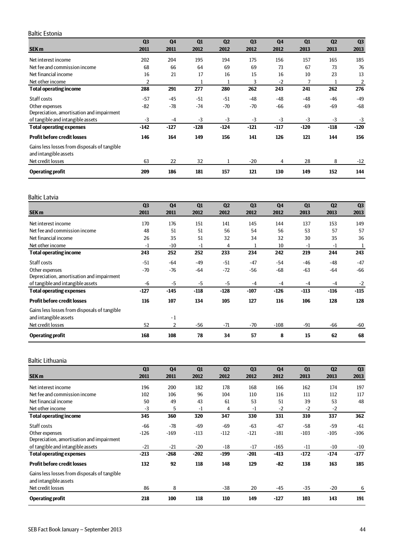### <span id="page-43-0"></span>Baltic Estonia

|                                                                       | Q <sub>3</sub> | Q <sub>4</sub> | Q1          | Q <sub>2</sub> | Q <sub>3</sub> | Q <sub>4</sub> | Q1     | Q <sub>2</sub> | Q <sub>3</sub> |
|-----------------------------------------------------------------------|----------------|----------------|-------------|----------------|----------------|----------------|--------|----------------|----------------|
| <b>SEK m</b>                                                          | 2011           | 2011           | 2012        | 2012           | 2012           | 2012           | 2013   | 2013           | 2013           |
| Net interest income                                                   | 202            | 204            | 195         | 194            | 175            | 156            | 157    | 165            | 185            |
| Net fee and commission income                                         | 68             | 66             | 64          | 69             | 69             | 73             | 67     | 73             | 76             |
| Net financial income                                                  | 16             | 21             | 17          | 16             | 15             | 16             | 10     | 23             | 13             |
| Net other income                                                      | $\overline{2}$ |                | $\mathbf 1$ | $\mathbf{1}$   | 3              | $-2$           | 7      |                | 2              |
| <b>Total operating income</b>                                         | 288            | 291            | 277         | 280            | 262            | 243            | 241    | 262            | 276            |
| Staff costs                                                           | $-57$          | $-45$          | $-51$       | $-51$          | $-48$          | $-48$          | $-48$  | $-46$          | $-49$          |
| Other expenses                                                        | -82            | $-78$          | $-74$       | $-70$          | $-70$          | -66            | -69    | -69            | $-68$          |
| Depreciation, amortisation and impairment                             |                |                |             |                |                |                |        |                |                |
| of tangible and intangible assets                                     | $-3$           | $-4$           | $-3$        | $-3$           | $-3$           | $-3$           | $-3$   | $-3$           | $-3$           |
| <b>Total operating expenses</b>                                       | $-142$         | $-127$         | $-128$      | $-124$         | $-121$         | $-117$         | $-120$ | $-118$         | $-120$         |
| <b>Profit before credit losses</b>                                    | 146            | 164            | 149         | 156            | 141            | 126            | 121    | 144            | 156            |
| Gains less losses from disposals of tangible<br>and intangible assets |                |                |             |                |                |                |        |                |                |
| Net credit losses                                                     | 63             | 22             | 32          |                | $-20$          | 4              | 28     | 8              | $-12$          |
| <b>Operating profit</b>                                               | 209            | 186            | 181         | 157            | 121            | 130            | 149    | 152            | 144            |

### <span id="page-43-1"></span>Baltic Latvia

|                                              | Q <sub>3</sub> | Q <sub>4</sub> | Q1     | Q <sub>2</sub> | Q <sub>3</sub> | Q <sub>4</sub> | Q1     | Q <sub>2</sub> | Q <sub>3</sub> |
|----------------------------------------------|----------------|----------------|--------|----------------|----------------|----------------|--------|----------------|----------------|
| SEK <sub>m</sub>                             | 2011           | 2011           | 2012   | 2012           | 2012           | 2012           | 2013   | 2013           | 2013           |
| Net interest income                          | 170            | 176            | 151    | 141            | 145            | 144            | 137    | 153            | 149            |
| Net fee and commission income                | 48             | 51             | 51     | 56             | 54             | 56             | 53     | 57             | 57             |
| Net financial income                         | 26             | 35             | 51     | 32             | 34             | 32             | 30     | 35             | 36             |
| Net other income                             | $-1$           | $-10$          | $-1$   | 4              |                | 10             | $-1$   | $-1$           |                |
| <b>Total operating income</b>                | 243            | 252            | 252    | 233            | 234            | 242            | 219    | 244            | 243            |
| Staff costs                                  | $-51$          | $-64$          | $-49$  | $-51$          | $-47$          | $-54$          | $-46$  | $-48$          | $-47$          |
| Other expenses                               | $-70$          | $-76$          | -64    | $-72$          | $-56$          | $-68$          | $-63$  | $-64$          | $-66$          |
| Depreciation, amortisation and impairment    |                |                |        |                |                |                |        |                |                |
| of tangible and intangible assets            | -6             | $-5$           | $-5$   | $-5$           | $-4$           | $-4$           | $-4$   | $-4$           | $-2$           |
| <b>Total operating expenses</b>              | $-127$         | $-145$         | $-118$ | $-128$         | $-107$         | $-126$         | $-113$ | $-116$         | $-115$         |
| <b>Profit before credit losses</b>           | 116            | 107            | 134    | 105            | 127            | 116            | 106    | 128            | 128            |
| Gains less losses from disposals of tangible |                |                |        |                |                |                |        |                |                |
| and intangible assets                        |                | $-1$           |        |                |                |                |        |                |                |
| Net credit losses                            | 52             | 2              | $-56$  | $-71$          | $-70$          | $-108$         | -91    | -66            | -60            |
| <b>Operating profit</b>                      | 168            | 108            | 78     | 34             | 57             | 8              | 15     | 62             | 68             |

### <span id="page-43-2"></span>Baltic Lithuania

|                                                                       | Q <sub>3</sub> | Q4     | Q1     | Q <sub>2</sub> | Q <sub>3</sub> | Q <sub>4</sub> | Q1     | Q <sub>2</sub> | Q <sub>3</sub> |
|-----------------------------------------------------------------------|----------------|--------|--------|----------------|----------------|----------------|--------|----------------|----------------|
| <b>SEK m</b>                                                          | 2011           | 2011   | 2012   | 2012           | 2012           | 2012           | 2013   | 2013           | 2013           |
| Net interest income                                                   | 196            | 200    | 182    | 178            | 168            | 166            | 162    | 174            | 197            |
| Net fee and commission income                                         | 102            | 106    | 96     | 104            | 110            | 116            | 111    | 112            | 117            |
| Net financial income                                                  | 50             | 49     | 43     | 61             | 53             | 51             | 39     | 53             | 48             |
| Net other income                                                      | $-3$           | 5      | $-1$   | 4              | $-1$           | $-2$           | $-2$   | $-2$           |                |
| <b>Total operating income</b>                                         | 345            | 360    | 320    | 347            | 330            | 331            | 310    | 337            | 362            |
| Staff costs                                                           | $-66$          | $-78$  | $-69$  | $-69$          | $-63$          | $-67$          | $-58$  | $-59$          | $-61$          |
| Other expenses                                                        | $-126$         | $-169$ | $-113$ | $-112$         | $-121$         | $-181$         | $-103$ | $-105$         | $-106$         |
| Depreciation, amortisation and impairment                             |                |        |        |                |                |                |        |                |                |
| of tangible and intangible assets                                     | $-21$          | $-21$  | $-20$  | $-18$          | $-17$          | $-165$         | $-11$  | $-10$          | $-10$          |
| <b>Total operating expenses</b>                                       | $-213$         | $-268$ | $-202$ | $-199$         | $-201$         | $-413$         | -172   | $-174$         | $-177$         |
| <b>Profit before credit losses</b>                                    | 132            | 92     | 118    | 148            | 129            | $-82$          | 138    | 163            | 185            |
| Gains less losses from disposals of tangible<br>and intangible assets |                |        |        |                |                |                |        |                |                |
| Net credit losses                                                     | 86             | 8      |        | $-38$          | 20             | -45            | $-35$  | $-20$          | 6              |
| <b>Operating profit</b>                                               | 218            | 100    | 118    | 110            | 149            | $-127$         | 103    | 143            | 191            |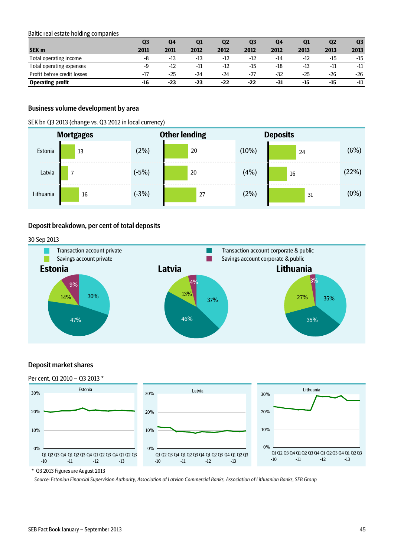<span id="page-44-0"></span>Baltic real estate holding companies

|                             | Q3    | Q4    | Q1    | Q2    | Q3    | Q4    | Q <sub>1</sub> | Q <sub>2</sub> | Q <sub>3</sub> |
|-----------------------------|-------|-------|-------|-------|-------|-------|----------------|----------------|----------------|
| <b>SEK m</b>                | 2011  | 2011  | 2012  | 2012  | 2012  | 2012  | 2013           | 2013           | 2013           |
| Total operating income      | -8    | $-13$ | -13   | $-12$ | $-12$ | $-14$ | $-12$          | -15            | $-15$          |
| Total operating expenses    | -9    | $-12$ | $-11$ | $-12$ | $-15$ | -18   | $-13$          | -11            | $-11$          |
| Profit before credit losses | $-17$ | $-25$ | -24   | -24   | $-27$ | $-32$ | $-25$          | $-26$          | $-26$          |
| <b>Operating profit</b>     | $-16$ | $-23$ | $-23$ | $-22$ | $-22$ | -31   | $-15$          | $-15$          | -11            |

### <span id="page-44-1"></span>Business volume development by area

SEK bn Q3 2013 (change vs. Q3 2012 in local currency)

|           | <b>Mortgages</b> |         | <b>Other lending</b> | <b>Deposits</b> |    |         |
|-----------|------------------|---------|----------------------|-----------------|----|---------|
| Estonia   | 13               | (2%)    | 20                   | (10%)           | 24 | (6%)    |
| Latvia    |                  | $(-5%)$ | 20                   | (4%)            | 16 | (22%)   |
| Lithuania | 16               | $(-3%)$ | 27                   | (2%)            | 31 | $(0\%)$ |

### <span id="page-44-2"></span>Deposit breakdown, per cent of total deposits

30 Sep 2013



### <span id="page-44-3"></span>Deposit market shares

#### Per cent, Q1 2010 – Q3 2013 \* Latvia 0% 10% 20% 30% Q1 Q2 Q3 Q4 Q1 Q2 Q3 Q4 Q1 Q2 Q3 Q4 Q1 Q2 Q3 -10 -11 -12 -13 Lithuania 0% 10% 20% 30% Q1 Q2 Q3Q4 Q1 Q2 Q3Q4 Q1 Q2Q3Q4 Q1 Q2Q3 -10 -11 -12 -13 Estonia 0% 10% 20% 30% Q1 Q2 Q3 Q4 Q1 Q2 Q3 Q4 Q1 Q2 Q3 Q4 Q1 Q2 Q3 -10 -11 -12 -13 \* Q3 2013 Figures are August 2013

*Source: Estonian Financial Supervision Authority, Association of Latvian Commercial Banks, Association of Lithuanian Banks, SEB Group*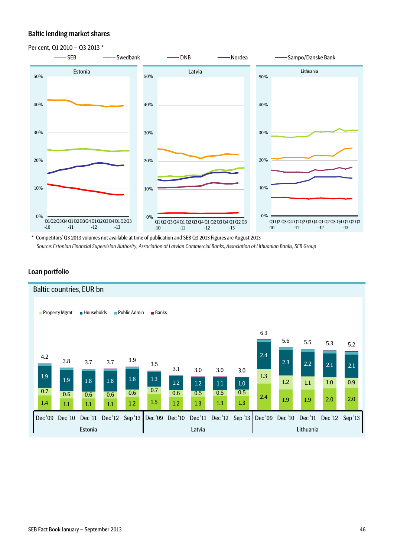## <span id="page-45-0"></span>Baltic lending market shares



\* Competitors' Q3 2013 volumes not available at time of publication and SEB Q3 2013 Figures are August 2013 *Source: Estonian Financial Supervision Authority, Association of Latvian Commercial Banks, Association of Lithuanian Banks, SEB Group*

### <span id="page-45-1"></span>Loan portfolio

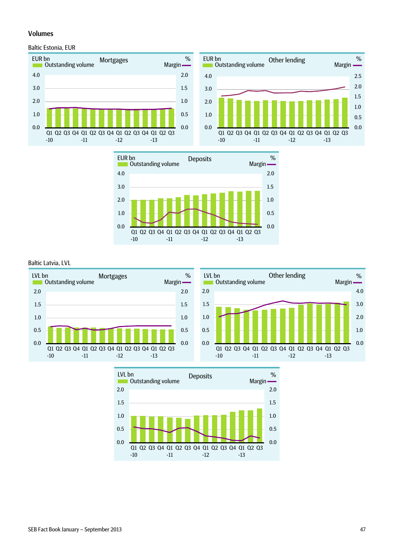## <span id="page-46-0"></span>Volumes

### <span id="page-46-1"></span>Baltic Estonia, EUR







<span id="page-46-2"></span>Baltic Latvia, LVL



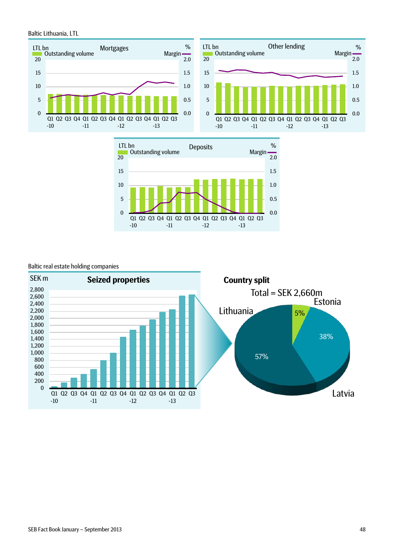<span id="page-47-0"></span>Baltic Lithuania, LTL







### <span id="page-47-1"></span>Baltic real estate holding companies

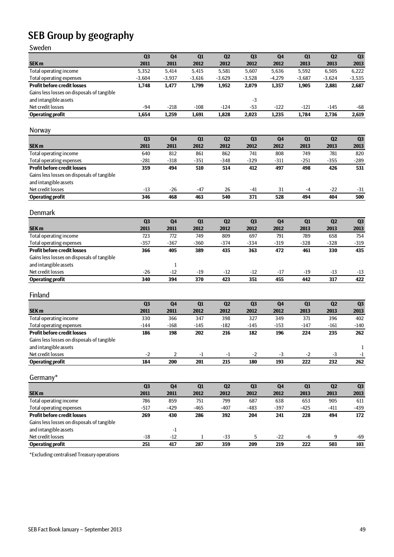# <span id="page-48-0"></span>SEB Group by geography

Sweden

|                                                                       | Q <sub>3</sub> | Q <sub>4</sub>  | Q1              | Q2              | Q <sub>3</sub> | Q <sub>4</sub> | Q1              | Q2             | Q3            |
|-----------------------------------------------------------------------|----------------|-----------------|-----------------|-----------------|----------------|----------------|-----------------|----------------|---------------|
| SEK <sub>m</sub>                                                      | 2011           | 2011            | 2012            | 2012            | 2012           | 2012           | 2013            | 2013           | 2013          |
| Total operating income                                                | 5,352          | 5,414           | 5,415           | 5,581           | 5,607          | 5,636          | 5,592           | 6,505          | 6,222         |
| Total operating expenses                                              | $-3,604$       | $-3,937$        | $-3,616$        | $-3,629$        | $-3,528$       | $-4,279$       | $-3,687$        | $-3,624$       | $-3,535$      |
| <b>Profit before credit losses</b>                                    | 1,748          | 1,477           | 1,799           | 1,952           | 2,079          | 1,357          | 1,905           | 2,881          | 2,687         |
| Gains less losses on disposals of tangible                            |                |                 |                 |                 |                |                |                 |                |               |
| and intangible assets                                                 |                |                 |                 |                 |                |                |                 |                |               |
| Net credit losses                                                     |                |                 |                 |                 | -3             |                |                 |                |               |
| <b>Operating profit</b>                                               | $-94$<br>1,654 | $-218$<br>1,259 | $-108$<br>1,691 | $-124$<br>1,828 | $-53$          | $-122$         | $-121$<br>1,784 | -145<br>2,736  | -68           |
|                                                                       |                |                 |                 |                 | 2,023          | 1,235          |                 |                | 2,619         |
|                                                                       |                |                 |                 |                 |                |                |                 |                |               |
| Norway                                                                |                |                 |                 |                 |                |                |                 |                |               |
|                                                                       | Q <sub>3</sub> | Q <sub>4</sub>  | Q1              | Q2              | Q <sub>3</sub> | Q <sub>4</sub> | Q1              | Q2             | Q3            |
| SEK <sub>m</sub>                                                      | 2011           | 2011            | 2012            | 2012            | 2012           | 2012           | 2013            | 2013           | 2013          |
| Total operating income                                                | 640            | 812             | 861             | 862             | 741            | 808            | 749             | 781            | 820           |
| Total operating expenses                                              | $-281$         | $-318$          | $-351$          | $-348$          | $-329$         | -311           | $-251$          | $-355$         | $-289$        |
| <b>Profit before credit losses</b>                                    | 359            | 494             | 510             | 514             | 412            | 497            | 498             | 426            | 531           |
| Gains less losses on disposals of tangible                            |                |                 |                 |                 |                |                |                 |                |               |
| and intangible assets                                                 |                |                 |                 |                 |                |                |                 |                |               |
| Net credit losses                                                     | $-13$          | $-26$           | -47             | 26              | -41            | 31             | -4              | $-22$          | -31           |
| <b>Operating profit</b>                                               | 346            | 468             | 463             | 540             | 371            | 528            | 494             | 404            | 500           |
|                                                                       |                |                 |                 |                 |                |                |                 |                |               |
| <b>Denmark</b>                                                        |                |                 |                 |                 |                |                |                 |                |               |
|                                                                       | Q <sub>3</sub> | Q <sub>4</sub>  | Q1              | Q2              | Q <sub>3</sub> | Q <sub>4</sub> | Q1              | Q2             | Q3            |
| <b>SEK m</b>                                                          | 2011           | 2011            | 2012            | 2012            | 2012           | 2012           | 2013            | 2013           |               |
|                                                                       | 723            | 772             | 749             | 809             | 697            | 791            | 789             | 658            | 2013<br>754   |
| Total operating income                                                | $-357$         | $-367$          | $-360$          | $-374$          | $-334$         | $-319$         | $-328$          | $-328$         |               |
| Total operating expenses<br><b>Profit before credit losses</b>        |                |                 |                 |                 |                |                |                 |                | $-319$<br>435 |
|                                                                       | 366            | 405             | 389             | 435             | 363            | 472            | 461             | 330            |               |
| Gains less losses on disposals of tangible                            |                |                 |                 |                 |                |                |                 |                |               |
| and intangible assets                                                 |                | 1               |                 |                 |                |                |                 |                |               |
| Net credit losses                                                     | $-26$          | $-12$           | $-19$           | $-12$           | $-12$          | $-17$          | $-19$           | $-13$          | $-13$<br>422  |
| <b>Operating profit</b>                                               | 340            | 394             | 370             | 423             | 351            | 455            | 442             | 317            |               |
|                                                                       |                |                 |                 |                 |                |                |                 |                |               |
| Finland                                                               |                |                 |                 |                 |                |                |                 |                |               |
|                                                                       | Q <sub>3</sub> | Q <sub>4</sub>  | Q1              | Q2              | Q <sub>3</sub> | Q <sub>4</sub> | Q1              | Q <sub>2</sub> | Q3            |
| <b>SEK m</b>                                                          | 2011           | 2011            | 2012            | 2012            | 2012           | 2012           | 2013            | 2013           | 2013          |
| Total operating income                                                | 330            | 366             | 347             | 398             | 327            | 349            | 371             | 396            | 402           |
| <b>Total operating expenses</b>                                       | $-144$         | $-168$          | $-145$          | $-182$          | $-145$         | $-153$         | -147            | $-161$         | $-140$        |
| <b>Profit before credit losses</b>                                    | 186            | 198             | 202             | 216             | 182            | 196            | 224             | 235            | 262           |
| Gains less losses on disposals of tangible                            |                |                 |                 |                 |                |                |                 |                |               |
| and intangible assets                                                 |                |                 |                 |                 |                |                |                 |                | $\mathbf{1}$  |
| Net credit losses                                                     | $-2$           | 2               | $-1$            | $-1$            | $-2$           | $-3$           | $-2$            | $-3$           | $-1$          |
| <b>Operating profit</b>                                               | 184            | 200             | 201             | 215             | 180            | 193            | 222             | 232            | 262           |
|                                                                       |                |                 |                 |                 |                |                |                 |                |               |
| Germany*                                                              |                |                 |                 |                 |                |                |                 |                |               |
|                                                                       | Q <sub>3</sub> | Q <sub>4</sub>  | Q1              | Q2              | Q <sub>3</sub> | Q <sub>4</sub> | Q1              | Q2             |               |
|                                                                       |                |                 |                 |                 |                |                |                 |                | Q3            |
| SEK <sub>m</sub><br>Total operating income                            | 2011<br>786    | 2011<br>859     | 2012<br>751     | 2012<br>799     | 2012<br>687    | 2012<br>638    | 2013<br>653     | 2013<br>905    | 2013<br>611   |
|                                                                       |                |                 |                 |                 |                |                |                 |                |               |
| <b>Total operating expenses</b><br><b>Profit before credit losses</b> | $-517$         | $-429$          | $-465$          | $-407$          | $-483$         | $-397$         | $-425$          | $-411$<br>494  | $-439$<br>172 |
|                                                                       | 269            | 430             | 286             | 392             | 204            | 241            | 228             |                |               |
| Gains less losses on disposals of tangible                            |                |                 |                 |                 |                |                |                 |                |               |
| and intangible assets                                                 |                | $-1$            |                 |                 |                |                |                 |                |               |
| Net credit losses                                                     | $-18$          | $-12$           | 1               | $-33$           | 5              | $-22$          | -6              | 9              | -69           |
| <b>Operating profit</b>                                               | 251            | 417             | 287             | 359             | 209            | 219            | 222             | 503            | 103           |

\*Excluding centralised Treasury operations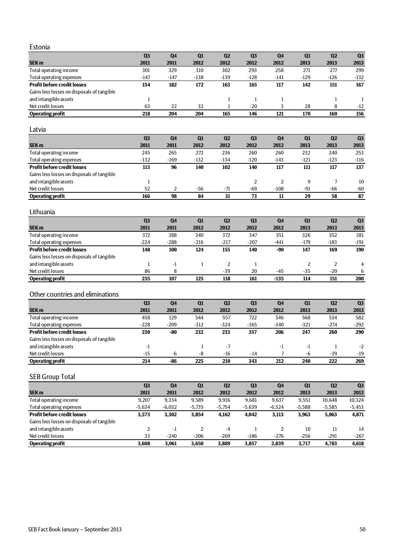### Estonia

|                                            | Q <sub>3</sub> | Q <sub>4</sub> | Q1     | Q <sub>2</sub> | Q <sub>3</sub> | Q4     | Q1     | Q <sub>2</sub> | Q <sub>3</sub> |
|--------------------------------------------|----------------|----------------|--------|----------------|----------------|--------|--------|----------------|----------------|
| <b>SEK m</b>                               | 2011           | 2011           | 2012   | 2012           | 2012           | 2012   | 2013   | 2013           | 2013           |
| Total operating income                     | 301            | 329            | 310    | 302            | 293            | 258    | 271    | 277            | 299            |
| Total operating expenses                   | $-147$         | $-147$         | $-138$ | $-139$         | $-128$         | $-141$ | $-129$ | $-126$         | $-132$         |
| <b>Profit before credit losses</b>         | 154            | 182            | 172    | 163            | 165            | 117    | 142    | 151            | 167            |
| Gains less losses on disposals of tangible |                |                |        |                |                |        |        |                |                |
| and intangible assets                      |                |                |        |                |                |        |        |                |                |
| Net credit losses                          | 63             | 22             | 32     |                | -20            |        | 28     | 8              | $-12$          |
| <b>Operating profit</b>                    | 218            | 204            | 204    | 165            | 146            | 121    | 170    | 160            | 156            |

### Latvia

|                                            | Q <sub>3</sub> | Q4     | Q1     | Q <sub>2</sub> | Q <sub>3</sub> | Q4     | Q1     | Q <sub>2</sub> | Q <sub>3</sub> |
|--------------------------------------------|----------------|--------|--------|----------------|----------------|--------|--------|----------------|----------------|
| <b>SEK m</b>                               | 2011           | 2011   | 2012   | 2012           | 2012           | 2012   | 2013   | 2013           | 2013           |
| Total operating income                     | 245            | 265    | 272    | 236            | 260            | 260    | 232    | 240            | 253            |
| Total operating expenses                   | $-132$         | $-169$ | $-132$ | $-134$         | $-120$         | $-143$ | $-121$ | $-123$         | $-116$         |
| <b>Profit before credit losses</b>         | 113            | 96     | 140    | 102            | 140            | 117    | 111    | 117            | 137            |
| Gains less losses on disposals of tangible |                |        |        |                |                |        |        |                |                |
| and intangible assets                      |                |        |        |                |                |        | 9      |                | 10             |
| Net credit losses                          | 52             |        | -56    | $-71$          | $-69$          | $-108$ | $-91$  | $-66$          | $-60$          |
| <b>Operating profit</b>                    | 166            | 98     | 84     | 31             | 73             | 11     | 29     | 58             | 87             |

### Lithuania

|                                            | Q <sub>3</sub> | Q <sub>4</sub> | Q1     | Q <sub>2</sub> | Q <sub>3</sub> | Q4     | Q1     | Q <sub>2</sub> | Q <sub>3</sub> |
|--------------------------------------------|----------------|----------------|--------|----------------|----------------|--------|--------|----------------|----------------|
| <b>SEK m</b>                               | 2011           | 2011           | 2012   | 2012           | 2012           | 2012   | 2013   | 2013           | 2013           |
| Total operating income                     | 372            | 388            | 340    | 372            | 347            | 351    | 326    | 352            | 381            |
| Total operating expenses                   | $-224$         | $-288$         | $-216$ | $-217$         | $-207$         | $-441$ | $-179$ | $-183$         | -191           |
| <b>Profit before credit losses</b>         | 148            | 100            | 124    | 155            | 140            | -90    | 147    | 169            | 190            |
| Gains less losses on disposals of tangible |                |                |        |                |                |        |        |                |                |
| and intangible assets                      |                | $-1$           |        |                |                |        |        |                | $\overline{4}$ |
| Net credit losses                          | 86             | 8              |        | $-39$          | 20             | $-45$  | $-35$  | -20            | 6              |
| <b>Operating profit</b>                    | 235            | 107            | 125    | 118            | 161            | $-135$ | 114    | 151            | 200            |

## Other countries and eliminations

|                                            | Q <sub>3</sub> | Q <sub>4</sub> | Q1     | Q <sub>2</sub> | Q <sub>3</sub> | Q4     | Q1     | Q <sub>2</sub> | Q <sub>3</sub> |
|--------------------------------------------|----------------|----------------|--------|----------------|----------------|--------|--------|----------------|----------------|
| <b>SEK m</b>                               | 2011           | 2011           | 2012   | 2012           | 2012           | 2012   | 2013   | 2013           | 2013           |
| Total operating income                     | 458            | 129            | 544    | 557            | 722            | 546    | 568    | 534            | 582            |
| Total operating expenses                   | $-228$         | $-209$         | $-312$ | $-324$         | $-365$         | $-340$ | $-321$ | $-274$         | $-292$         |
| <b>Profit before credit losses</b>         | 230            | -80            | 232    | 233            | 357            | 206    | 247    | 260            | 290            |
| Gains less losses on disposals of tangible |                |                |        |                |                |        |        |                |                |
| and intangible assets                      | ÷1             |                |        | $-7$           |                | -1     | $-1$   |                | $-2$           |
| Net credit losses                          | $-15$          | -6             | -8     | $-16$          | $-14$          |        | -6     | -39            | $-19$          |
| <b>Operating profit</b>                    | 214            | -86            | 225    | 210            | 343            | 212    | 240    | 222            | 269            |

# SEB Group Total

|                                            | Q <sub>3</sub> | Q <sub>4</sub> | Q1       | Q <sub>2</sub> | Q <sub>3</sub> | Q <sub>4</sub> | Q1       | Q <sub>2</sub> | Q <sub>3</sub> |
|--------------------------------------------|----------------|----------------|----------|----------------|----------------|----------------|----------|----------------|----------------|
| <b>SEK m</b>                               | 2011           | 2011           | 2012     | 2012           | 2012           | 2012           | 2013     | 2013           | 2013           |
| Total operating income                     | 9.207          | 9.334          | 9.589    | 9.916          | 9,681          | 9.637          | 9.551    | 10.648         | 10,324         |
| Total operating expenses                   | $-5,634$       | $-6,032$       | $-5,735$ | $-5.754$       | $-5,639$       | $-6,524$       | $-5,588$ | $-5,585$       | $-5,453$       |
| <b>Profit before credit losses</b>         | 3.573          | 3.302          | 3.854    | 4,162          | 4,042          | 3,113          | 3.963    | 5,063          | 4,871          |
| Gains less losses on disposals of tangible |                |                |          |                |                |                |          |                |                |
| and intangible assets                      |                | - 1            |          | $-4$           |                |                | 10       | 11             | 14             |
| Net credit losses                          | 33             | $-240$         | $-206$   | $-269$         | $-186$         | $-276$         | $-256$   | $-291$         | $-267$         |
| <b>Operating profit</b>                    | 3.608          | 3.061          | 3.650    | 3,889          | 3.857          | 2.839          | 3.717    | 4.783          | 4,618          |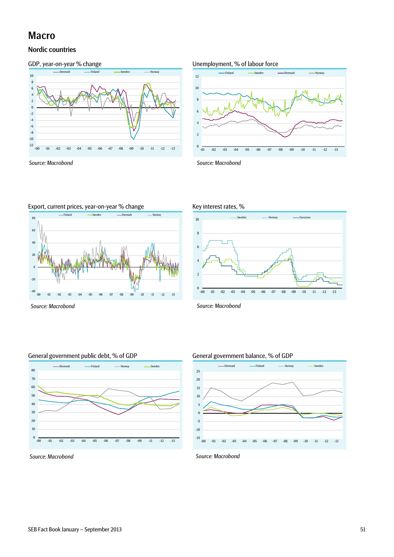# <span id="page-50-0"></span>Macro

## <span id="page-50-1"></span>Nordic countries





*Source: Macrobond Source: Macrobond*







Export, current prices, year-on-year % change Key interest rates, %



*Source: Macrobond Source: Macrobond*

### General government public debt, % of GDP General government balance, % of GDP







*Source: Macrobond Source: Macrobond*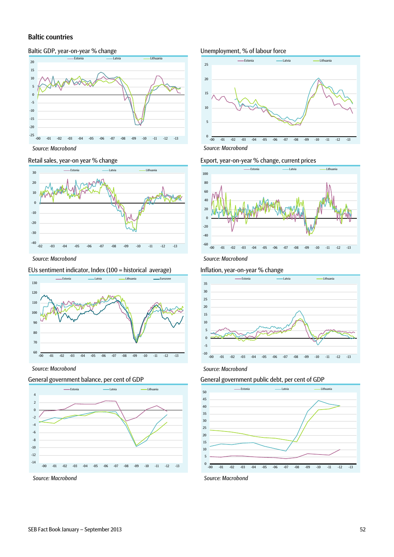### <span id="page-51-0"></span>Baltic countries

### Baltic GDP, year-on-year % change Unemployment, % of labour force





## 60 70 80 90 100 110 120 130 -00 -01 -02 -03 -04 -05 -06 -07 -08 -09 -10 -11 -12 -13 <u>– Estonia Latvia Latvia Lithuania</u>

*Source: Macrobond Source: Macrobond*







### Retail sales, year-on year % change Export, year-on-year % change, current prices



### EUs sentiment indicator, Index (100 = historical average) Inflation, year-on-year % change



### General government balance, per cent of GDP General government public debt, per cent of GDP



*Source: Macrobond Source: Macrobond*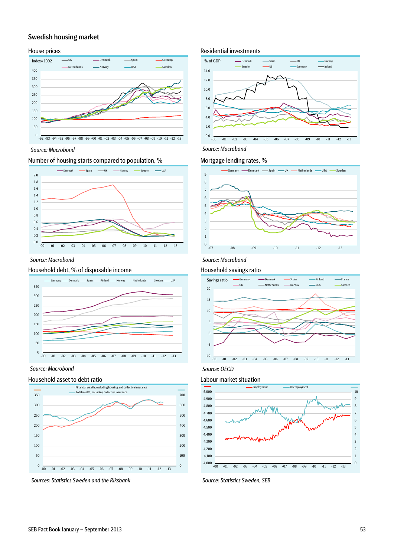## <span id="page-52-0"></span>Swedish housing market



*Source: Macrobond Source: Macrobond*

### Number of housing starts compared to population, % Mortgage lending rates, %



*Source: Macrobond Source: Macrobond*

### Household debt, % of disposable income Household savings ratio



*Source: Macrobond*

### Household asset to debt ratio decomposition of the Labour market situation



*Sources: Statistics Sweden and the Riksbank Source: Statistics Sweden, SEB*

### House prices **Residential investments** Residential investments







*Source: OECD*

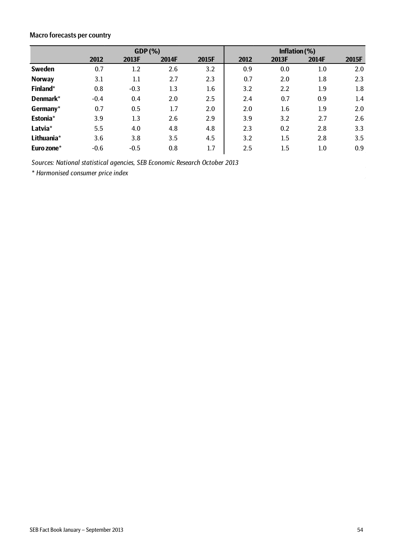# <span id="page-53-0"></span>Macro forecasts per country

|               |        | $GDP(\%)$ | Inflation $(\%)$ |       |      |                  |         |       |
|---------------|--------|-----------|------------------|-------|------|------------------|---------|-------|
|               | 2012   | 2013F     | 2014F            | 2015F | 2012 | 2013F            | 2014F   | 2015F |
| <b>Sweden</b> | 0.7    | 1.2       | 2.6              | 3.2   | 0.9  | 0.0              | $1.0\,$ | 2.0   |
| <b>Norway</b> | 3.1    | 1.1       | 2.7              | 2.3   | 0.7  | 2.0              | 1.8     | 2.3   |
| Finland*      | 0.8    | $-0.3$    | 1.3              | 1.6   | 3.2  | $2.2\phantom{0}$ | 1.9     | 1.8   |
| Denmark*      | $-0.4$ | 0.4       | 2.0              | 2.5   | 2.4  | 0.7              | 0.9     | 1.4   |
| Germany*      | 0.7    | 0.5       | 1.7              | 2.0   | 2.0  | 1.6              | 1.9     | 2.0   |
| Estonia*      | 3.9    | 1.3       | 2.6              | 2.9   | 3.9  | 3.2              | 2.7     | 2.6   |
| Latvia*       | 5.5    | 4.0       | 4.8              | 4.8   | 2.3  | 0.2              | 2.8     | 3.3   |
| Lithuania*    | 3.6    | 3.8       | 3.5              | 4.5   | 3.2  | 1.5              | 2.8     | 3.5   |
| Euro zone*    | $-0.6$ | $-0.5$    | 0.8              | 1.7   | 2.5  | 1.5              | 1.0     | 0.9   |

*Sources: National statistical agencies, SEB Economic Research October 2013*

*\* Harmonised consumer price index* 

 $\bar{\omega}$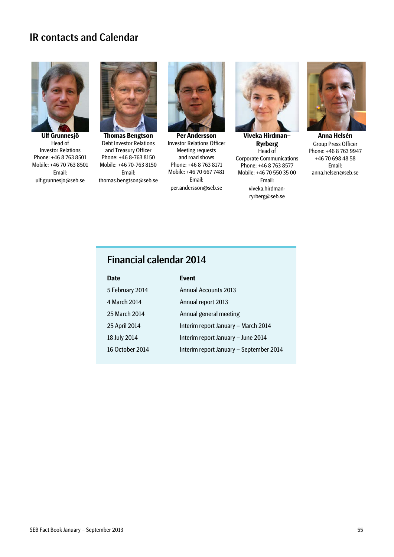# <span id="page-54-0"></span>IR contacts and Calendar



**Ulf Grunnesjö** Head of Investor Relations Phone: +46 8 763 8501 Mobile: +46 70 763 8501 Email: ulf.grunnesjo@seb.se



**Thomas Bengtson** Debt Investor Relations and Treasury Officer Phone: +46 8-763 8150 Mobile: +46 70-763 8150 Email: thomas.bengtson@seb.se



**Per Andersson** Investor Relations Officer Meeting requests and road shows Phone: +46 8 763 8171 Mobile: +46 70 667 7481 Email: per.andersson@seb.se



**Viveka Hirdman– Ryrberg** Head of Corporate Communications Phone: +46 8 763 8577 Mobile: +46 70 550 35 00 Email: viveka.hirdmanryrberg@seb.se



**Anna Helsén** Group Press Officer Phone: +46 8 763 9947 +46 70 698 48 58 Email: anna.helsen@seb.se

# Financial calendar 2014

| <b>Date</b>     | <b>Event</b>                            |
|-----------------|-----------------------------------------|
| 5 February 2014 | <b>Annual Accounts 2013</b>             |
| 4 March 2014    | Annual report 2013                      |
| 25 March 2014   | Annual general meeting                  |
| 25 April 2014   | Interim report January - March 2014     |
| 18 July 2014    | Interim report January - June 2014      |
| 16 October 2014 | Interim report January - September 2014 |
|                 |                                         |